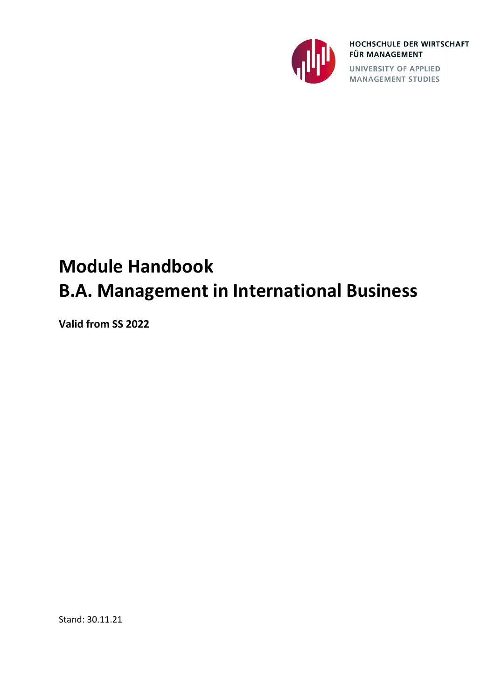

HOCHSCHULE DER WIRTSCHAFT **FÜR MANAGEMENT** 

UNIVERSITY OF APPLIED<br>MANAGEMENT STUDIES

# **Module Handbook B.A. Management in International Business**

**Valid from SS 2022**

Stand: 30.11.21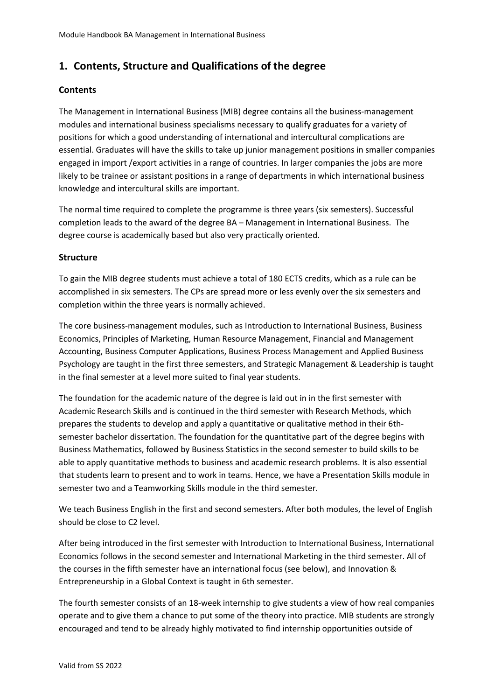## **1. Contents, Structure and Qualifications of the degree**

### **Contents**

The Management in International Business (MIB) degree contains all the business-management modules and international business specialisms necessary to qualify graduates for a variety of positions for which a good understanding of international and intercultural complications are essential. Graduates will have the skills to take up junior management positions in smaller companies engaged in import /export activities in a range of countries. In larger companies the jobs are more likely to be trainee or assistant positions in a range of departments in which international business knowledge and intercultural skills are important.

The normal time required to complete the programme is three years (six semesters). Successful completion leads to the award of the degree BA – Management in International Business. The degree course is academically based but also very practically oriented.

#### **Structure**

To gain the MIB degree students must achieve a total of 180 ECTS credits, which as a rule can be accomplished in six semesters. The CPs are spread more or less evenly over the six semesters and completion within the three years is normally achieved.

The core business-management modules, such as Introduction to International Business, Business Economics, Principles of Marketing, Human Resource Management, Financial and Management Accounting, Business Computer Applications, Business Process Management and Applied Business Psychology are taught in the first three semesters, and Strategic Management & Leadership is taught in the final semester at a level more suited to final year students.

The foundation for the academic nature of the degree is laid out in in the first semester with Academic Research Skills and is continued in the third semester with Research Methods, which prepares the students to develop and apply a quantitative or qualitative method in their 6thsemester bachelor dissertation. The foundation for the quantitative part of the degree begins with Business Mathematics, followed by Business Statistics in the second semester to build skills to be able to apply quantitative methods to business and academic research problems. It is also essential that students learn to present and to work in teams. Hence, we have a Presentation Skills module in semester two and a Teamworking Skills module in the third semester.

We teach Business English in the first and second semesters. After both modules, the level of English should be close to C2 level.

After being introduced in the first semester with Introduction to International Business, International Economics follows in the second semester and International Marketing in the third semester. All of the courses in the fifth semester have an international focus (see below), and Innovation & Entrepreneurship in a Global Context is taught in 6th semester.

The fourth semester consists of an 18-week internship to give students a view of how real companies operate and to give them a chance to put some of the theory into practice. MIB students are strongly encouraged and tend to be already highly motivated to find internship opportunities outside of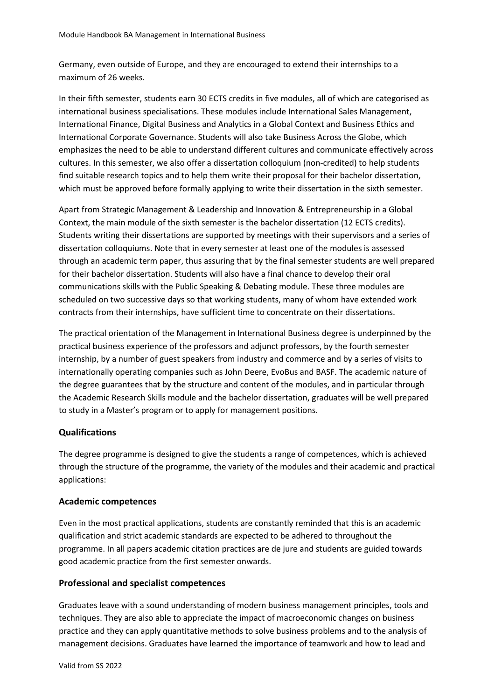Germany, even outside of Europe, and they are encouraged to extend their internships to a maximum of 26 weeks.

In their fifth semester, students earn 30 ECTS credits in five modules, all of which are categorised as international business specialisations. These modules include International Sales Management, International Finance, Digital Business and Analytics in a Global Context and Business Ethics and International Corporate Governance. Students will also take Business Across the Globe, which emphasizes the need to be able to understand different cultures and communicate effectively across cultures. In this semester, we also offer a dissertation colloquium (non-credited) to help students find suitable research topics and to help them write their proposal for their bachelor dissertation, which must be approved before formally applying to write their dissertation in the sixth semester.

Apart from Strategic Management & Leadership and Innovation & Entrepreneurship in a Global Context, the main module of the sixth semester is the bachelor dissertation (12 ECTS credits). Students writing their dissertations are supported by meetings with their supervisors and a series of dissertation colloquiums. Note that in every semester at least one of the modules is assessed through an academic term paper, thus assuring that by the final semester students are well prepared for their bachelor dissertation. Students will also have a final chance to develop their oral communications skills with the Public Speaking & Debating module. These three modules are scheduled on two successive days so that working students, many of whom have extended work contracts from their internships, have sufficient time to concentrate on their dissertations.

The practical orientation of the Management in International Business degree is underpinned by the practical business experience of the professors and adjunct professors, by the fourth semester internship, by a number of guest speakers from industry and commerce and by a series of visits to internationally operating companies such as John Deere, EvoBus and BASF. The academic nature of the degree guarantees that by the structure and content of the modules, and in particular through the Academic Research Skills module and the bachelor dissertation, graduates will be well prepared to study in a Master's program or to apply for management positions.

#### **Qualifications**

The degree programme is designed to give the students a range of competences, which is achieved through the structure of the programme, the variety of the modules and their academic and practical applications:

#### **Academic competences**

Even in the most practical applications, students are constantly reminded that this is an academic qualification and strict academic standards are expected to be adhered to throughout the programme. In all papers academic citation practices are de jure and students are guided towards good academic practice from the first semester onwards.

### **Professional and specialist competences**

Graduates leave with a sound understanding of modern business management principles, tools and techniques. They are also able to appreciate the impact of macroeconomic changes on business practice and they can apply quantitative methods to solve business problems and to the analysis of management decisions. Graduates have learned the importance of teamwork and how to lead and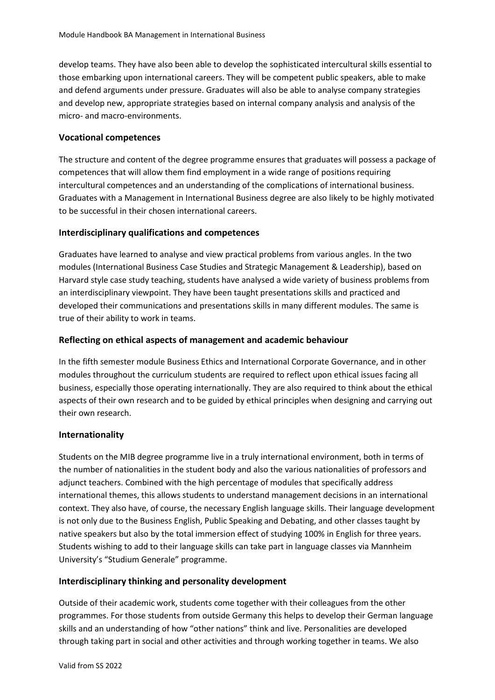develop teams. They have also been able to develop the sophisticated intercultural skills essential to those embarking upon international careers. They will be competent public speakers, able to make and defend arguments under pressure. Graduates will also be able to analyse company strategies and develop new, appropriate strategies based on internal company analysis and analysis of the micro- and macro-environments.

#### **Vocational competences**

The structure and content of the degree programme ensures that graduates will possess a package of competences that will allow them find employment in a wide range of positions requiring intercultural competences and an understanding of the complications of international business. Graduates with a Management in International Business degree are also likely to be highly motivated to be successful in their chosen international careers.

### **Interdisciplinary qualifications and competences**

Graduates have learned to analyse and view practical problems from various angles. In the two modules (International Business Case Studies and Strategic Management & Leadership), based on Harvard style case study teaching, students have analysed a wide variety of business problems from an interdisciplinary viewpoint. They have been taught presentations skills and practiced and developed their communications and presentations skills in many different modules. The same is true of their ability to work in teams.

#### **Reflecting on ethical aspects of management and academic behaviour**

In the fifth semester module Business Ethics and International Corporate Governance, and in other modules throughout the curriculum students are required to reflect upon ethical issues facing all business, especially those operating internationally. They are also required to think about the ethical aspects of their own research and to be guided by ethical principles when designing and carrying out their own research.

### **Internationality**

Students on the MIB degree programme live in a truly international environment, both in terms of the number of nationalities in the student body and also the various nationalities of professors and adjunct teachers. Combined with the high percentage of modules that specifically address international themes, this allows students to understand management decisions in an international context. They also have, of course, the necessary English language skills. Their language development is not only due to the Business English, Public Speaking and Debating, and other classes taught by native speakers but also by the total immersion effect of studying 100% in English for three years. Students wishing to add to their language skills can take part in language classes via Mannheim University's "Studium Generale" programme.

### **Interdisciplinary thinking and personality development**

Outside of their academic work, students come together with their colleagues from the other programmes. For those students from outside Germany this helps to develop their German language skills and an understanding of how "other nations" think and live. Personalities are developed through taking part in social and other activities and through working together in teams. We also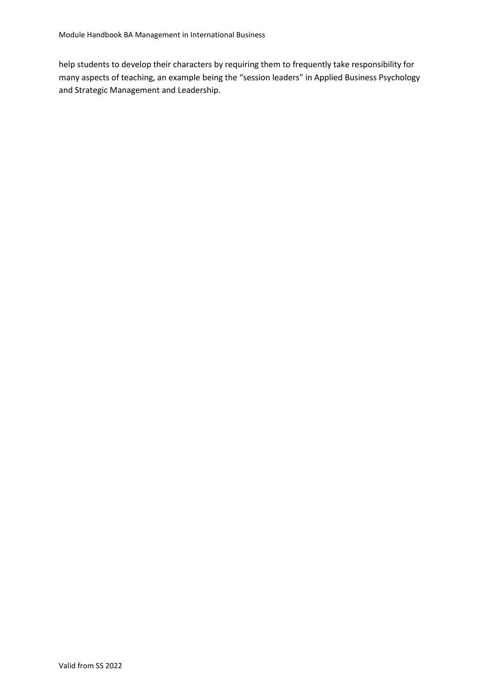help students to develop their characters by requiring them to frequently take responsibility for many aspects of teaching, an example being the "session leaders" in Applied Business Psychology and Strategic Management and Leadership.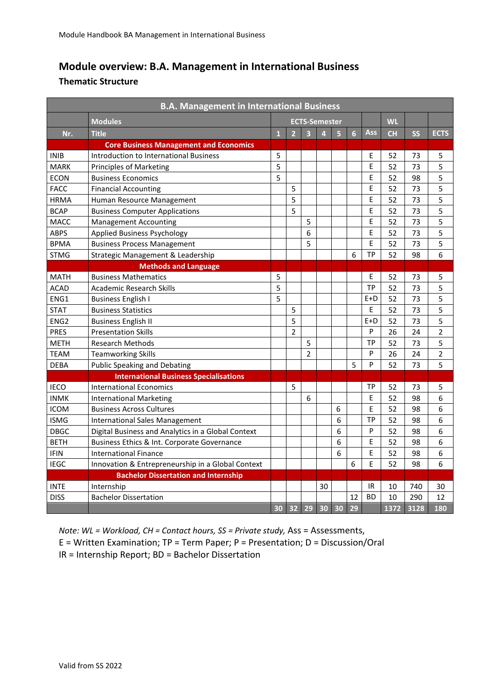# **Module overview: B.A. Management in International Business**

### **Thematic Structure**

|                  | <b>B.A. Management in International Business</b>   |              |                                                                                                  |                |            |           |           |             |      |      |                         |
|------------------|----------------------------------------------------|--------------|--------------------------------------------------------------------------------------------------|----------------|------------|-----------|-----------|-------------|------|------|-------------------------|
|                  | <b>Modules</b>                                     |              | <b>ECTS-Semester</b>                                                                             |                |            |           | <b>WL</b> |             |      |      |                         |
| Nr.              | <b>Title</b>                                       | $\mathbf{1}$ | $\overline{2}$<br>$\overline{\mathbf{3}}$<br>$\overline{4}$<br>$\overline{5}$<br>$6\phantom{1}6$ |                | <b>Ass</b> | <b>CH</b> | <b>SS</b> | <b>ECTS</b> |      |      |                         |
|                  | <b>Core Business Management and Economics</b>      |              |                                                                                                  |                |            |           |           |             |      |      |                         |
| <b>INIB</b>      | Introduction to International Business             | 5            |                                                                                                  |                |            |           |           | E           | 52   | 73   | 5                       |
| <b>MARK</b>      | <b>Principles of Marketing</b>                     | 5            |                                                                                                  |                |            |           |           | E           | 52   | 73   | 5                       |
| <b>ECON</b>      | <b>Business Economics</b>                          | 5            |                                                                                                  |                |            |           |           | E           | 52   | 98   | 5                       |
| <b>FACC</b>      | <b>Financial Accounting</b>                        |              | 5                                                                                                |                |            |           |           | E           | 52   | 73   | 5                       |
| <b>HRMA</b>      | Human Resource Management                          |              | 5                                                                                                |                |            |           |           | E           | 52   | 73   | 5                       |
| <b>BCAP</b>      | <b>Business Computer Applications</b>              |              | 5                                                                                                |                |            |           |           | E           | 52   | 73   | 5                       |
| <b>MACC</b>      | <b>Management Accounting</b>                       |              |                                                                                                  | 5              |            |           |           | E           | 52   | 73   | 5                       |
| <b>ABPS</b>      | <b>Applied Business Psychology</b>                 |              |                                                                                                  | 6              |            |           |           | E           | 52   | 73   | 5                       |
| <b>BPMA</b>      | <b>Business Process Management</b>                 |              |                                                                                                  | 5              |            |           |           | E           | 52   | 73   | 5                       |
| <b>STMG</b>      | Strategic Management & Leadership                  |              |                                                                                                  |                |            |           | 6         | <b>TP</b>   | 52   | 98   | 6                       |
|                  | <b>Methods and Language</b>                        |              |                                                                                                  |                |            |           |           |             |      |      |                         |
| <b>MATH</b>      | <b>Business Mathematics</b>                        | 5            |                                                                                                  |                |            |           |           | E           | 52   | 73   | 5                       |
| <b>ACAD</b>      | <b>Academic Research Skills</b>                    | 5            |                                                                                                  |                |            |           |           | <b>TP</b>   | 52   | 73   | 5                       |
| ENG1             | <b>Business English I</b>                          | 5            |                                                                                                  |                |            |           |           | $E+D$       | 52   | 73   | 5                       |
| <b>STAT</b>      | <b>Business Statistics</b>                         |              | 5                                                                                                |                |            |           |           | E           | 52   | 73   | 5                       |
| ENG <sub>2</sub> | <b>Business English II</b>                         |              | 5                                                                                                |                |            |           |           | $E+D$       | 52   | 73   | 5                       |
| <b>PRES</b>      | <b>Presentation Skills</b>                         |              | 2                                                                                                |                |            |           |           | P           | 26   | 24   | $\overline{\mathbf{c}}$ |
| <b>METH</b>      | <b>Research Methods</b>                            |              |                                                                                                  | 5              |            |           |           | <b>TP</b>   | 52   | 73   | 5                       |
| <b>TEAM</b>      | <b>Teamworking Skills</b>                          |              |                                                                                                  | $\overline{2}$ |            |           |           | P           | 26   | 24   | $\overline{2}$          |
| <b>DEBA</b>      | <b>Public Speaking and Debating</b>                |              |                                                                                                  |                |            |           | 5         | P           | 52   | 73   | 5                       |
|                  | <b>International Business Specialisations</b>      |              |                                                                                                  |                |            |           |           |             |      |      |                         |
| <b>IECO</b>      | <b>International Economics</b>                     |              | 5                                                                                                |                |            |           |           | TP          | 52   | 73   | 5                       |
| <b>INMK</b>      | International Marketing                            |              |                                                                                                  | 6              |            |           |           | E           | 52   | 98   | 6                       |
| <b>ICOM</b>      | <b>Business Across Cultures</b>                    |              |                                                                                                  |                |            | 6         |           | E           | 52   | 98   | 6                       |
| <b>ISMG</b>      | <b>International Sales Management</b>              |              |                                                                                                  |                |            | 6         |           | <b>TP</b>   | 52   | 98   | 6                       |
| <b>DBGC</b>      | Digital Business and Analytics in a Global Context |              |                                                                                                  |                |            | 6         |           | P           | 52   | 98   | 6                       |
| <b>BETH</b>      | Business Ethics & Int. Corporate Governance        |              |                                                                                                  |                |            | 6         |           | E           | 52   | 98   | 6                       |
| <b>IFIN</b>      | <b>International Finance</b>                       |              |                                                                                                  |                |            | 6         |           | E           | 52   | 98   | 6                       |
| <b>IEGC</b>      | Innovation & Entrepreneurship in a Global Context  |              |                                                                                                  |                |            |           | 6         | E           | 52   | 98   | 6                       |
|                  | <b>Bachelor Dissertation and Internship</b>        |              |                                                                                                  |                |            |           |           |             |      |      |                         |
| <b>INTE</b>      | Internship                                         |              |                                                                                                  |                | 30         |           |           | IR          | 10   | 740  | 30                      |
| <b>DISS</b>      | <b>Bachelor Dissertation</b>                       |              |                                                                                                  |                |            |           | 12        | <b>BD</b>   | 10   | 290  | 12                      |
|                  |                                                    | 30           | 32                                                                                               | 29             | 30         | 30        | 29        |             | 1372 | 3128 | 180                     |

*Note: WL = Workload, CH = Contact hours, SS = Private study,* Ass = Assessments,

E = Written Examination; TP = Term Paper; P = Presentation; D = Discussion/Oral

IR = Internship Report; BD = Bachelor Dissertation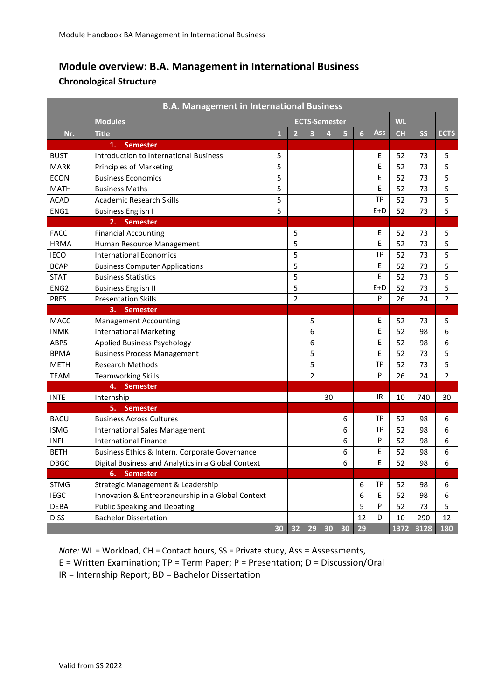# **Module overview: B.A. Management in International Business**

### **Chronological Structure**

| <b>B.A. Management in International Business</b> |                                                    |                      |                |                         |                         |                         |    |           |           |           |                |
|--------------------------------------------------|----------------------------------------------------|----------------------|----------------|-------------------------|-------------------------|-------------------------|----|-----------|-----------|-----------|----------------|
|                                                  | <b>Modules</b>                                     | <b>ECTS-Semester</b> |                |                         |                         | <b>WL</b>               |    |           |           |           |                |
| Nr.                                              | <b>Title</b>                                       | $\mathbf{1}$         | $\overline{2}$ | $\overline{\mathbf{3}}$ | $\overline{\mathbf{4}}$ | $\overline{\mathbf{5}}$ | 6  | Ass       | <b>CH</b> | <b>SS</b> | <b>ECTS</b>    |
|                                                  | 1.<br><b>Semester</b>                              |                      |                |                         |                         |                         |    |           |           |           |                |
| <b>BUST</b>                                      | <b>Introduction to International Business</b>      | 5                    |                |                         |                         |                         |    | Ε         | 52        | 73        | 5              |
| <b>MARK</b>                                      | Principles of Marketing                            | 5                    |                |                         |                         |                         |    | E         | 52        | 73        | 5              |
| <b>ECON</b>                                      | <b>Business Economics</b>                          | 5                    |                |                         |                         |                         |    | E         | 52        | 73        | 5              |
| <b>MATH</b>                                      | <b>Business Maths</b>                              | 5                    |                |                         |                         |                         |    | E         | 52        | 73        | 5              |
| <b>ACAD</b>                                      | <b>Academic Research Skills</b>                    | 5                    |                |                         |                         |                         |    | <b>TP</b> | 52        | 73        | 5              |
| ENG1                                             | <b>Business English I</b>                          | 5                    |                |                         |                         |                         |    | $E+D$     | 52        | 73        | 5              |
|                                                  | <b>Semester</b><br>2.                              |                      |                |                         |                         |                         |    |           |           |           |                |
| <b>FACC</b>                                      | <b>Financial Accounting</b>                        |                      | 5              |                         |                         |                         |    | Ε         | 52        | 73        | 5              |
| <b>HRMA</b>                                      | Human Resource Management                          |                      | 5              |                         |                         |                         |    | E         | 52        | 73        | 5              |
| <b>IECO</b>                                      | <b>International Economics</b>                     |                      | 5              |                         |                         |                         |    | <b>TP</b> | 52        | 73        | 5              |
| <b>BCAP</b>                                      | <b>Business Computer Applications</b>              |                      | 5              |                         |                         |                         |    | E         | 52        | 73        | 5              |
| <b>STAT</b>                                      | <b>Business Statistics</b>                         |                      | 5              |                         |                         |                         |    | E         | 52        | 73        | 5              |
| ENG <sub>2</sub>                                 | <b>Business English II</b>                         |                      | 5              |                         |                         |                         |    | $E+D$     | 52        | 73        | 5              |
| <b>PRES</b>                                      | <b>Presentation Skills</b>                         |                      | $\overline{2}$ |                         |                         |                         |    | P         | 26        | 24        | $\overline{2}$ |
|                                                  | <b>Semester</b><br>3.                              |                      |                |                         |                         |                         |    |           |           |           |                |
| <b>MACC</b>                                      | <b>Management Accounting</b>                       |                      |                | 5                       |                         |                         |    | Ε         | 52        | 73        | 5              |
| <b>INMK</b>                                      | <b>International Marketing</b>                     |                      |                | 6                       |                         |                         |    | E         | 52        | 98        | 6              |
| <b>ABPS</b>                                      | <b>Applied Business Psychology</b>                 |                      |                | 6                       |                         |                         |    | Ε         | 52        | 98        | 6              |
| <b>BPMA</b>                                      | <b>Business Process Management</b>                 |                      |                | 5                       |                         |                         |    | E         | 52        | 73        | 5              |
| <b>METH</b>                                      | <b>Research Methods</b>                            |                      |                | 5                       |                         |                         |    | <b>TP</b> | 52        | 73        | 5              |
| <b>TEAM</b>                                      | <b>Teamworking Skills</b>                          |                      |                | $\overline{2}$          |                         |                         |    | P         | 26        | 24        | $\overline{2}$ |
|                                                  | <b>Semester</b><br>4.                              |                      |                |                         |                         |                         |    |           |           |           |                |
| <b>INTE</b>                                      | Internship                                         |                      |                |                         | 30                      |                         |    | IR        | 10        | 740       | 30             |
|                                                  | 5.<br><b>Semester</b>                              |                      |                |                         |                         |                         |    |           |           |           |                |
| <b>BACU</b>                                      | <b>Business Across Cultures</b>                    |                      |                |                         |                         | 6                       |    | <b>TP</b> | 52        | 98        | 6              |
| <b>ISMG</b>                                      | <b>International Sales Management</b>              |                      |                |                         |                         | 6                       |    | <b>TP</b> | 52        | 98        | 6              |
| <b>INFI</b>                                      | <b>International Finance</b>                       |                      |                |                         |                         | 6                       |    | P         | 52        | 98        | 6              |
| <b>BETH</b>                                      | Business Ethics & Intern. Corporate Governance     |                      |                |                         |                         | 6                       |    | E         | 52        | 98        | 6              |
| <b>DBGC</b>                                      | Digital Business and Analytics in a Global Context |                      |                |                         |                         | 6                       |    | E         | 52        | 98        | 6              |
|                                                  | <b>Semester</b><br>6.                              |                      |                |                         |                         |                         |    |           |           |           |                |
| <b>STMG</b>                                      | Strategic Management & Leadership                  |                      |                |                         |                         |                         | 6  | TP        | 52        | 98        | 6              |
| <b>IEGC</b>                                      | Innovation & Entrepreneurship in a Global Context  |                      |                |                         |                         |                         | 6  | E         | 52        | 98        | 6              |
| <b>DEBA</b>                                      | <b>Public Speaking and Debating</b>                |                      |                |                         |                         |                         | 5  | P         | 52        | 73        | 5              |
| <b>DISS</b>                                      | <b>Bachelor Dissertation</b>                       |                      |                |                         |                         |                         | 12 | D         | 10        | 290       | 12             |
|                                                  |                                                    | 30                   | 32             | 29                      | 30                      | 30                      | 29 |           | 1372      | 3128      | 180            |

*Note:* WL = Workload, CH = Contact hours, SS = Private study, Ass = Assessments, E = Written Examination; TP = Term Paper; P = Presentation; D = Discussion/Oral IR = Internship Report; BD = Bachelor Dissertation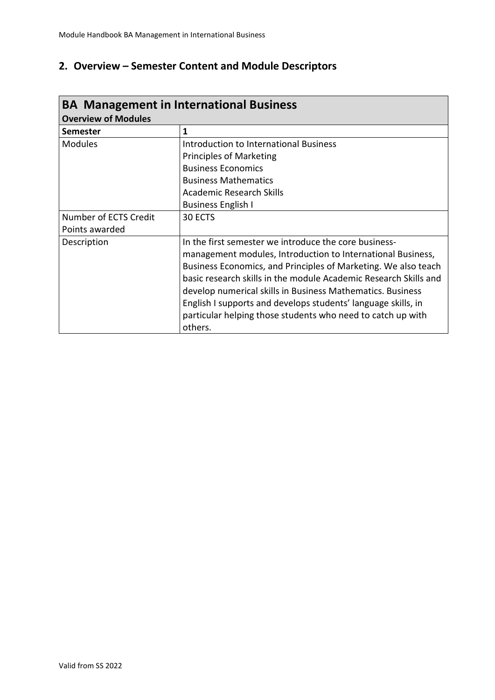# **2. Overview – Semester Content and Module Descriptors**

| <b>BA Management in International Business</b> |                                                                  |  |  |  |  |
|------------------------------------------------|------------------------------------------------------------------|--|--|--|--|
| <b>Overview of Modules</b>                     |                                                                  |  |  |  |  |
| <b>Semester</b>                                | 1                                                                |  |  |  |  |
| <b>Modules</b>                                 | Introduction to International Business                           |  |  |  |  |
|                                                | <b>Principles of Marketing</b>                                   |  |  |  |  |
|                                                | <b>Business Economics</b>                                        |  |  |  |  |
|                                                | <b>Business Mathematics</b>                                      |  |  |  |  |
|                                                | Academic Research Skills                                         |  |  |  |  |
|                                                | <b>Business English I</b>                                        |  |  |  |  |
| Number of ECTS Credit                          | 30 ECTS                                                          |  |  |  |  |
| Points awarded                                 |                                                                  |  |  |  |  |
| Description                                    | In the first semester we introduce the core business-            |  |  |  |  |
|                                                | management modules, Introduction to International Business,      |  |  |  |  |
|                                                | Business Economics, and Principles of Marketing. We also teach   |  |  |  |  |
|                                                | basic research skills in the module Academic Research Skills and |  |  |  |  |
|                                                | develop numerical skills in Business Mathematics. Business       |  |  |  |  |
|                                                | English I supports and develops students' language skills, in    |  |  |  |  |
|                                                | particular helping those students who need to catch up with      |  |  |  |  |
|                                                | others.                                                          |  |  |  |  |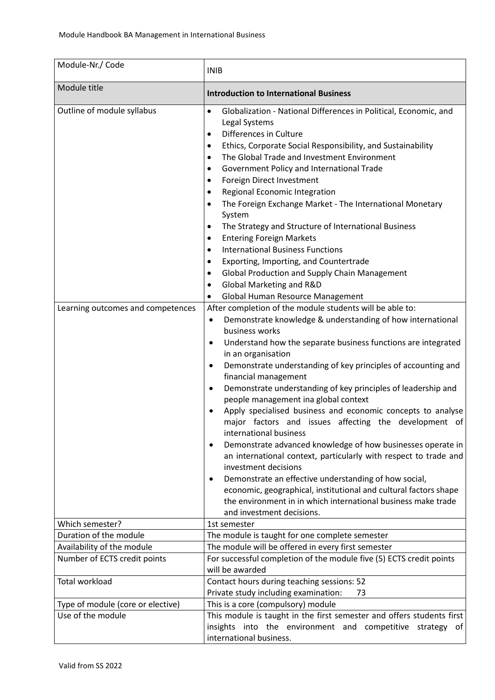| Module-Nr./ Code                                                | <b>INIB</b>                                                                                                                                                                                                                                                                                                                                                                                                                                                                                                                                                                                                                                                                                                                                                                                                                                                                                                                                                                                                                                                                                                                                                                                                                                                                                                                                                                                                                                                                                                                                                                                                                                                                                                                                                                   |
|-----------------------------------------------------------------|-------------------------------------------------------------------------------------------------------------------------------------------------------------------------------------------------------------------------------------------------------------------------------------------------------------------------------------------------------------------------------------------------------------------------------------------------------------------------------------------------------------------------------------------------------------------------------------------------------------------------------------------------------------------------------------------------------------------------------------------------------------------------------------------------------------------------------------------------------------------------------------------------------------------------------------------------------------------------------------------------------------------------------------------------------------------------------------------------------------------------------------------------------------------------------------------------------------------------------------------------------------------------------------------------------------------------------------------------------------------------------------------------------------------------------------------------------------------------------------------------------------------------------------------------------------------------------------------------------------------------------------------------------------------------------------------------------------------------------------------------------------------------------|
| Module title                                                    | <b>Introduction to International Business</b>                                                                                                                                                                                                                                                                                                                                                                                                                                                                                                                                                                                                                                                                                                                                                                                                                                                                                                                                                                                                                                                                                                                                                                                                                                                                                                                                                                                                                                                                                                                                                                                                                                                                                                                                 |
| Outline of module syllabus<br>Learning outcomes and competences | Globalization - National Differences in Political, Economic, and<br>$\bullet$<br>Legal Systems<br>Differences in Culture<br>$\bullet$<br>Ethics, Corporate Social Responsibility, and Sustainability<br>٠<br>The Global Trade and Investment Environment<br>$\bullet$<br>Government Policy and International Trade<br>٠<br>Foreign Direct Investment<br>٠<br>Regional Economic Integration<br>$\bullet$<br>The Foreign Exchange Market - The International Monetary<br>٠<br>System<br>The Strategy and Structure of International Business<br>٠<br><b>Entering Foreign Markets</b><br>٠<br><b>International Business Functions</b><br>٠<br>Exporting, Importing, and Countertrade<br>٠<br><b>Global Production and Supply Chain Management</b><br>٠<br>Global Marketing and R&D<br>٠<br>Global Human Resource Management<br>٠<br>After completion of the module students will be able to:<br>Demonstrate knowledge & understanding of how international<br>$\bullet$<br>business works<br>Understand how the separate business functions are integrated<br>$\bullet$<br>in an organisation<br>Demonstrate understanding of key principles of accounting and<br>$\bullet$<br>financial management<br>Demonstrate understanding of key principles of leadership and<br>$\bullet$<br>people management ina global context<br>Apply specialised business and economic concepts to analyse<br>major factors and issues affecting the development of<br>international business<br>Demonstrate advanced knowledge of how businesses operate in<br>$\bullet$<br>an international context, particularly with respect to trade and<br>investment decisions<br>Demonstrate an effective understanding of how social,<br>economic, geographical, institutional and cultural factors shape |
| Which semester?                                                 | the environment in in which international business make trade<br>and investment decisions.<br>1st semester                                                                                                                                                                                                                                                                                                                                                                                                                                                                                                                                                                                                                                                                                                                                                                                                                                                                                                                                                                                                                                                                                                                                                                                                                                                                                                                                                                                                                                                                                                                                                                                                                                                                    |
| Duration of the module                                          | The module is taught for one complete semester                                                                                                                                                                                                                                                                                                                                                                                                                                                                                                                                                                                                                                                                                                                                                                                                                                                                                                                                                                                                                                                                                                                                                                                                                                                                                                                                                                                                                                                                                                                                                                                                                                                                                                                                |
|                                                                 | The module will be offered in every first semester                                                                                                                                                                                                                                                                                                                                                                                                                                                                                                                                                                                                                                                                                                                                                                                                                                                                                                                                                                                                                                                                                                                                                                                                                                                                                                                                                                                                                                                                                                                                                                                                                                                                                                                            |
| Availability of the module                                      |                                                                                                                                                                                                                                                                                                                                                                                                                                                                                                                                                                                                                                                                                                                                                                                                                                                                                                                                                                                                                                                                                                                                                                                                                                                                                                                                                                                                                                                                                                                                                                                                                                                                                                                                                                               |
| Number of ECTS credit points                                    | For successful completion of the module five (5) ECTS credit points<br>will be awarded                                                                                                                                                                                                                                                                                                                                                                                                                                                                                                                                                                                                                                                                                                                                                                                                                                                                                                                                                                                                                                                                                                                                                                                                                                                                                                                                                                                                                                                                                                                                                                                                                                                                                        |
| <b>Total workload</b>                                           | Contact hours during teaching sessions: 52<br>Private study including examination:<br>73                                                                                                                                                                                                                                                                                                                                                                                                                                                                                                                                                                                                                                                                                                                                                                                                                                                                                                                                                                                                                                                                                                                                                                                                                                                                                                                                                                                                                                                                                                                                                                                                                                                                                      |
| Type of module (core or elective)                               | This is a core (compulsory) module                                                                                                                                                                                                                                                                                                                                                                                                                                                                                                                                                                                                                                                                                                                                                                                                                                                                                                                                                                                                                                                                                                                                                                                                                                                                                                                                                                                                                                                                                                                                                                                                                                                                                                                                            |
| Use of the module                                               | This module is taught in the first semester and offers students first<br>insights into the environment and competitive strategy of<br>international business.                                                                                                                                                                                                                                                                                                                                                                                                                                                                                                                                                                                                                                                                                                                                                                                                                                                                                                                                                                                                                                                                                                                                                                                                                                                                                                                                                                                                                                                                                                                                                                                                                 |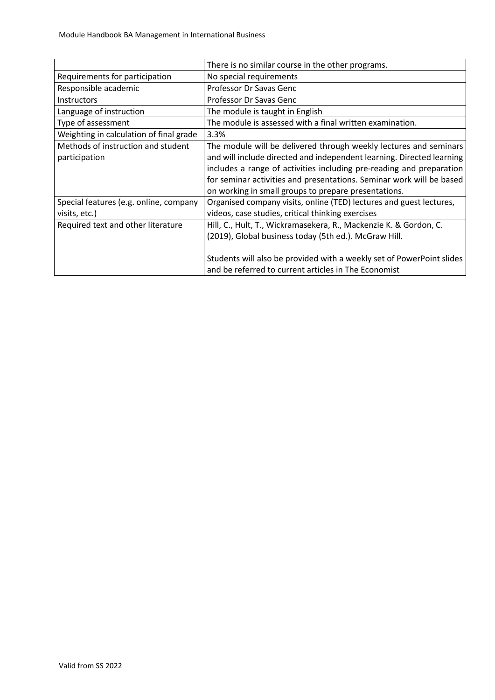|                                         | There is no similar course in the other programs.                     |
|-----------------------------------------|-----------------------------------------------------------------------|
| Requirements for participation          | No special requirements                                               |
| Responsible academic                    | Professor Dr Savas Genc                                               |
| <b>Instructors</b>                      | Professor Dr Savas Genc                                               |
| Language of instruction                 | The module is taught in English                                       |
| Type of assessment                      | The module is assessed with a final written examination.              |
| Weighting in calculation of final grade | 3.3%                                                                  |
| Methods of instruction and student      | The module will be delivered through weekly lectures and seminars     |
| participation                           | and will include directed and independent learning. Directed learning |
|                                         | includes a range of activities including pre-reading and preparation  |
|                                         | for seminar activities and presentations. Seminar work will be based  |
|                                         | on working in small groups to prepare presentations.                  |
| Special features (e.g. online, company  | Organised company visits, online (TED) lectures and guest lectures,   |
| visits, etc.)                           | videos, case studies, critical thinking exercises                     |
| Required text and other literature      | Hill, C., Hult, T., Wickramasekera, R., Mackenzie K. & Gordon, C.     |
|                                         | (2019), Global business today (5th ed.). McGraw Hill.                 |
|                                         |                                                                       |
|                                         | Students will also be provided with a weekly set of PowerPoint slides |
|                                         | and be referred to current articles in The Economist                  |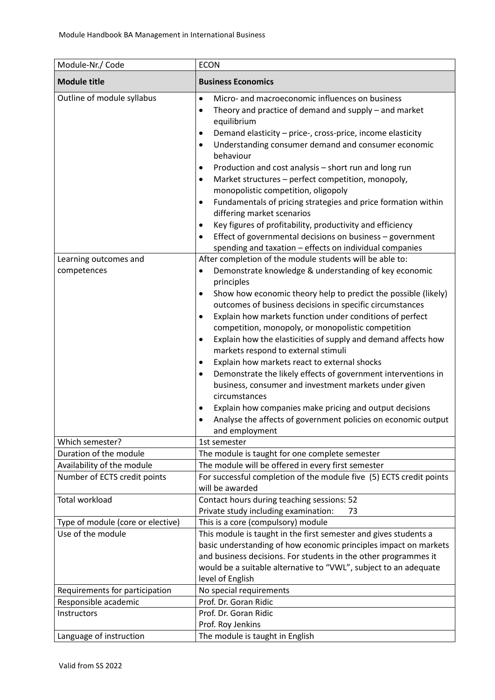| Module-Nr./ Code                                                                     | <b>ECON</b>                                                                                                                                                                                                                                                                                                                                                                                                                                                                                                                                                                                                                                                                                                                                                                                                                                                                                                                                            |
|--------------------------------------------------------------------------------------|--------------------------------------------------------------------------------------------------------------------------------------------------------------------------------------------------------------------------------------------------------------------------------------------------------------------------------------------------------------------------------------------------------------------------------------------------------------------------------------------------------------------------------------------------------------------------------------------------------------------------------------------------------------------------------------------------------------------------------------------------------------------------------------------------------------------------------------------------------------------------------------------------------------------------------------------------------|
| <b>Module title</b>                                                                  | <b>Business Economics</b>                                                                                                                                                                                                                                                                                                                                                                                                                                                                                                                                                                                                                                                                                                                                                                                                                                                                                                                              |
| Outline of module syllabus                                                           | Micro- and macroeconomic influences on business<br>$\bullet$<br>Theory and practice of demand and supply - and market<br>$\bullet$<br>equilibrium<br>Demand elasticity - price-, cross-price, income elasticity<br>$\bullet$<br>Understanding consumer demand and consumer economic<br>$\bullet$<br>behaviour<br>Production and cost analysis - short run and long run<br>٠<br>Market structures - perfect competition, monopoly,<br>$\bullet$<br>monopolistic competition, oligopoly<br>Fundamentals of pricing strategies and price formation within<br>٠<br>differing market scenarios<br>Key figures of profitability, productivity and efficiency<br>Effect of governmental decisions on business - government<br>$\bullet$                                                                                                                                                                                                                       |
| Learning outcomes and<br>competences                                                 | spending and taxation - effects on individual companies<br>After completion of the module students will be able to:<br>Demonstrate knowledge & understanding of key economic<br>٠<br>principles<br>Show how economic theory help to predict the possible (likely)<br>$\bullet$<br>outcomes of business decisions in specific circumstances<br>Explain how markets function under conditions of perfect<br>٠<br>competition, monopoly, or monopolistic competition<br>Explain how the elasticities of supply and demand affects how<br>٠<br>markets respond to external stimuli<br>Explain how markets react to external shocks<br>$\bullet$<br>Demonstrate the likely effects of government interventions in<br>$\bullet$<br>business, consumer and investment markets under given<br>circumstances<br>Explain how companies make pricing and output decisions<br>٠<br>Analyse the affects of government policies on economic output<br>and employment |
| Which semester?                                                                      | 1st semester                                                                                                                                                                                                                                                                                                                                                                                                                                                                                                                                                                                                                                                                                                                                                                                                                                                                                                                                           |
| Duration of the module<br>Availability of the module<br>Number of ECTS credit points | The module is taught for one complete semester<br>The module will be offered in every first semester<br>For successful completion of the module five (5) ECTS credit points<br>will be awarded                                                                                                                                                                                                                                                                                                                                                                                                                                                                                                                                                                                                                                                                                                                                                         |
| <b>Total workload</b>                                                                | Contact hours during teaching sessions: 52<br>Private study including examination:<br>73                                                                                                                                                                                                                                                                                                                                                                                                                                                                                                                                                                                                                                                                                                                                                                                                                                                               |
| Type of module (core or elective)<br>Use of the module                               | This is a core (compulsory) module<br>This module is taught in the first semester and gives students a<br>basic understanding of how economic principles impact on markets<br>and business decisions. For students in the other programmes it<br>would be a suitable alternative to "VWL", subject to an adequate<br>level of English                                                                                                                                                                                                                                                                                                                                                                                                                                                                                                                                                                                                                  |
| Requirements for participation                                                       | No special requirements                                                                                                                                                                                                                                                                                                                                                                                                                                                                                                                                                                                                                                                                                                                                                                                                                                                                                                                                |
| Responsible academic<br>Instructors                                                  | Prof. Dr. Goran Ridic<br>Prof. Dr. Goran Ridic<br>Prof. Roy Jenkins                                                                                                                                                                                                                                                                                                                                                                                                                                                                                                                                                                                                                                                                                                                                                                                                                                                                                    |
| Language of instruction                                                              | The module is taught in English                                                                                                                                                                                                                                                                                                                                                                                                                                                                                                                                                                                                                                                                                                                                                                                                                                                                                                                        |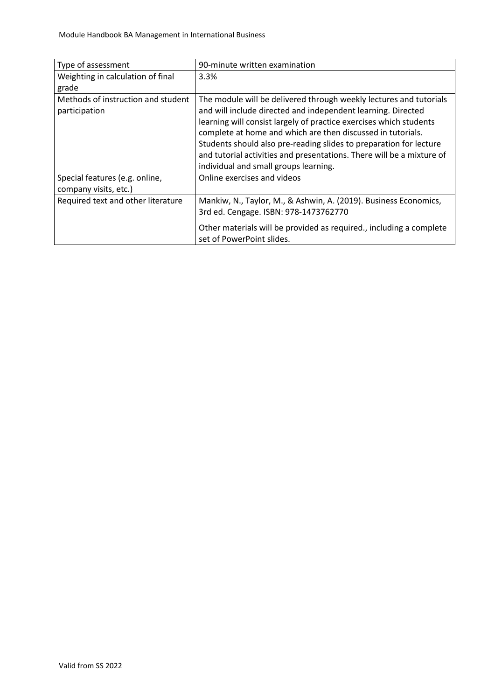| Type of assessment                 | 90-minute written examination                                                                    |
|------------------------------------|--------------------------------------------------------------------------------------------------|
| Weighting in calculation of final  | 3.3%                                                                                             |
| grade                              |                                                                                                  |
| Methods of instruction and student | The module will be delivered through weekly lectures and tutorials                               |
| participation                      | and will include directed and independent learning. Directed                                     |
|                                    | learning will consist largely of practice exercises which students                               |
|                                    | complete at home and which are then discussed in tutorials.                                      |
|                                    | Students should also pre-reading slides to preparation for lecture                               |
|                                    | and tutorial activities and presentations. There will be a mixture of                            |
|                                    | individual and small groups learning.                                                            |
| Special features (e.g. online,     | Online exercises and videos                                                                      |
| company visits, etc.)              |                                                                                                  |
| Required text and other literature | Mankiw, N., Taylor, M., & Ashwin, A. (2019). Business Economics,                                 |
|                                    | 3rd ed. Cengage. ISBN: 978-1473762770                                                            |
|                                    | Other materials will be provided as required., including a complete<br>set of PowerPoint slides. |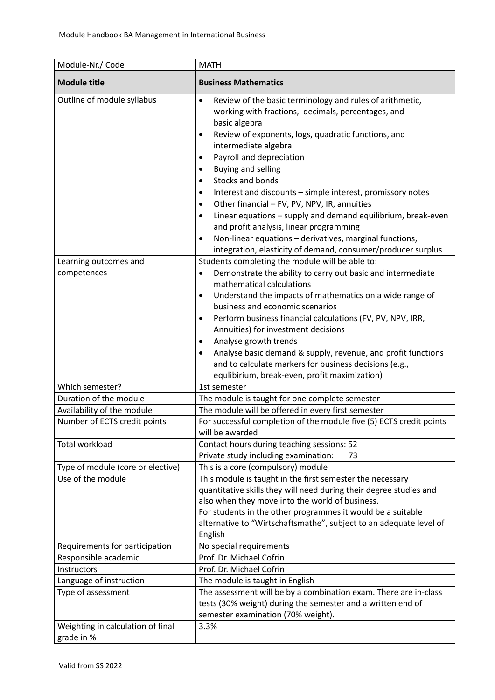| Module-Nr./ Code                                                   | <b>MATH</b>                                                                                                                                                                                                                                                                                                                                                                                                                                                                                                                                                                                                                                                                                                                                                                                                                                |
|--------------------------------------------------------------------|--------------------------------------------------------------------------------------------------------------------------------------------------------------------------------------------------------------------------------------------------------------------------------------------------------------------------------------------------------------------------------------------------------------------------------------------------------------------------------------------------------------------------------------------------------------------------------------------------------------------------------------------------------------------------------------------------------------------------------------------------------------------------------------------------------------------------------------------|
| <b>Module title</b>                                                | <b>Business Mathematics</b>                                                                                                                                                                                                                                                                                                                                                                                                                                                                                                                                                                                                                                                                                                                                                                                                                |
| Outline of module syllabus<br>Learning outcomes and<br>competences | Review of the basic terminology and rules of arithmetic,<br>$\bullet$<br>working with fractions, decimals, percentages, and<br>basic algebra<br>Review of exponents, logs, quadratic functions, and<br>$\bullet$<br>intermediate algebra<br>Payroll and depreciation<br>٠<br>Buying and selling<br>٠<br>Stocks and bonds<br>Interest and discounts - simple interest, promissory notes<br>Other financial - FV, PV, NPV, IR, annuities<br>$\bullet$<br>Linear equations - supply and demand equilibrium, break-even<br>$\bullet$<br>and profit analysis, linear programming<br>Non-linear equations - derivatives, marginal functions,<br>$\bullet$<br>integration, elasticity of demand, consumer/producer surplus<br>Students completing the module will be able to:<br>Demonstrate the ability to carry out basic and intermediate<br>٠ |
|                                                                    | mathematical calculations<br>Understand the impacts of mathematics on a wide range of<br>٠<br>business and economic scenarios<br>Perform business financial calculations (FV, PV, NPV, IRR,<br>٠<br>Annuities) for investment decisions<br>Analyse growth trends<br>٠<br>Analyse basic demand & supply, revenue, and profit functions<br>$\bullet$<br>and to calculate markers for business decisions (e.g.,<br>equlibirium, break-even, profit maximization)                                                                                                                                                                                                                                                                                                                                                                              |
| Which semester?                                                    | 1st semester                                                                                                                                                                                                                                                                                                                                                                                                                                                                                                                                                                                                                                                                                                                                                                                                                               |
| Duration of the module                                             | The module is taught for one complete semester                                                                                                                                                                                                                                                                                                                                                                                                                                                                                                                                                                                                                                                                                                                                                                                             |
| Availability of the module                                         | The module will be offered in every first semester                                                                                                                                                                                                                                                                                                                                                                                                                                                                                                                                                                                                                                                                                                                                                                                         |
| Number of ECTS credit points                                       | For successful completion of the module five (5) ECTS credit points<br>will be awarded                                                                                                                                                                                                                                                                                                                                                                                                                                                                                                                                                                                                                                                                                                                                                     |
| <b>Total workload</b>                                              | Contact hours during teaching sessions: 52<br>Private study including examination:<br>73                                                                                                                                                                                                                                                                                                                                                                                                                                                                                                                                                                                                                                                                                                                                                   |
| Type of module (core or elective)                                  | This is a core (compulsory) module                                                                                                                                                                                                                                                                                                                                                                                                                                                                                                                                                                                                                                                                                                                                                                                                         |
| Use of the module                                                  | This module is taught in the first semester the necessary<br>quantitative skills they will need during their degree studies and<br>also when they move into the world of business.<br>For students in the other programmes it would be a suitable<br>alternative to "Wirtschaftsmathe", subject to an adequate level of<br>English                                                                                                                                                                                                                                                                                                                                                                                                                                                                                                         |
| Requirements for participation                                     | No special requirements                                                                                                                                                                                                                                                                                                                                                                                                                                                                                                                                                                                                                                                                                                                                                                                                                    |
| Responsible academic                                               | Prof. Dr. Michael Cofrin                                                                                                                                                                                                                                                                                                                                                                                                                                                                                                                                                                                                                                                                                                                                                                                                                   |
| Instructors                                                        | Prof. Dr. Michael Cofrin                                                                                                                                                                                                                                                                                                                                                                                                                                                                                                                                                                                                                                                                                                                                                                                                                   |
| Language of instruction                                            | The module is taught in English                                                                                                                                                                                                                                                                                                                                                                                                                                                                                                                                                                                                                                                                                                                                                                                                            |
| Type of assessment                                                 | The assessment will be by a combination exam. There are in-class<br>tests (30% weight) during the semester and a written end of<br>semester examination (70% weight).                                                                                                                                                                                                                                                                                                                                                                                                                                                                                                                                                                                                                                                                      |
| Weighting in calculation of final<br>grade in %                    | 3.3%                                                                                                                                                                                                                                                                                                                                                                                                                                                                                                                                                                                                                                                                                                                                                                                                                                       |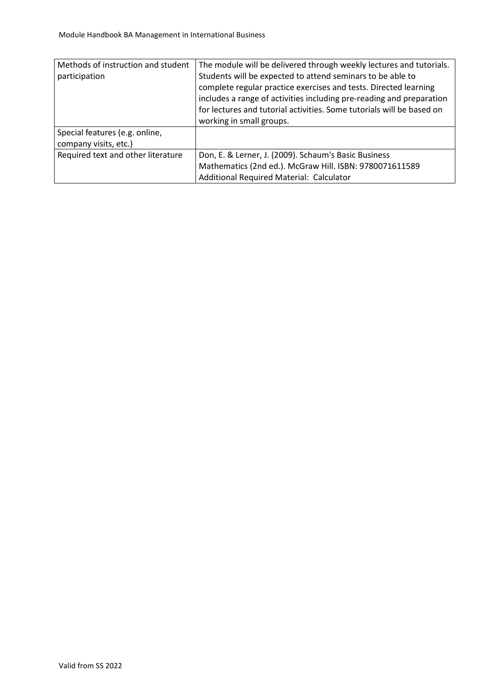| Methods of instruction and student | The module will be delivered through weekly lectures and tutorials.   |
|------------------------------------|-----------------------------------------------------------------------|
| participation                      | Students will be expected to attend seminars to be able to            |
|                                    | complete regular practice exercises and tests. Directed learning      |
|                                    | includes a range of activities including pre-reading and preparation  |
|                                    | for lectures and tutorial activities. Some tutorials will be based on |
|                                    | working in small groups.                                              |
| Special features (e.g. online,     |                                                                       |
| company visits, etc.)              |                                                                       |
| Required text and other literature | Don, E. & Lerner, J. (2009). Schaum's Basic Business                  |
|                                    | Mathematics (2nd ed.). McGraw Hill. ISBN: 9780071611589               |
|                                    | Additional Required Material: Calculator                              |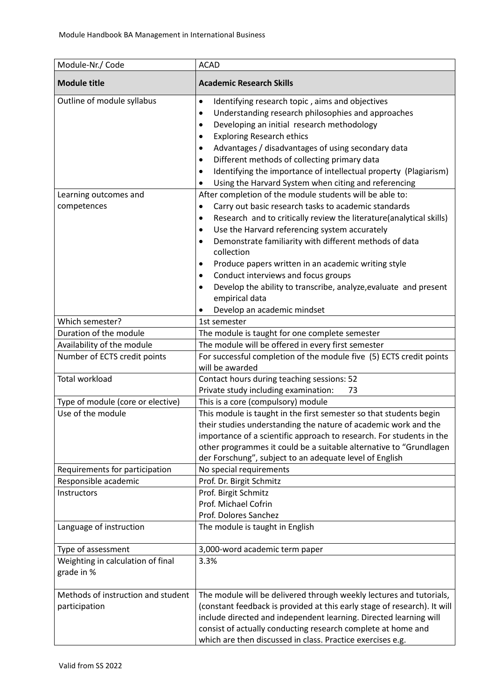| Module-Nr./ Code                                    | <b>ACAD</b>                                                                                                                                                                                                                                                                                                                                                                                                                                                                                                                                                                                    |
|-----------------------------------------------------|------------------------------------------------------------------------------------------------------------------------------------------------------------------------------------------------------------------------------------------------------------------------------------------------------------------------------------------------------------------------------------------------------------------------------------------------------------------------------------------------------------------------------------------------------------------------------------------------|
| <b>Module title</b>                                 | <b>Academic Research Skills</b>                                                                                                                                                                                                                                                                                                                                                                                                                                                                                                                                                                |
| Outline of module syllabus                          | Identifying research topic, aims and objectives<br>$\bullet$<br>Understanding research philosophies and approaches<br>$\bullet$<br>Developing an initial research methodology<br>٠<br><b>Exploring Research ethics</b><br>Advantages / disadvantages of using secondary data<br>٠<br>Different methods of collecting primary data<br>$\bullet$<br>Identifying the importance of intellectual property (Plagiarism)<br>$\bullet$<br>Using the Harvard System when citing and referencing                                                                                                        |
| Learning outcomes and<br>competences                | After completion of the module students will be able to:<br>Carry out basic research tasks to academic standards<br>٠<br>Research and to critically review the literature(analytical skills)<br>٠<br>Use the Harvard referencing system accurately<br>$\bullet$<br>Demonstrate familiarity with different methods of data<br>$\bullet$<br>collection<br>Produce papers written in an academic writing style<br>$\bullet$<br>Conduct interviews and focus groups<br>٠<br>Develop the ability to transcribe, analyze, evaluate and present<br>٠<br>empirical data<br>Develop an academic mindset |
| Which semester?                                     | 1st semester                                                                                                                                                                                                                                                                                                                                                                                                                                                                                                                                                                                   |
| Duration of the module                              | The module is taught for one complete semester                                                                                                                                                                                                                                                                                                                                                                                                                                                                                                                                                 |
| Availability of the module                          | The module will be offered in every first semester                                                                                                                                                                                                                                                                                                                                                                                                                                                                                                                                             |
| Number of ECTS credit points                        | For successful completion of the module five (5) ECTS credit points<br>will be awarded                                                                                                                                                                                                                                                                                                                                                                                                                                                                                                         |
| <b>Total workload</b>                               | Contact hours during teaching sessions: 52<br>Private study including examination:<br>73                                                                                                                                                                                                                                                                                                                                                                                                                                                                                                       |
| Type of module (core or elective)                   | This is a core (compulsory) module                                                                                                                                                                                                                                                                                                                                                                                                                                                                                                                                                             |
| Use of the module                                   | This module is taught in the first semester so that students begin<br>their studies understanding the nature of academic work and the<br>importance of a scientific approach to research. For students in the<br>other programmes it could be a suitable alternative to "Grundlagen<br>der Forschung", subject to an adequate level of English                                                                                                                                                                                                                                                 |
| Requirements for participation                      | No special requirements                                                                                                                                                                                                                                                                                                                                                                                                                                                                                                                                                                        |
| Responsible academic                                | Prof. Dr. Birgit Schmitz                                                                                                                                                                                                                                                                                                                                                                                                                                                                                                                                                                       |
| Instructors                                         | Prof. Birgit Schmitz<br>Prof. Michael Cofrin<br>Prof. Dolores Sanchez                                                                                                                                                                                                                                                                                                                                                                                                                                                                                                                          |
| Language of instruction                             | The module is taught in English                                                                                                                                                                                                                                                                                                                                                                                                                                                                                                                                                                |
| Type of assessment                                  | 3,000-word academic term paper                                                                                                                                                                                                                                                                                                                                                                                                                                                                                                                                                                 |
| Weighting in calculation of final<br>grade in %     | 3.3%                                                                                                                                                                                                                                                                                                                                                                                                                                                                                                                                                                                           |
| Methods of instruction and student<br>participation | The module will be delivered through weekly lectures and tutorials,<br>(constant feedback is provided at this early stage of research). It will<br>include directed and independent learning. Directed learning will<br>consist of actually conducting research complete at home and<br>which are then discussed in class. Practice exercises e.g.                                                                                                                                                                                                                                             |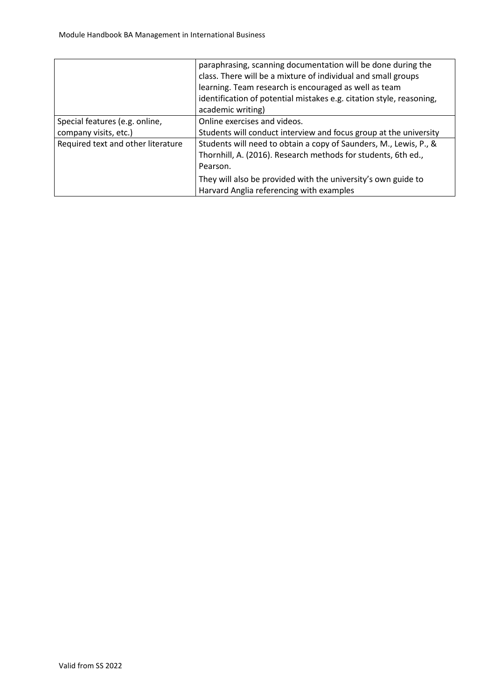|                                    | paraphrasing, scanning documentation will be done during the         |
|------------------------------------|----------------------------------------------------------------------|
|                                    | class. There will be a mixture of individual and small groups        |
|                                    | learning. Team research is encouraged as well as team                |
|                                    | identification of potential mistakes e.g. citation style, reasoning, |
|                                    | academic writing)                                                    |
| Special features (e.g. online,     | Online exercises and videos.                                         |
| company visits, etc.)              | Students will conduct interview and focus group at the university    |
| Required text and other literature | Students will need to obtain a copy of Saunders, M., Lewis, P., &    |
|                                    | Thornhill, A. (2016). Research methods for students, 6th ed.,        |
|                                    | Pearson.                                                             |
|                                    | They will also be provided with the university's own guide to        |
|                                    | Harvard Anglia referencing with examples                             |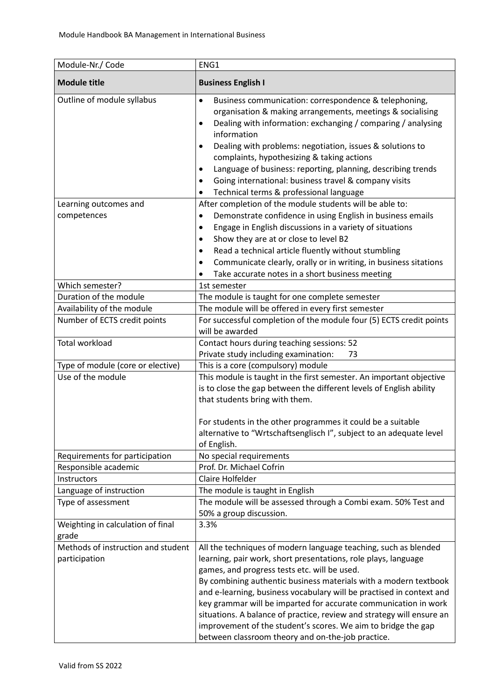| Module-Nr./ Code                                    | ENG1                                                                                                                                                                                                                                                                                                                                                                                                                                                                                                                                                                                            |
|-----------------------------------------------------|-------------------------------------------------------------------------------------------------------------------------------------------------------------------------------------------------------------------------------------------------------------------------------------------------------------------------------------------------------------------------------------------------------------------------------------------------------------------------------------------------------------------------------------------------------------------------------------------------|
| <b>Module title</b>                                 | <b>Business English I</b>                                                                                                                                                                                                                                                                                                                                                                                                                                                                                                                                                                       |
| Outline of module syllabus                          | Business communication: correspondence & telephoning,<br>$\bullet$<br>organisation & making arrangements, meetings & socialising<br>Dealing with information: exchanging / comparing / analysing<br>٠<br>information<br>Dealing with problems: negotiation, issues & solutions to<br>٠<br>complaints, hypothesizing & taking actions<br>Language of business: reporting, planning, describing trends<br>٠<br>Going international: business travel & company visits<br>$\bullet$<br>Technical terms & professional language                                                                      |
| Learning outcomes and                               | After completion of the module students will be able to:                                                                                                                                                                                                                                                                                                                                                                                                                                                                                                                                        |
| competences                                         | Demonstrate confidence in using English in business emails<br>$\bullet$<br>Engage in English discussions in a variety of situations<br>٠<br>Show they are at or close to level B2<br>$\bullet$<br>Read a technical article fluently without stumbling<br>Communicate clearly, orally or in writing, in business sitations<br>٠<br>Take accurate notes in a short business meeting                                                                                                                                                                                                               |
| Which semester?                                     | 1st semester                                                                                                                                                                                                                                                                                                                                                                                                                                                                                                                                                                                    |
| Duration of the module                              | The module is taught for one complete semester                                                                                                                                                                                                                                                                                                                                                                                                                                                                                                                                                  |
| Availability of the module                          | The module will be offered in every first semester                                                                                                                                                                                                                                                                                                                                                                                                                                                                                                                                              |
| Number of ECTS credit points                        | For successful completion of the module four (5) ECTS credit points<br>will be awarded                                                                                                                                                                                                                                                                                                                                                                                                                                                                                                          |
| <b>Total workload</b>                               | Contact hours during teaching sessions: 52<br>Private study including examination:<br>73                                                                                                                                                                                                                                                                                                                                                                                                                                                                                                        |
| Type of module (core or elective)                   | This is a core (compulsory) module                                                                                                                                                                                                                                                                                                                                                                                                                                                                                                                                                              |
| Use of the module                                   | This module is taught in the first semester. An important objective<br>is to close the gap between the different levels of English ability<br>that students bring with them.<br>For students in the other programmes it could be a suitable<br>alternative to "Wrtschaftsenglisch I", subject to an adequate level                                                                                                                                                                                                                                                                              |
| Requirements for participation                      | of English.<br>No special requirements                                                                                                                                                                                                                                                                                                                                                                                                                                                                                                                                                          |
| Responsible academic                                | Prof. Dr. Michael Cofrin                                                                                                                                                                                                                                                                                                                                                                                                                                                                                                                                                                        |
| Instructors                                         | Claire Holfelder                                                                                                                                                                                                                                                                                                                                                                                                                                                                                                                                                                                |
| Language of instruction                             | The module is taught in English                                                                                                                                                                                                                                                                                                                                                                                                                                                                                                                                                                 |
| Type of assessment                                  | The module will be assessed through a Combi exam. 50% Test and<br>50% a group discussion.                                                                                                                                                                                                                                                                                                                                                                                                                                                                                                       |
| Weighting in calculation of final<br>grade          | 3.3%                                                                                                                                                                                                                                                                                                                                                                                                                                                                                                                                                                                            |
| Methods of instruction and student<br>participation | All the techniques of modern language teaching, such as blended<br>learning, pair work, short presentations, role plays, language<br>games, and progress tests etc. will be used.<br>By combining authentic business materials with a modern textbook<br>and e-learning, business vocabulary will be practised in context and<br>key grammar will be imparted for accurate communication in work<br>situations. A balance of practice, review and strategy will ensure an<br>improvement of the student's scores. We aim to bridge the gap<br>between classroom theory and on-the-job practice. |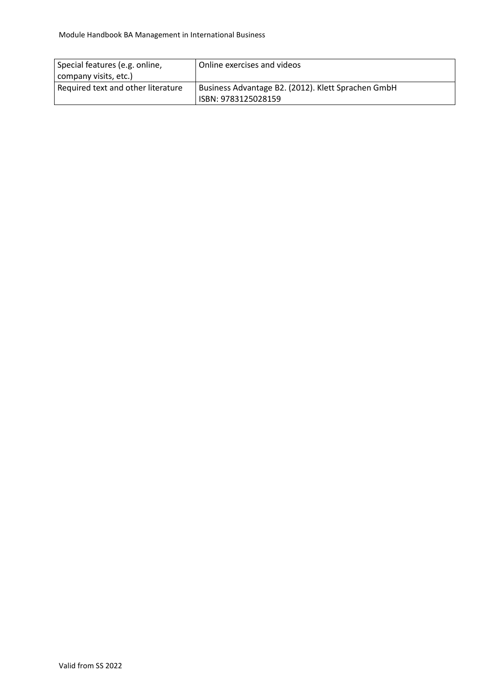| Special features (e.g. online,     | Online exercises and videos                        |
|------------------------------------|----------------------------------------------------|
| company visits, etc.)              |                                                    |
| Required text and other literature | Business Advantage B2. (2012). Klett Sprachen GmbH |
|                                    | ISBN: 9783125028159                                |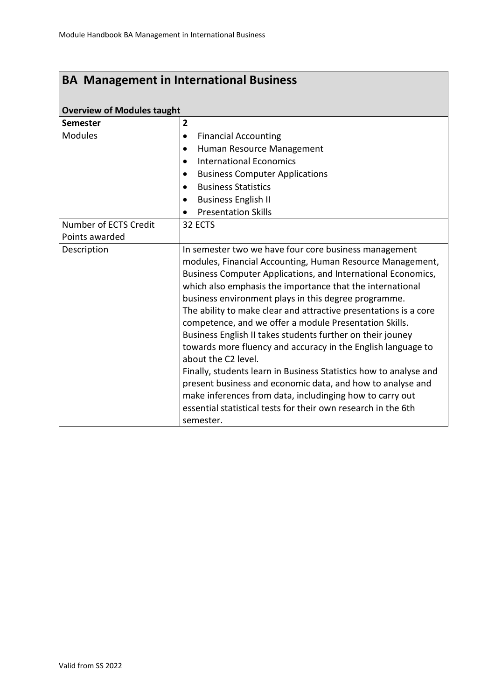## **Overview of Modules taught**

| OVCI VICW OF IVIOUGICS taught |                                                                                                                                                                                                                                                                                                                                                                                                                                                                                                                                                                                                                                                                                                                                                                                                                                                                         |
|-------------------------------|-------------------------------------------------------------------------------------------------------------------------------------------------------------------------------------------------------------------------------------------------------------------------------------------------------------------------------------------------------------------------------------------------------------------------------------------------------------------------------------------------------------------------------------------------------------------------------------------------------------------------------------------------------------------------------------------------------------------------------------------------------------------------------------------------------------------------------------------------------------------------|
| <b>Semester</b>               | $\overline{\mathbf{2}}$                                                                                                                                                                                                                                                                                                                                                                                                                                                                                                                                                                                                                                                                                                                                                                                                                                                 |
| <b>Modules</b>                | <b>Financial Accounting</b><br>$\bullet$                                                                                                                                                                                                                                                                                                                                                                                                                                                                                                                                                                                                                                                                                                                                                                                                                                |
|                               | Human Resource Management<br>$\bullet$                                                                                                                                                                                                                                                                                                                                                                                                                                                                                                                                                                                                                                                                                                                                                                                                                                  |
|                               | <b>International Economics</b><br>$\bullet$                                                                                                                                                                                                                                                                                                                                                                                                                                                                                                                                                                                                                                                                                                                                                                                                                             |
|                               | <b>Business Computer Applications</b><br>٠                                                                                                                                                                                                                                                                                                                                                                                                                                                                                                                                                                                                                                                                                                                                                                                                                              |
|                               | <b>Business Statistics</b><br>$\bullet$                                                                                                                                                                                                                                                                                                                                                                                                                                                                                                                                                                                                                                                                                                                                                                                                                                 |
|                               | <b>Business English II</b><br>$\bullet$                                                                                                                                                                                                                                                                                                                                                                                                                                                                                                                                                                                                                                                                                                                                                                                                                                 |
|                               | <b>Presentation Skills</b>                                                                                                                                                                                                                                                                                                                                                                                                                                                                                                                                                                                                                                                                                                                                                                                                                                              |
| Number of ECTS Credit         | 32 ECTS                                                                                                                                                                                                                                                                                                                                                                                                                                                                                                                                                                                                                                                                                                                                                                                                                                                                 |
| Points awarded                |                                                                                                                                                                                                                                                                                                                                                                                                                                                                                                                                                                                                                                                                                                                                                                                                                                                                         |
| Description                   | In semester two we have four core business management<br>modules, Financial Accounting, Human Resource Management,<br>Business Computer Applications, and International Economics,<br>which also emphasis the importance that the international<br>business environment plays in this degree programme.<br>The ability to make clear and attractive presentations is a core<br>competence, and we offer a module Presentation Skills.<br>Business English II takes students further on their jouney<br>towards more fluency and accuracy in the English language to<br>about the C2 level.<br>Finally, students learn in Business Statistics how to analyse and<br>present business and economic data, and how to analyse and<br>make inferences from data, includinging how to carry out<br>essential statistical tests for their own research in the 6th<br>semester. |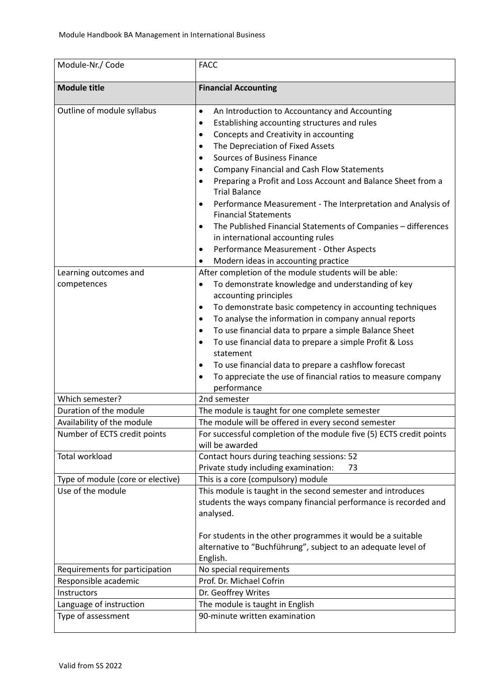| Module-Nr./ Code                  | <b>FACC</b>                                                                                                                                                                                                                                                                                                                                                                                                                                                                                                                                                                                                                                                                                     |
|-----------------------------------|-------------------------------------------------------------------------------------------------------------------------------------------------------------------------------------------------------------------------------------------------------------------------------------------------------------------------------------------------------------------------------------------------------------------------------------------------------------------------------------------------------------------------------------------------------------------------------------------------------------------------------------------------------------------------------------------------|
| <b>Module title</b>               | <b>Financial Accounting</b>                                                                                                                                                                                                                                                                                                                                                                                                                                                                                                                                                                                                                                                                     |
| Outline of module syllabus        | An Introduction to Accountancy and Accounting<br>$\bullet$<br>Establishing accounting structures and rules<br>$\bullet$<br>Concepts and Creativity in accounting<br>٠<br>The Depreciation of Fixed Assets<br>٠<br><b>Sources of Business Finance</b><br>٠<br><b>Company Financial and Cash Flow Statements</b><br>٠<br>Preparing a Profit and Loss Account and Balance Sheet from a<br>٠<br><b>Trial Balance</b><br>Performance Measurement - The Interpretation and Analysis of<br>$\bullet$<br><b>Financial Statements</b><br>The Published Financial Statements of Companies - differences<br>$\bullet$<br>in international accounting rules<br>Performance Measurement - Other Aspects<br>٠ |
| Learning outcomes and             | Modern ideas in accounting practice<br>٠<br>After completion of the module students will be able:                                                                                                                                                                                                                                                                                                                                                                                                                                                                                                                                                                                               |
| competences                       | To demonstrate knowledge and understanding of key<br>$\bullet$<br>accounting principles<br>To demonstrate basic competency in accounting techniques<br>$\bullet$<br>To analyse the information in company annual reports<br>٠<br>To use financial data to prpare a simple Balance Sheet<br>٠<br>To use financial data to prepare a simple Profit & Loss<br>$\bullet$<br>statement<br>To use financial data to prepare a cashflow forecast<br>٠<br>To appreciate the use of financial ratios to measure company<br>٠<br>performance                                                                                                                                                              |
| Which semester?                   | 2nd semester                                                                                                                                                                                                                                                                                                                                                                                                                                                                                                                                                                                                                                                                                    |
| Duration of the module            | The module is taught for one complete semester                                                                                                                                                                                                                                                                                                                                                                                                                                                                                                                                                                                                                                                  |
| Availability of the module        | The module will be offered in every second semester                                                                                                                                                                                                                                                                                                                                                                                                                                                                                                                                                                                                                                             |
| Number of ECTS credit points      | For successful completion of the module five (5) ECTS credit points<br>will be awarded                                                                                                                                                                                                                                                                                                                                                                                                                                                                                                                                                                                                          |
| <b>Total workload</b>             | Contact hours during teaching sessions: 52<br>Private study including examination:<br>73                                                                                                                                                                                                                                                                                                                                                                                                                                                                                                                                                                                                        |
| Type of module (core or elective) | This is a core (compulsory) module                                                                                                                                                                                                                                                                                                                                                                                                                                                                                                                                                                                                                                                              |
| Use of the module                 | This module is taught in the second semester and introduces<br>students the ways company financial performance is recorded and<br>analysed.<br>For students in the other programmes it would be a suitable<br>alternative to "Buchführung", subject to an adequate level of<br>English.                                                                                                                                                                                                                                                                                                                                                                                                         |
| Requirements for participation    | No special requirements                                                                                                                                                                                                                                                                                                                                                                                                                                                                                                                                                                                                                                                                         |
| Responsible academic              | Prof. Dr. Michael Cofrin                                                                                                                                                                                                                                                                                                                                                                                                                                                                                                                                                                                                                                                                        |
| Instructors                       | Dr. Geoffrey Writes                                                                                                                                                                                                                                                                                                                                                                                                                                                                                                                                                                                                                                                                             |
| Language of instruction           | The module is taught in English                                                                                                                                                                                                                                                                                                                                                                                                                                                                                                                                                                                                                                                                 |
| Type of assessment                | 90-minute written examination                                                                                                                                                                                                                                                                                                                                                                                                                                                                                                                                                                                                                                                                   |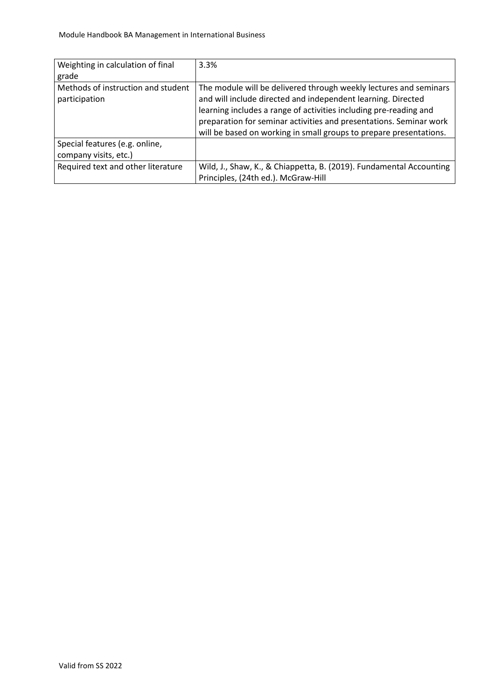| Weighting in calculation of final<br>grade              | 3.3%                                                                                                                                                                                                                                                                                                                                               |
|---------------------------------------------------------|----------------------------------------------------------------------------------------------------------------------------------------------------------------------------------------------------------------------------------------------------------------------------------------------------------------------------------------------------|
| Methods of instruction and student<br>participation     | The module will be delivered through weekly lectures and seminars<br>and will include directed and independent learning. Directed<br>learning includes a range of activities including pre-reading and<br>preparation for seminar activities and presentations. Seminar work<br>will be based on working in small groups to prepare presentations. |
| Special features (e.g. online,<br>company visits, etc.) |                                                                                                                                                                                                                                                                                                                                                    |
| Required text and other literature                      | Wild, J., Shaw, K., & Chiappetta, B. (2019). Fundamental Accounting<br>Principles, (24th ed.). McGraw-Hill                                                                                                                                                                                                                                         |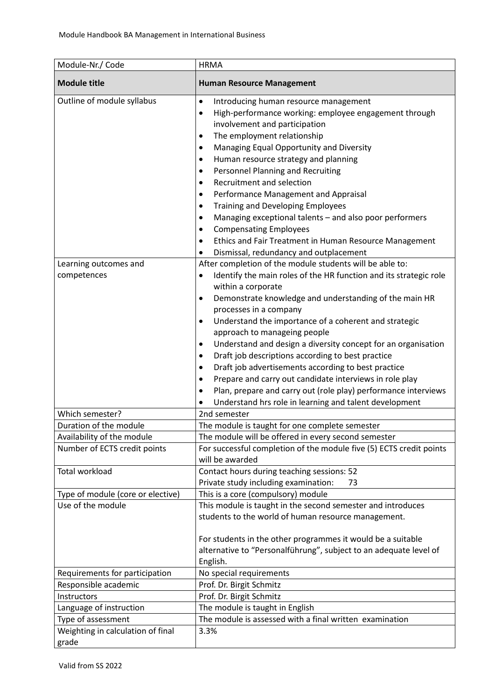| Module-Nr./ Code                                                   | <b>HRMA</b>                                                                                                                                                                                                                                                                                                                                                                                                                                                                                                                                                                                                                                                                                                                                                                                                                                                                                                                                                                                                                                                                                                                   |
|--------------------------------------------------------------------|-------------------------------------------------------------------------------------------------------------------------------------------------------------------------------------------------------------------------------------------------------------------------------------------------------------------------------------------------------------------------------------------------------------------------------------------------------------------------------------------------------------------------------------------------------------------------------------------------------------------------------------------------------------------------------------------------------------------------------------------------------------------------------------------------------------------------------------------------------------------------------------------------------------------------------------------------------------------------------------------------------------------------------------------------------------------------------------------------------------------------------|
| <b>Module title</b>                                                | <b>Human Resource Management</b>                                                                                                                                                                                                                                                                                                                                                                                                                                                                                                                                                                                                                                                                                                                                                                                                                                                                                                                                                                                                                                                                                              |
| Outline of module syllabus<br>Learning outcomes and<br>competences | Introducing human resource management<br>٠<br>High-performance working: employee engagement through<br>$\bullet$<br>involvement and participation<br>The employment relationship<br>٠<br>Managing Equal Opportunity and Diversity<br>$\bullet$<br>Human resource strategy and planning<br>$\bullet$<br>Personnel Planning and Recruiting<br>Recruitment and selection<br>$\bullet$<br>Performance Management and Appraisal<br>$\bullet$<br>Training and Developing Employees<br>Managing exceptional talents - and also poor performers<br>$\bullet$<br><b>Compensating Employees</b><br>Ethics and Fair Treatment in Human Resource Management<br>Dismissal, redundancy and outplacement<br>After completion of the module students will be able to:<br>Identify the main roles of the HR function and its strategic role<br>within a corporate<br>Demonstrate knowledge and understanding of the main HR<br>$\bullet$<br>processes in a company<br>Understand the importance of a coherent and strategic<br>٠<br>approach to manageing people<br>Understand and design a diversity concept for an organisation<br>$\bullet$ |
|                                                                    | Draft job descriptions according to best practice<br>٠<br>Draft job advertisements according to best practice<br>٠<br>Prepare and carry out candidate interviews in role play<br>$\bullet$<br>Plan, prepare and carry out (role play) performance interviews<br>٠                                                                                                                                                                                                                                                                                                                                                                                                                                                                                                                                                                                                                                                                                                                                                                                                                                                             |
|                                                                    | Understand hrs role in learning and talent development                                                                                                                                                                                                                                                                                                                                                                                                                                                                                                                                                                                                                                                                                                                                                                                                                                                                                                                                                                                                                                                                        |
| Which semester?                                                    | 2nd semester                                                                                                                                                                                                                                                                                                                                                                                                                                                                                                                                                                                                                                                                                                                                                                                                                                                                                                                                                                                                                                                                                                                  |
| Duration of the module                                             | The module is taught for one complete semester                                                                                                                                                                                                                                                                                                                                                                                                                                                                                                                                                                                                                                                                                                                                                                                                                                                                                                                                                                                                                                                                                |
| Availability of the module                                         | The module will be offered in every second semester                                                                                                                                                                                                                                                                                                                                                                                                                                                                                                                                                                                                                                                                                                                                                                                                                                                                                                                                                                                                                                                                           |
| Number of ECTS credit points                                       | For successful completion of the module five (5) ECTS credit points                                                                                                                                                                                                                                                                                                                                                                                                                                                                                                                                                                                                                                                                                                                                                                                                                                                                                                                                                                                                                                                           |
| <b>Total workload</b>                                              | will be awarded                                                                                                                                                                                                                                                                                                                                                                                                                                                                                                                                                                                                                                                                                                                                                                                                                                                                                                                                                                                                                                                                                                               |
|                                                                    | Contact hours during teaching sessions: 52<br>Private study including examination:<br>73                                                                                                                                                                                                                                                                                                                                                                                                                                                                                                                                                                                                                                                                                                                                                                                                                                                                                                                                                                                                                                      |
| Type of module (core or elective)                                  | This is a core (compulsory) module                                                                                                                                                                                                                                                                                                                                                                                                                                                                                                                                                                                                                                                                                                                                                                                                                                                                                                                                                                                                                                                                                            |
| Use of the module                                                  | This module is taught in the second semester and introduces<br>students to the world of human resource management.<br>For students in the other programmes it would be a suitable<br>alternative to "Personalführung", subject to an adequate level of                                                                                                                                                                                                                                                                                                                                                                                                                                                                                                                                                                                                                                                                                                                                                                                                                                                                        |
|                                                                    | English.                                                                                                                                                                                                                                                                                                                                                                                                                                                                                                                                                                                                                                                                                                                                                                                                                                                                                                                                                                                                                                                                                                                      |
| Requirements for participation                                     | No special requirements                                                                                                                                                                                                                                                                                                                                                                                                                                                                                                                                                                                                                                                                                                                                                                                                                                                                                                                                                                                                                                                                                                       |
| Responsible academic                                               | Prof. Dr. Birgit Schmitz                                                                                                                                                                                                                                                                                                                                                                                                                                                                                                                                                                                                                                                                                                                                                                                                                                                                                                                                                                                                                                                                                                      |
| Instructors                                                        | Prof. Dr. Birgit Schmitz                                                                                                                                                                                                                                                                                                                                                                                                                                                                                                                                                                                                                                                                                                                                                                                                                                                                                                                                                                                                                                                                                                      |
| Language of instruction                                            | The module is taught in English                                                                                                                                                                                                                                                                                                                                                                                                                                                                                                                                                                                                                                                                                                                                                                                                                                                                                                                                                                                                                                                                                               |
| Type of assessment                                                 | The module is assessed with a final written examination                                                                                                                                                                                                                                                                                                                                                                                                                                                                                                                                                                                                                                                                                                                                                                                                                                                                                                                                                                                                                                                                       |
| Weighting in calculation of final<br>grade                         | 3.3%                                                                                                                                                                                                                                                                                                                                                                                                                                                                                                                                                                                                                                                                                                                                                                                                                                                                                                                                                                                                                                                                                                                          |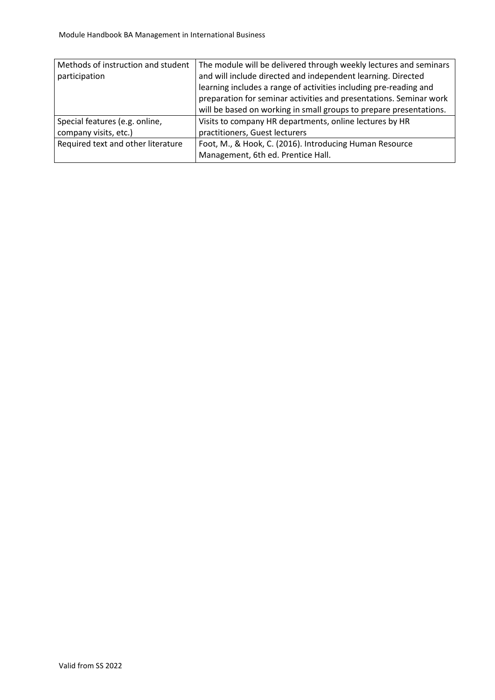| Methods of instruction and student | The module will be delivered through weekly lectures and seminars  |
|------------------------------------|--------------------------------------------------------------------|
| participation                      | and will include directed and independent learning. Directed       |
|                                    | learning includes a range of activities including pre-reading and  |
|                                    | preparation for seminar activities and presentations. Seminar work |
|                                    | will be based on working in small groups to prepare presentations. |
| Special features (e.g. online,     | Visits to company HR departments, online lectures by HR            |
| company visits, etc.)              | practitioners, Guest lecturers                                     |
| Required text and other literature | Foot, M., & Hook, C. (2016). Introducing Human Resource            |
|                                    | Management, 6th ed. Prentice Hall.                                 |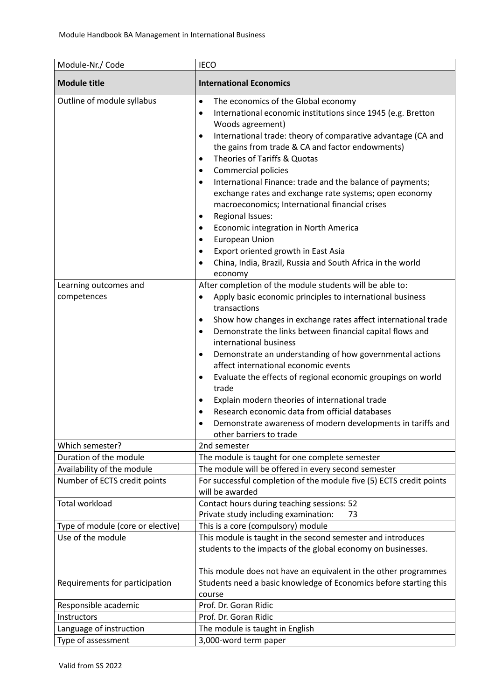| Module-Nr./ Code                                                             | <b>IECO</b>                                                                                                                                                                                                                                                                                                                                                                                                                                                                                                                                                                                                                                                                                                                                                                                     |
|------------------------------------------------------------------------------|-------------------------------------------------------------------------------------------------------------------------------------------------------------------------------------------------------------------------------------------------------------------------------------------------------------------------------------------------------------------------------------------------------------------------------------------------------------------------------------------------------------------------------------------------------------------------------------------------------------------------------------------------------------------------------------------------------------------------------------------------------------------------------------------------|
| <b>Module title</b>                                                          | <b>International Economics</b>                                                                                                                                                                                                                                                                                                                                                                                                                                                                                                                                                                                                                                                                                                                                                                  |
| Outline of module syllabus                                                   | The economics of the Global economy<br>٠<br>International economic institutions since 1945 (e.g. Bretton<br>$\bullet$<br>Woods agreement)<br>International trade: theory of comparative advantage (CA and<br>$\bullet$<br>the gains from trade & CA and factor endowments)<br>Theories of Tariffs & Quotas<br>$\bullet$<br><b>Commercial policies</b><br>٠<br>International Finance: trade and the balance of payments;<br>$\bullet$<br>exchange rates and exchange rate systems; open economy<br>macroeconomics; International financial crises<br>Regional Issues:<br>٠<br>Economic integration in North America<br>$\bullet$<br><b>European Union</b><br>٠<br>Export oriented growth in East Asia<br>٠<br>China, India, Brazil, Russia and South Africa in the world<br>$\bullet$<br>economy |
| Learning outcomes and<br>competences                                         | After completion of the module students will be able to:<br>Apply basic economic principles to international business<br>$\bullet$<br>transactions<br>Show how changes in exchange rates affect international trade<br>٠<br>Demonstrate the links between financial capital flows and<br>$\bullet$<br>international business<br>Demonstrate an understanding of how governmental actions<br>$\bullet$<br>affect international economic events<br>Evaluate the effects of regional economic groupings on world<br>٠<br>trade<br>Explain modern theories of international trade<br>٠<br>Research economic data from official databases<br>$\bullet$<br>Demonstrate awareness of modern developments in tariffs and<br>$\bullet$<br>other barriers to trade                                        |
| Which semester?                                                              | 2nd semester                                                                                                                                                                                                                                                                                                                                                                                                                                                                                                                                                                                                                                                                                                                                                                                    |
| Duration of the module                                                       | The module is taught for one complete semester                                                                                                                                                                                                                                                                                                                                                                                                                                                                                                                                                                                                                                                                                                                                                  |
| Availability of the module<br>Number of ECTS credit points<br>Total workload | The module will be offered in every second semester<br>For successful completion of the module five (5) ECTS credit points<br>will be awarded<br>Contact hours during teaching sessions: 52                                                                                                                                                                                                                                                                                                                                                                                                                                                                                                                                                                                                     |
|                                                                              | Private study including examination:<br>73                                                                                                                                                                                                                                                                                                                                                                                                                                                                                                                                                                                                                                                                                                                                                      |
| Type of module (core or elective)<br>Use of the module                       | This is a core (compulsory) module<br>This module is taught in the second semester and introduces<br>students to the impacts of the global economy on businesses.<br>This module does not have an equivalent in the other programmes                                                                                                                                                                                                                                                                                                                                                                                                                                                                                                                                                            |
| Requirements for participation                                               | Students need a basic knowledge of Economics before starting this<br>course                                                                                                                                                                                                                                                                                                                                                                                                                                                                                                                                                                                                                                                                                                                     |
| Responsible academic                                                         | Prof. Dr. Goran Ridic                                                                                                                                                                                                                                                                                                                                                                                                                                                                                                                                                                                                                                                                                                                                                                           |
| Instructors                                                                  | Prof. Dr. Goran Ridic                                                                                                                                                                                                                                                                                                                                                                                                                                                                                                                                                                                                                                                                                                                                                                           |
| Language of instruction<br>Type of assessment                                | The module is taught in English<br>3,000-word term paper                                                                                                                                                                                                                                                                                                                                                                                                                                                                                                                                                                                                                                                                                                                                        |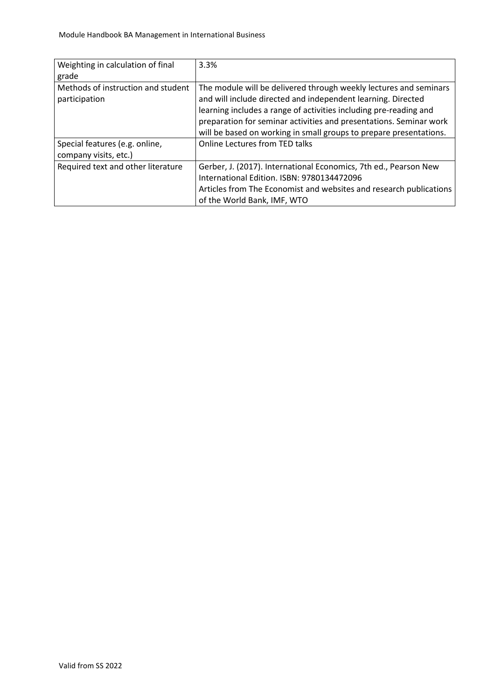| Weighting in calculation of final  | 3.3%                                                               |
|------------------------------------|--------------------------------------------------------------------|
| grade                              |                                                                    |
| Methods of instruction and student | The module will be delivered through weekly lectures and seminars  |
| participation                      | and will include directed and independent learning. Directed       |
|                                    | learning includes a range of activities including pre-reading and  |
|                                    | preparation for seminar activities and presentations. Seminar work |
|                                    | will be based on working in small groups to prepare presentations. |
| Special features (e.g. online,     | Online Lectures from TED talks                                     |
| company visits, etc.)              |                                                                    |
| Required text and other literature | Gerber, J. (2017). International Economics, 7th ed., Pearson New   |
|                                    | International Edition. ISBN: 9780134472096                         |
|                                    | Articles from The Economist and websites and research publications |
|                                    | of the World Bank, IMF, WTO                                        |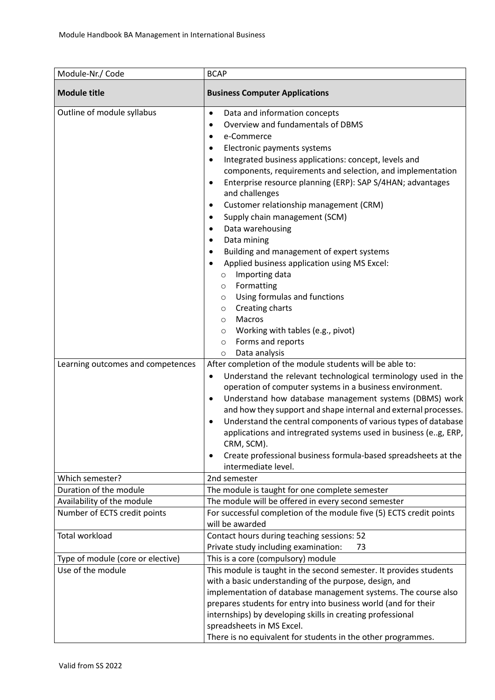| Module-Nr./ Code                                                | <b>BCAP</b>                                                                                                                                                                                                                                                                                                                                                                                                                                                                                                                                                                                                                                                                                                                                                                                                                                                                                                                                                                                                                                                                                                                                                                                                                                                                                                                                                                                                                                                                      |
|-----------------------------------------------------------------|----------------------------------------------------------------------------------------------------------------------------------------------------------------------------------------------------------------------------------------------------------------------------------------------------------------------------------------------------------------------------------------------------------------------------------------------------------------------------------------------------------------------------------------------------------------------------------------------------------------------------------------------------------------------------------------------------------------------------------------------------------------------------------------------------------------------------------------------------------------------------------------------------------------------------------------------------------------------------------------------------------------------------------------------------------------------------------------------------------------------------------------------------------------------------------------------------------------------------------------------------------------------------------------------------------------------------------------------------------------------------------------------------------------------------------------------------------------------------------|
| <b>Module title</b>                                             | <b>Business Computer Applications</b>                                                                                                                                                                                                                                                                                                                                                                                                                                                                                                                                                                                                                                                                                                                                                                                                                                                                                                                                                                                                                                                                                                                                                                                                                                                                                                                                                                                                                                            |
| Outline of module syllabus<br>Learning outcomes and competences | Data and information concepts<br>$\bullet$<br>Overview and fundamentals of DBMS<br>$\bullet$<br>e-Commerce<br>٠<br>Electronic payments systems<br>٠<br>Integrated business applications: concept, levels and<br>$\bullet$<br>components, requirements and selection, and implementation<br>Enterprise resource planning (ERP): SAP S/4HAN; advantages<br>$\bullet$<br>and challenges<br>Customer relationship management (CRM)<br>$\bullet$<br>Supply chain management (SCM)<br>٠<br>Data warehousing<br>٠<br>Data mining<br>Building and management of expert systems<br>Applied business application using MS Excel:<br>Importing data<br>O<br>Formatting<br>$\circ$<br>Using formulas and functions<br>$\circ$<br>Creating charts<br>$\circ$<br>Macros<br>$\circ$<br>Working with tables (e.g., pivot)<br>$\circ$<br>Forms and reports<br>$\circ$<br>Data analysis<br>$\circ$<br>After completion of the module students will be able to:<br>Understand the relevant technological terminology used in the<br>$\bullet$<br>operation of computer systems in a business environment.<br>Understand how database management systems (DBMS) work<br>$\bullet$<br>and how they support and shape internal and external processes.<br>Understand the central components of various types of database<br>$\bullet$<br>applications and intregrated systems used in business (e.g, ERP,<br>CRM, SCM).<br>Create professional business formula-based spreadsheets at the<br>$\bullet$ |
| Which semester?                                                 | intermediate level.<br>2nd semester                                                                                                                                                                                                                                                                                                                                                                                                                                                                                                                                                                                                                                                                                                                                                                                                                                                                                                                                                                                                                                                                                                                                                                                                                                                                                                                                                                                                                                              |
| Duration of the module                                          | The module is taught for one complete semester                                                                                                                                                                                                                                                                                                                                                                                                                                                                                                                                                                                                                                                                                                                                                                                                                                                                                                                                                                                                                                                                                                                                                                                                                                                                                                                                                                                                                                   |
| Availability of the module                                      | The module will be offered in every second semester                                                                                                                                                                                                                                                                                                                                                                                                                                                                                                                                                                                                                                                                                                                                                                                                                                                                                                                                                                                                                                                                                                                                                                                                                                                                                                                                                                                                                              |
| Number of ECTS credit points                                    | For successful completion of the module five (5) ECTS credit points<br>will be awarded                                                                                                                                                                                                                                                                                                                                                                                                                                                                                                                                                                                                                                                                                                                                                                                                                                                                                                                                                                                                                                                                                                                                                                                                                                                                                                                                                                                           |
| <b>Total workload</b>                                           | Contact hours during teaching sessions: 52<br>Private study including examination:<br>73                                                                                                                                                                                                                                                                                                                                                                                                                                                                                                                                                                                                                                                                                                                                                                                                                                                                                                                                                                                                                                                                                                                                                                                                                                                                                                                                                                                         |
| Type of module (core or elective)                               | This is a core (compulsory) module                                                                                                                                                                                                                                                                                                                                                                                                                                                                                                                                                                                                                                                                                                                                                                                                                                                                                                                                                                                                                                                                                                                                                                                                                                                                                                                                                                                                                                               |
| Use of the module                                               | This module is taught in the second semester. It provides students<br>with a basic understanding of the purpose, design, and<br>implementation of database management systems. The course also<br>prepares students for entry into business world (and for their<br>internships) by developing skills in creating professional<br>spreadsheets in MS Excel.<br>There is no equivalent for students in the other programmes.                                                                                                                                                                                                                                                                                                                                                                                                                                                                                                                                                                                                                                                                                                                                                                                                                                                                                                                                                                                                                                                      |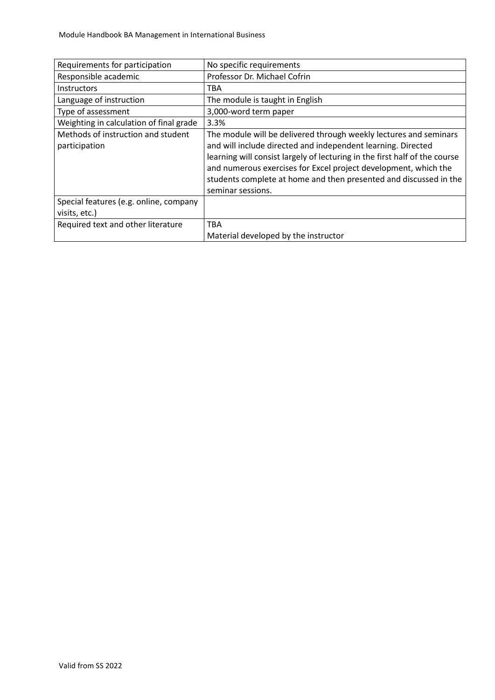| Requirements for participation          | No specific requirements                                                   |
|-----------------------------------------|----------------------------------------------------------------------------|
| Responsible academic                    | Professor Dr. Michael Cofrin                                               |
| <b>Instructors</b>                      | TBA                                                                        |
| Language of instruction                 | The module is taught in English                                            |
| Type of assessment                      | 3,000-word term paper                                                      |
| Weighting in calculation of final grade | 3.3%                                                                       |
| Methods of instruction and student      | The module will be delivered through weekly lectures and seminars          |
| participation                           | and will include directed and independent learning. Directed               |
|                                         | learning will consist largely of lecturing in the first half of the course |
|                                         | and numerous exercises for Excel project development, which the            |
|                                         | students complete at home and then presented and discussed in the          |
|                                         | seminar sessions.                                                          |
| Special features (e.g. online, company  |                                                                            |
| visits, etc.)                           |                                                                            |
| Required text and other literature      | <b>TBA</b>                                                                 |
|                                         | Material developed by the instructor                                       |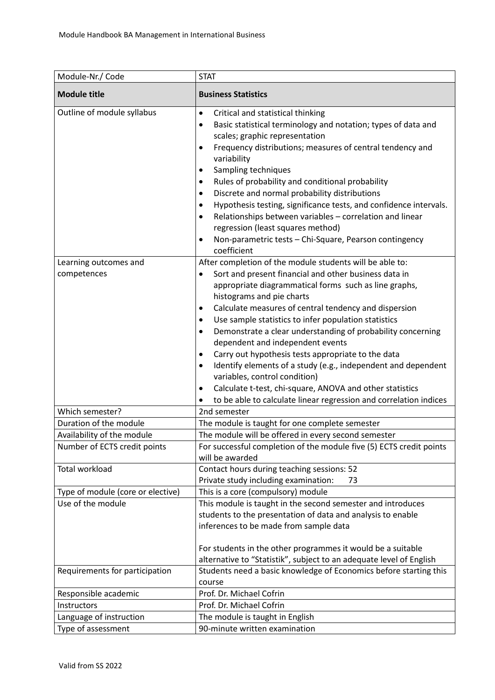| Module-Nr./ Code                                           | <b>STAT</b>                                                                                                                                                                                                                                                                                                                                                                                                                                                                                                                                                                                                                                                                                                                                                                             |
|------------------------------------------------------------|-----------------------------------------------------------------------------------------------------------------------------------------------------------------------------------------------------------------------------------------------------------------------------------------------------------------------------------------------------------------------------------------------------------------------------------------------------------------------------------------------------------------------------------------------------------------------------------------------------------------------------------------------------------------------------------------------------------------------------------------------------------------------------------------|
| <b>Module title</b>                                        | <b>Business Statistics</b>                                                                                                                                                                                                                                                                                                                                                                                                                                                                                                                                                                                                                                                                                                                                                              |
| Outline of module syllabus                                 | Critical and statistical thinking<br>$\bullet$<br>Basic statistical terminology and notation; types of data and<br>$\bullet$<br>scales; graphic representation<br>Frequency distributions; measures of central tendency and<br>$\bullet$<br>variability<br>Sampling techniques<br>٠<br>Rules of probability and conditional probability<br>٠<br>Discrete and normal probability distributions<br>٠<br>Hypothesis testing, significance tests, and confidence intervals.<br>٠<br>Relationships between variables - correlation and linear<br>٠<br>regression (least squares method)<br>Non-parametric tests - Chi-Square, Pearson contingency<br>$\bullet$<br>coefficient                                                                                                                |
| Learning outcomes and<br>competences                       | After completion of the module students will be able to:<br>Sort and present financial and other business data in<br>$\bullet$<br>appropriate diagrammatical forms such as line graphs,<br>histograms and pie charts<br>Calculate measures of central tendency and dispersion<br>٠<br>Use sample statistics to infer population statistics<br>٠<br>Demonstrate a clear understanding of probability concerning<br>٠<br>dependent and independent events<br>Carry out hypothesis tests appropriate to the data<br>$\bullet$<br>Identify elements of a study (e.g., independent and dependent<br>$\bullet$<br>variables, control condition)<br>Calculate t-test, chi-square, ANOVA and other statistics<br>$\bullet$<br>to be able to calculate linear regression and correlation indices |
| Which semester?                                            | 2nd semester                                                                                                                                                                                                                                                                                                                                                                                                                                                                                                                                                                                                                                                                                                                                                                            |
| Duration of the module                                     | The module is taught for one complete semester                                                                                                                                                                                                                                                                                                                                                                                                                                                                                                                                                                                                                                                                                                                                          |
| Availability of the module<br>Number of ECTS credit points | The module will be offered in every second semester<br>For successful completion of the module five (5) ECTS credit points<br>will be awarded                                                                                                                                                                                                                                                                                                                                                                                                                                                                                                                                                                                                                                           |
| Total workload                                             | Contact hours during teaching sessions: 52<br>Private study including examination:<br>73                                                                                                                                                                                                                                                                                                                                                                                                                                                                                                                                                                                                                                                                                                |
| Type of module (core or elective)                          | This is a core (compulsory) module                                                                                                                                                                                                                                                                                                                                                                                                                                                                                                                                                                                                                                                                                                                                                      |
| Use of the module                                          | This module is taught in the second semester and introduces<br>students to the presentation of data and analysis to enable<br>inferences to be made from sample data<br>For students in the other programmes it would be a suitable<br>alternative to "Statistik", subject to an adequate level of English                                                                                                                                                                                                                                                                                                                                                                                                                                                                              |
| Requirements for participation                             | Students need a basic knowledge of Economics before starting this<br>course                                                                                                                                                                                                                                                                                                                                                                                                                                                                                                                                                                                                                                                                                                             |
| Responsible academic                                       | Prof. Dr. Michael Cofrin                                                                                                                                                                                                                                                                                                                                                                                                                                                                                                                                                                                                                                                                                                                                                                |
| Instructors                                                | Prof. Dr. Michael Cofrin                                                                                                                                                                                                                                                                                                                                                                                                                                                                                                                                                                                                                                                                                                                                                                |
| Language of instruction                                    | The module is taught in English                                                                                                                                                                                                                                                                                                                                                                                                                                                                                                                                                                                                                                                                                                                                                         |
| Type of assessment                                         | 90-minute written examination                                                                                                                                                                                                                                                                                                                                                                                                                                                                                                                                                                                                                                                                                                                                                           |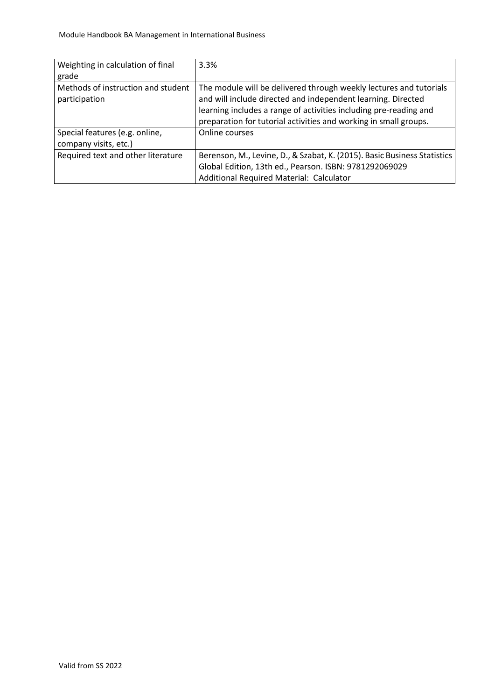| Weighting in calculation of final  | 3.3%                                                                     |
|------------------------------------|--------------------------------------------------------------------------|
| grade                              |                                                                          |
| Methods of instruction and student | The module will be delivered through weekly lectures and tutorials       |
| participation                      | and will include directed and independent learning. Directed             |
|                                    | learning includes a range of activities including pre-reading and        |
|                                    | preparation for tutorial activities and working in small groups.         |
| Special features (e.g. online,     | Online courses                                                           |
| company visits, etc.)              |                                                                          |
| Required text and other literature | Berenson, M., Levine, D., & Szabat, K. (2015). Basic Business Statistics |
|                                    | Global Edition, 13th ed., Pearson. ISBN: 9781292069029                   |
|                                    | Additional Required Material: Calculator                                 |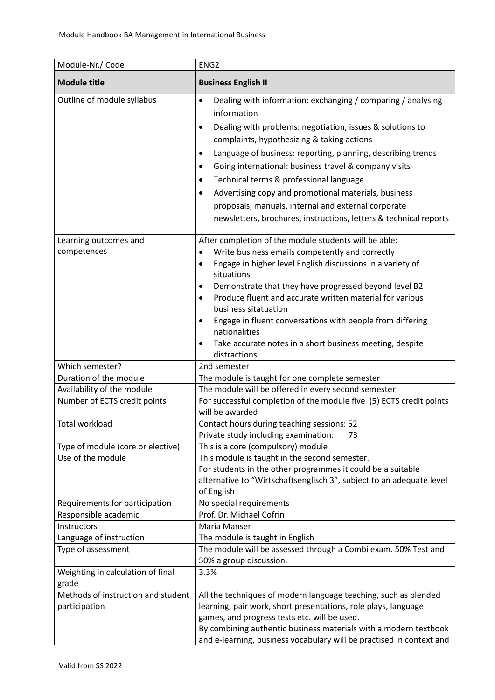| Module-Nr./ Code                                    | ENG <sub>2</sub>                                                                                                                                                                                                                                                                                                                                                                                                                                                                                                                                                                                     |
|-----------------------------------------------------|------------------------------------------------------------------------------------------------------------------------------------------------------------------------------------------------------------------------------------------------------------------------------------------------------------------------------------------------------------------------------------------------------------------------------------------------------------------------------------------------------------------------------------------------------------------------------------------------------|
| <b>Module title</b>                                 | <b>Business English II</b>                                                                                                                                                                                                                                                                                                                                                                                                                                                                                                                                                                           |
| Outline of module syllabus                          | Dealing with information: exchanging / comparing / analysing<br>$\bullet$<br>information<br>Dealing with problems: negotiation, issues & solutions to<br>٠<br>complaints, hypothesizing & taking actions<br>Language of business: reporting, planning, describing trends<br>٠<br>Going international: business travel & company visits<br>٠<br>Technical terms & professional language<br>$\bullet$<br>Advertising copy and promotional materials, business<br>$\bullet$<br>proposals, manuals, internal and external corporate<br>newsletters, brochures, instructions, letters & technical reports |
| Learning outcomes and                               | After completion of the module students will be able:                                                                                                                                                                                                                                                                                                                                                                                                                                                                                                                                                |
| competences                                         | Write business emails competently and correctly<br>Engage in higher level English discussions in a variety of<br>٠<br>situations                                                                                                                                                                                                                                                                                                                                                                                                                                                                     |
|                                                     | Demonstrate that they have progressed beyond level B2<br>٠<br>Produce fluent and accurate written material for various<br>business sitatuation<br>Engage in fluent conversations with people from differing<br>nationalities<br>Take accurate notes in a short business meeting, despite<br>٠<br>distractions                                                                                                                                                                                                                                                                                        |
| Which semester?                                     | 2nd semester                                                                                                                                                                                                                                                                                                                                                                                                                                                                                                                                                                                         |
| Duration of the module                              | The module is taught for one complete semester                                                                                                                                                                                                                                                                                                                                                                                                                                                                                                                                                       |
| Availability of the module                          | The module will be offered in every second semester                                                                                                                                                                                                                                                                                                                                                                                                                                                                                                                                                  |
| Number of ECTS credit points                        | For successful completion of the module five (5) ECTS credit points<br>will be awarded                                                                                                                                                                                                                                                                                                                                                                                                                                                                                                               |
| <b>Total workload</b>                               | Contact hours during teaching sessions: 52<br>Private study including examination:<br>73                                                                                                                                                                                                                                                                                                                                                                                                                                                                                                             |
| Type of module (core or elective)                   | This is a core (compulsory) module                                                                                                                                                                                                                                                                                                                                                                                                                                                                                                                                                                   |
| Use of the module                                   | This module is taught in the second semester.<br>For students in the other programmes it could be a suitable<br>alternative to "Wirtschaftsenglisch 3", subject to an adequate level<br>of English                                                                                                                                                                                                                                                                                                                                                                                                   |
| Requirements for participation                      | No special requirements                                                                                                                                                                                                                                                                                                                                                                                                                                                                                                                                                                              |
| Responsible academic                                | Prof. Dr. Michael Cofrin                                                                                                                                                                                                                                                                                                                                                                                                                                                                                                                                                                             |
| Instructors<br>Language of instruction              | Maria Manser<br>The module is taught in English                                                                                                                                                                                                                                                                                                                                                                                                                                                                                                                                                      |
| Type of assessment                                  | The module will be assessed through a Combi exam. 50% Test and<br>50% a group discussion.                                                                                                                                                                                                                                                                                                                                                                                                                                                                                                            |
| Weighting in calculation of final<br>grade          | 3.3%                                                                                                                                                                                                                                                                                                                                                                                                                                                                                                                                                                                                 |
| Methods of instruction and student<br>participation | All the techniques of modern language teaching, such as blended<br>learning, pair work, short presentations, role plays, language<br>games, and progress tests etc. will be used.<br>By combining authentic business materials with a modern textbook<br>and e-learning, business vocabulary will be practised in context and                                                                                                                                                                                                                                                                        |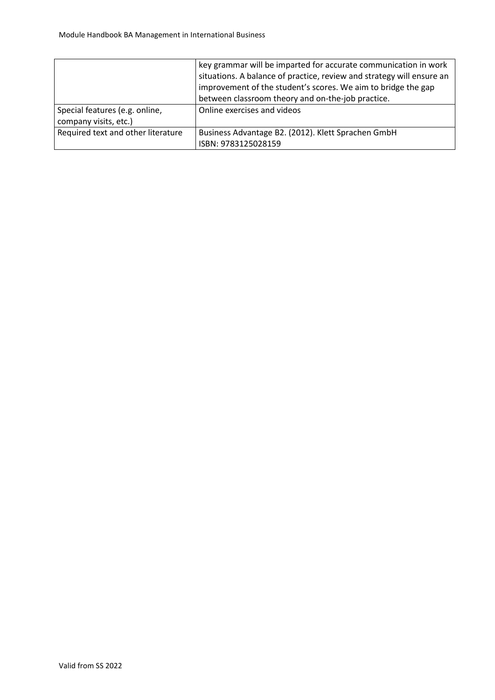|                                    | key grammar will be imparted for accurate communication in work       |
|------------------------------------|-----------------------------------------------------------------------|
|                                    | situations. A balance of practice, review and strategy will ensure an |
|                                    | improvement of the student's scores. We aim to bridge the gap         |
|                                    | between classroom theory and on-the-job practice.                     |
| Special features (e.g. online,     | Online exercises and videos                                           |
| company visits, etc.)              |                                                                       |
| Required text and other literature | Business Advantage B2. (2012). Klett Sprachen GmbH                    |
|                                    | ISBN: 9783125028159                                                   |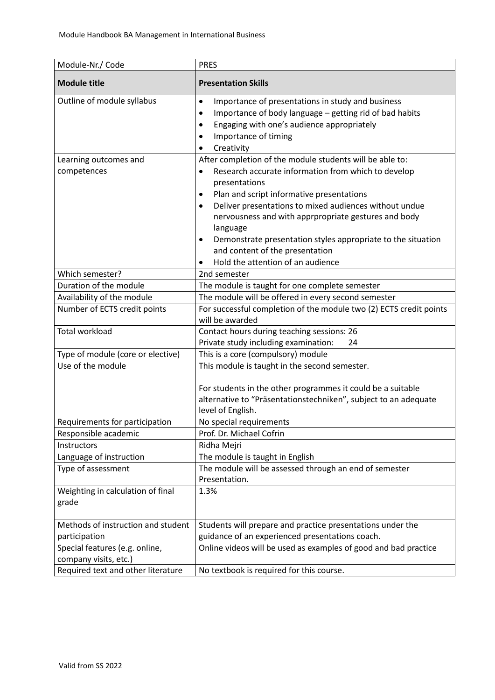| Module-Nr./ Code                                        | <b>PRES</b>                                                                                                                                                                                                                                               |
|---------------------------------------------------------|-----------------------------------------------------------------------------------------------------------------------------------------------------------------------------------------------------------------------------------------------------------|
| <b>Module title</b>                                     | <b>Presentation Skills</b>                                                                                                                                                                                                                                |
| Outline of module syllabus                              | Importance of presentations in study and business<br>$\bullet$<br>Importance of body language - getting rid of bad habits<br>$\bullet$<br>Engaging with one's audience appropriately<br>$\bullet$<br>Importance of timing<br>٠<br>Creativity<br>$\bullet$ |
| Learning outcomes and                                   | After completion of the module students will be able to:                                                                                                                                                                                                  |
| competences                                             | Research accurate information from which to develop<br>$\bullet$<br>presentations                                                                                                                                                                         |
|                                                         | Plan and script informative presentations<br>٠<br>Deliver presentations to mixed audiences without undue                                                                                                                                                  |
|                                                         | ٠<br>nervousness and with apprpropriate gestures and body<br>language<br>Demonstrate presentation styles appropriate to the situation<br>٠                                                                                                                |
|                                                         | and content of the presentation                                                                                                                                                                                                                           |
|                                                         | Hold the attention of an audience                                                                                                                                                                                                                         |
| Which semester?                                         | 2nd semester                                                                                                                                                                                                                                              |
| Duration of the module                                  | The module is taught for one complete semester                                                                                                                                                                                                            |
| Availability of the module                              | The module will be offered in every second semester                                                                                                                                                                                                       |
| Number of ECTS credit points                            | For successful completion of the module two (2) ECTS credit points<br>will be awarded                                                                                                                                                                     |
| <b>Total workload</b>                                   | Contact hours during teaching sessions: 26                                                                                                                                                                                                                |
|                                                         | Private study including examination:<br>24                                                                                                                                                                                                                |
| Type of module (core or elective)                       | This is a core (compulsory) module                                                                                                                                                                                                                        |
| Use of the module                                       | This module is taught in the second semester.<br>For students in the other programmes it could be a suitable<br>alternative to "Präsentationstechniken", subject to an adequate<br>level of English.                                                      |
| Requirements for participation                          | No special requirements                                                                                                                                                                                                                                   |
| Responsible academic                                    | Prof. Dr. Michael Cofrin                                                                                                                                                                                                                                  |
| Instructors                                             | Ridha Mejri                                                                                                                                                                                                                                               |
| Language of instruction                                 | The module is taught in English                                                                                                                                                                                                                           |
| Type of assessment                                      | The module will be assessed through an end of semester<br>Presentation.                                                                                                                                                                                   |
| Weighting in calculation of final<br>grade              | 1.3%                                                                                                                                                                                                                                                      |
| Methods of instruction and student                      | Students will prepare and practice presentations under the                                                                                                                                                                                                |
| participation                                           | guidance of an experienced presentations coach.                                                                                                                                                                                                           |
| Special features (e.g. online,<br>company visits, etc.) | Online videos will be used as examples of good and bad practice                                                                                                                                                                                           |
| Required text and other literature                      | No textbook is required for this course.                                                                                                                                                                                                                  |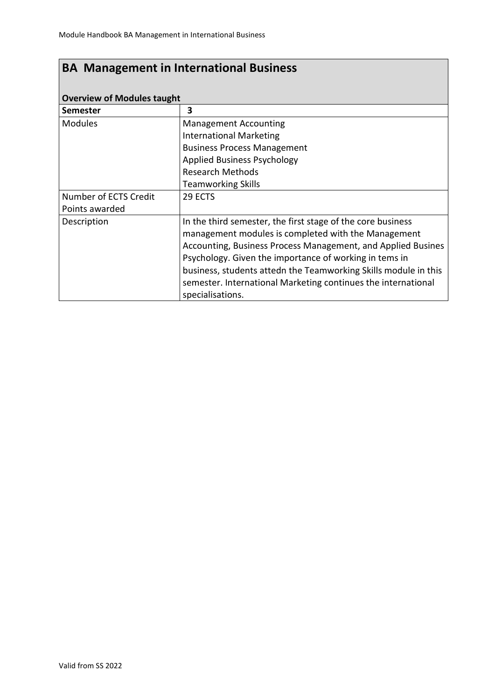| <b>Overview of Modules taught</b> |                                                                 |  |
|-----------------------------------|-----------------------------------------------------------------|--|
| Semester                          | 3                                                               |  |
| <b>Modules</b>                    | <b>Management Accounting</b>                                    |  |
|                                   | <b>International Marketing</b>                                  |  |
|                                   | <b>Business Process Management</b>                              |  |
|                                   | <b>Applied Business Psychology</b>                              |  |
|                                   | <b>Research Methods</b>                                         |  |
|                                   | <b>Teamworking Skills</b>                                       |  |
| Number of ECTS Credit             | 29 ECTS                                                         |  |
| Points awarded                    |                                                                 |  |
| Description                       | In the third semester, the first stage of the core business     |  |
|                                   | management modules is completed with the Management             |  |
|                                   | Accounting, Business Process Management, and Applied Busines    |  |
|                                   | Psychology. Given the importance of working in tems in          |  |
|                                   | business, students attedn the Teamworking Skills module in this |  |
|                                   | semester. International Marketing continues the international   |  |
|                                   | specialisations.                                                |  |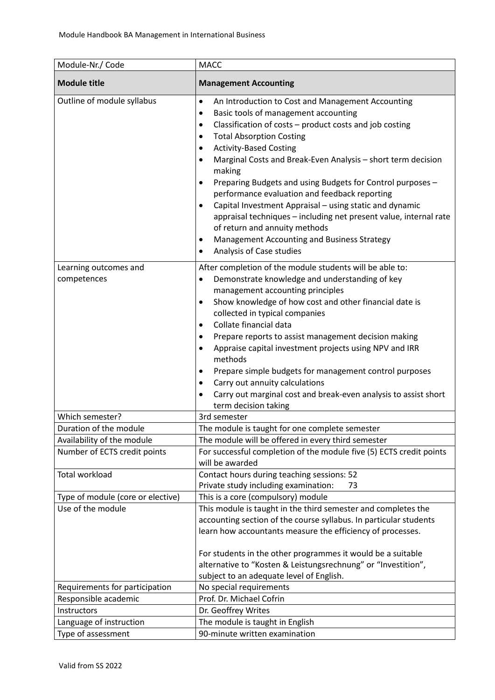| Module-Nr./ Code                                           | <b>MACC</b>                                                                                                                                                                                                                                                                                                                                                                                                                                                                                                                                                                                                                                                                                                                 |
|------------------------------------------------------------|-----------------------------------------------------------------------------------------------------------------------------------------------------------------------------------------------------------------------------------------------------------------------------------------------------------------------------------------------------------------------------------------------------------------------------------------------------------------------------------------------------------------------------------------------------------------------------------------------------------------------------------------------------------------------------------------------------------------------------|
| <b>Module title</b>                                        | <b>Management Accounting</b>                                                                                                                                                                                                                                                                                                                                                                                                                                                                                                                                                                                                                                                                                                |
| Outline of module syllabus                                 | An Introduction to Cost and Management Accounting<br>$\bullet$<br>Basic tools of management accounting<br>$\bullet$<br>Classification of costs - product costs and job costing<br>$\bullet$<br><b>Total Absorption Costing</b><br><b>Activity-Based Costing</b><br>Marginal Costs and Break-Even Analysis - short term decision<br>$\bullet$<br>making<br>Preparing Budgets and using Budgets for Control purposes -<br>٠<br>performance evaluation and feedback reporting<br>Capital Investment Appraisal - using static and dynamic<br>appraisal techniques - including net present value, internal rate<br>of return and annuity methods<br>Management Accounting and Business Strategy<br>٠<br>Analysis of Case studies |
| Learning outcomes and<br>competences                       | After completion of the module students will be able to:<br>Demonstrate knowledge and understanding of key<br>$\bullet$<br>management accounting principles<br>Show knowledge of how cost and other financial date is<br>٠<br>collected in typical companies<br>Collate financial data<br>٠<br>Prepare reports to assist management decision making<br>٠<br>Appraise capital investment projects using NPV and IRR<br>٠<br>methods<br>Prepare simple budgets for management control purposes<br>Carry out annuity calculations<br>٠<br>Carry out marginal cost and break-even analysis to assist short<br>$\bullet$<br>term decision taking                                                                                 |
| Which semester?                                            | 3rd semester                                                                                                                                                                                                                                                                                                                                                                                                                                                                                                                                                                                                                                                                                                                |
| Duration of the module                                     | The module is taught for one complete semester                                                                                                                                                                                                                                                                                                                                                                                                                                                                                                                                                                                                                                                                              |
| Availability of the module<br>Number of ECTS credit points | The module will be offered in every third semester<br>For successful completion of the module five (5) ECTS credit points<br>will be awarded                                                                                                                                                                                                                                                                                                                                                                                                                                                                                                                                                                                |
| <b>Total workload</b>                                      | Contact hours during teaching sessions: 52<br>Private study including examination:<br>73                                                                                                                                                                                                                                                                                                                                                                                                                                                                                                                                                                                                                                    |
| Type of module (core or elective)                          | This is a core (compulsory) module                                                                                                                                                                                                                                                                                                                                                                                                                                                                                                                                                                                                                                                                                          |
| Use of the module                                          | This module is taught in the third semester and completes the<br>accounting section of the course syllabus. In particular students<br>learn how accountants measure the efficiency of processes.<br>For students in the other programmes it would be a suitable<br>alternative to "Kosten & Leistungsrechnung" or "Investition",<br>subject to an adequate level of English.                                                                                                                                                                                                                                                                                                                                                |
| Requirements for participation                             | No special requirements                                                                                                                                                                                                                                                                                                                                                                                                                                                                                                                                                                                                                                                                                                     |
| Responsible academic                                       | Prof. Dr. Michael Cofrin                                                                                                                                                                                                                                                                                                                                                                                                                                                                                                                                                                                                                                                                                                    |
| Instructors                                                | Dr. Geoffrey Writes                                                                                                                                                                                                                                                                                                                                                                                                                                                                                                                                                                                                                                                                                                         |
| Language of instruction                                    | The module is taught in English                                                                                                                                                                                                                                                                                                                                                                                                                                                                                                                                                                                                                                                                                             |
| Type of assessment                                         | 90-minute written examination                                                                                                                                                                                                                                                                                                                                                                                                                                                                                                                                                                                                                                                                                               |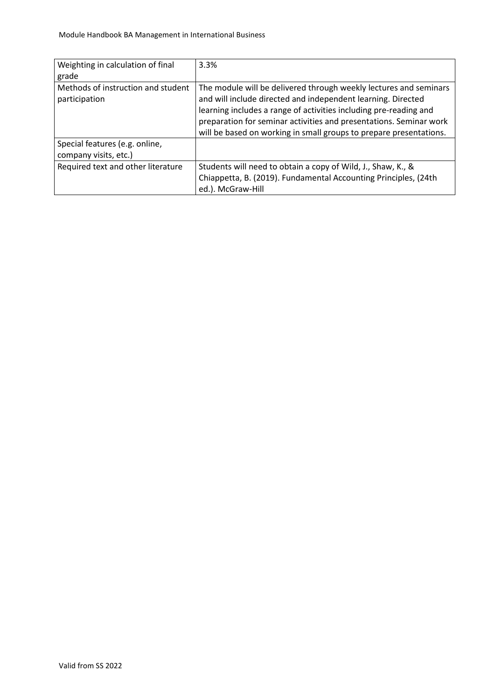| Weighting in calculation of final<br>grade              | 3.3%                                                                                                                                                                                                                                                                                                                                               |
|---------------------------------------------------------|----------------------------------------------------------------------------------------------------------------------------------------------------------------------------------------------------------------------------------------------------------------------------------------------------------------------------------------------------|
| Methods of instruction and student<br>participation     | The module will be delivered through weekly lectures and seminars<br>and will include directed and independent learning. Directed<br>learning includes a range of activities including pre-reading and<br>preparation for seminar activities and presentations. Seminar work<br>will be based on working in small groups to prepare presentations. |
| Special features (e.g. online,<br>company visits, etc.) |                                                                                                                                                                                                                                                                                                                                                    |
| Required text and other literature                      | Students will need to obtain a copy of Wild, J., Shaw, K., &<br>Chiappetta, B. (2019). Fundamental Accounting Principles, (24th<br>ed.). McGraw-Hill                                                                                                                                                                                               |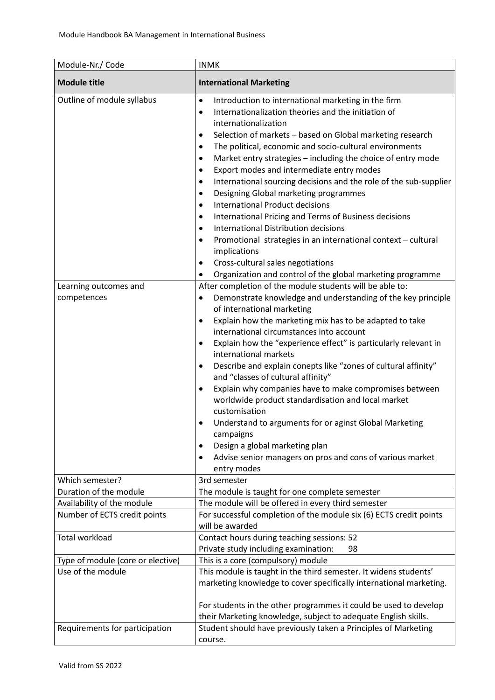| Module-Nr./ Code                                                   | <b>INMK</b>                                                                                                                                                                                                                                                                                                                                                                                                                                                                                                                                                                                                                                                                                                                                                                                                                                                                                                                                                                                                                                                                                                                                                                                                                                                                                                                                                                                                                                                                                                                                                              |
|--------------------------------------------------------------------|--------------------------------------------------------------------------------------------------------------------------------------------------------------------------------------------------------------------------------------------------------------------------------------------------------------------------------------------------------------------------------------------------------------------------------------------------------------------------------------------------------------------------------------------------------------------------------------------------------------------------------------------------------------------------------------------------------------------------------------------------------------------------------------------------------------------------------------------------------------------------------------------------------------------------------------------------------------------------------------------------------------------------------------------------------------------------------------------------------------------------------------------------------------------------------------------------------------------------------------------------------------------------------------------------------------------------------------------------------------------------------------------------------------------------------------------------------------------------------------------------------------------------------------------------------------------------|
| <b>Module title</b>                                                | <b>International Marketing</b>                                                                                                                                                                                                                                                                                                                                                                                                                                                                                                                                                                                                                                                                                                                                                                                                                                                                                                                                                                                                                                                                                                                                                                                                                                                                                                                                                                                                                                                                                                                                           |
| Outline of module syllabus<br>Learning outcomes and<br>competences | Introduction to international marketing in the firm<br>٠<br>Internationalization theories and the initiation of<br>$\bullet$<br>internationalization<br>Selection of markets - based on Global marketing research<br>٠<br>The political, economic and socio-cultural environments<br>٠<br>Market entry strategies - including the choice of entry mode<br>٠<br>Export modes and intermediate entry modes<br>$\bullet$<br>International sourcing decisions and the role of the sub-supplier<br>$\bullet$<br>Designing Global marketing programmes<br>$\bullet$<br><b>International Product decisions</b><br>$\bullet$<br>International Pricing and Terms of Business decisions<br>$\bullet$<br><b>International Distribution decisions</b><br>$\bullet$<br>Promotional strategies in an international context - cultural<br>implications<br>Cross-cultural sales negotiations<br>Organization and control of the global marketing programme<br>After completion of the module students will be able to:<br>Demonstrate knowledge and understanding of the key principle<br>٠<br>of international marketing<br>Explain how the marketing mix has to be adapted to take<br>٠<br>international circumstances into account<br>Explain how the "experience effect" is particularly relevant in<br>$\bullet$<br>international markets<br>Describe and explain conepts like "zones of cultural affinity"<br>٠<br>and "classes of cultural affinity"<br>Explain why companies have to make compromises between<br>$\bullet$<br>worldwide product standardisation and local market |
|                                                                    | customisation<br>Understand to arguments for or aginst Global Marketing<br>٠<br>campaigns<br>Design a global marketing plan<br>Advise senior managers on pros and cons of various market<br>٠<br>entry modes                                                                                                                                                                                                                                                                                                                                                                                                                                                                                                                                                                                                                                                                                                                                                                                                                                                                                                                                                                                                                                                                                                                                                                                                                                                                                                                                                             |
| Which semester?                                                    | 3rd semester                                                                                                                                                                                                                                                                                                                                                                                                                                                                                                                                                                                                                                                                                                                                                                                                                                                                                                                                                                                                                                                                                                                                                                                                                                                                                                                                                                                                                                                                                                                                                             |
| Duration of the module                                             | The module is taught for one complete semester                                                                                                                                                                                                                                                                                                                                                                                                                                                                                                                                                                                                                                                                                                                                                                                                                                                                                                                                                                                                                                                                                                                                                                                                                                                                                                                                                                                                                                                                                                                           |
| Availability of the module                                         | The module will be offered in every third semester                                                                                                                                                                                                                                                                                                                                                                                                                                                                                                                                                                                                                                                                                                                                                                                                                                                                                                                                                                                                                                                                                                                                                                                                                                                                                                                                                                                                                                                                                                                       |
| Number of ECTS credit points                                       | For successful completion of the module six (6) ECTS credit points<br>will be awarded                                                                                                                                                                                                                                                                                                                                                                                                                                                                                                                                                                                                                                                                                                                                                                                                                                                                                                                                                                                                                                                                                                                                                                                                                                                                                                                                                                                                                                                                                    |
| <b>Total workload</b>                                              | Contact hours during teaching sessions: 52                                                                                                                                                                                                                                                                                                                                                                                                                                                                                                                                                                                                                                                                                                                                                                                                                                                                                                                                                                                                                                                                                                                                                                                                                                                                                                                                                                                                                                                                                                                               |
|                                                                    | Private study including examination:<br>98                                                                                                                                                                                                                                                                                                                                                                                                                                                                                                                                                                                                                                                                                                                                                                                                                                                                                                                                                                                                                                                                                                                                                                                                                                                                                                                                                                                                                                                                                                                               |
| Type of module (core or elective)                                  | This is a core (compulsory) module                                                                                                                                                                                                                                                                                                                                                                                                                                                                                                                                                                                                                                                                                                                                                                                                                                                                                                                                                                                                                                                                                                                                                                                                                                                                                                                                                                                                                                                                                                                                       |
| Use of the module                                                  | This module is taught in the third semester. It widens students'<br>marketing knowledge to cover specifically international marketing.                                                                                                                                                                                                                                                                                                                                                                                                                                                                                                                                                                                                                                                                                                                                                                                                                                                                                                                                                                                                                                                                                                                                                                                                                                                                                                                                                                                                                                   |
|                                                                    | For students in the other programmes it could be used to develop                                                                                                                                                                                                                                                                                                                                                                                                                                                                                                                                                                                                                                                                                                                                                                                                                                                                                                                                                                                                                                                                                                                                                                                                                                                                                                                                                                                                                                                                                                         |
|                                                                    | their Marketing knowledge, subject to adequate English skills.                                                                                                                                                                                                                                                                                                                                                                                                                                                                                                                                                                                                                                                                                                                                                                                                                                                                                                                                                                                                                                                                                                                                                                                                                                                                                                                                                                                                                                                                                                           |
| Requirements for participation                                     | Student should have previously taken a Principles of Marketing<br>course.                                                                                                                                                                                                                                                                                                                                                                                                                                                                                                                                                                                                                                                                                                                                                                                                                                                                                                                                                                                                                                                                                                                                                                                                                                                                                                                                                                                                                                                                                                |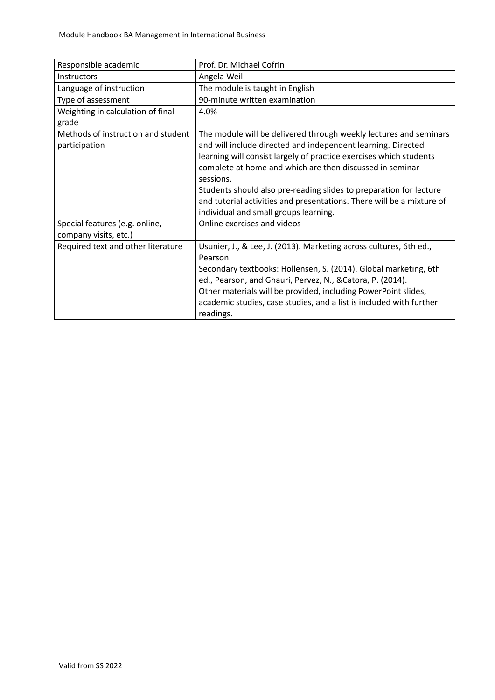| Responsible academic                                    | Prof. Dr. Michael Cofrin                                                                                                                                                                                                                                                                                                                                                                                                                                                 |
|---------------------------------------------------------|--------------------------------------------------------------------------------------------------------------------------------------------------------------------------------------------------------------------------------------------------------------------------------------------------------------------------------------------------------------------------------------------------------------------------------------------------------------------------|
| <b>Instructors</b>                                      | Angela Weil                                                                                                                                                                                                                                                                                                                                                                                                                                                              |
| Language of instruction                                 | The module is taught in English                                                                                                                                                                                                                                                                                                                                                                                                                                          |
| Type of assessment                                      | 90-minute written examination                                                                                                                                                                                                                                                                                                                                                                                                                                            |
| Weighting in calculation of final<br>grade              | 4.0%                                                                                                                                                                                                                                                                                                                                                                                                                                                                     |
| Methods of instruction and student<br>participation     | The module will be delivered through weekly lectures and seminars<br>and will include directed and independent learning. Directed<br>learning will consist largely of practice exercises which students<br>complete at home and which are then discussed in seminar<br>sessions.<br>Students should also pre-reading slides to preparation for lecture<br>and tutorial activities and presentations. There will be a mixture of<br>individual and small groups learning. |
| Special features (e.g. online,<br>company visits, etc.) | Online exercises and videos                                                                                                                                                                                                                                                                                                                                                                                                                                              |
| Required text and other literature                      | Usunier, J., & Lee, J. (2013). Marketing across cultures, 6th ed.,<br>Pearson.<br>Secondary textbooks: Hollensen, S. (2014). Global marketing, 6th<br>ed., Pearson, and Ghauri, Pervez, N., & Catora, P. (2014).<br>Other materials will be provided, including PowerPoint slides,<br>academic studies, case studies, and a list is included with further<br>readings.                                                                                                   |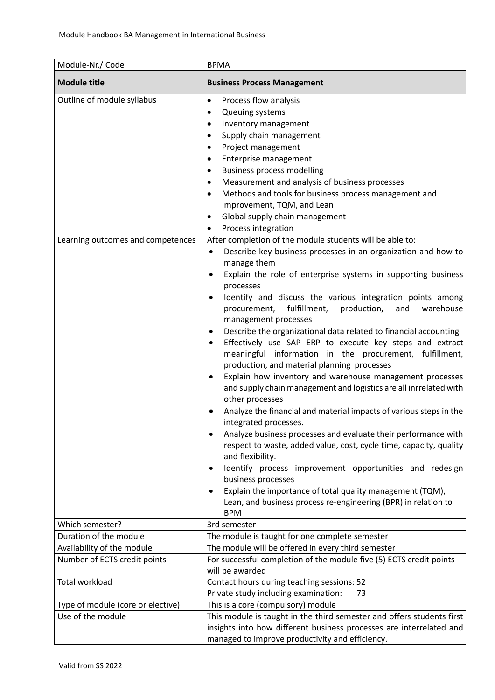| Module-Nr./ Code                                                | <b>BPMA</b>                                                                                                                                                                                                                                                                                                                                                                                                                                                                                                                                                                                                                                                                                                                                                                                                                                                                                                                                                                                                                                                                                                                                                                                                                                                                                                                                                                                                                                                                                                                                                                                                                                                                                                                                                                                                                                         |
|-----------------------------------------------------------------|-----------------------------------------------------------------------------------------------------------------------------------------------------------------------------------------------------------------------------------------------------------------------------------------------------------------------------------------------------------------------------------------------------------------------------------------------------------------------------------------------------------------------------------------------------------------------------------------------------------------------------------------------------------------------------------------------------------------------------------------------------------------------------------------------------------------------------------------------------------------------------------------------------------------------------------------------------------------------------------------------------------------------------------------------------------------------------------------------------------------------------------------------------------------------------------------------------------------------------------------------------------------------------------------------------------------------------------------------------------------------------------------------------------------------------------------------------------------------------------------------------------------------------------------------------------------------------------------------------------------------------------------------------------------------------------------------------------------------------------------------------------------------------------------------------------------------------------------------------|
| <b>Module title</b>                                             | <b>Business Process Management</b>                                                                                                                                                                                                                                                                                                                                                                                                                                                                                                                                                                                                                                                                                                                                                                                                                                                                                                                                                                                                                                                                                                                                                                                                                                                                                                                                                                                                                                                                                                                                                                                                                                                                                                                                                                                                                  |
| Outline of module syllabus<br>Learning outcomes and competences | Process flow analysis<br>$\bullet$<br>Queuing systems<br>Inventory management<br>$\bullet$<br>Supply chain management<br>٠<br>Project management<br>٠<br>Enterprise management<br>$\bullet$<br><b>Business process modelling</b><br>٠<br>Measurement and analysis of business processes<br>٠<br>Methods and tools for business process management and<br>$\bullet$<br>improvement, TQM, and Lean<br>Global supply chain management<br>٠<br>Process integration<br>٠<br>After completion of the module students will be able to:<br>Describe key business processes in an organization and how to<br>$\bullet$<br>manage them<br>Explain the role of enterprise systems in supporting business<br>$\bullet$<br>processes<br>Identify and discuss the various integration points among<br>$\bullet$<br>fulfillment,<br>production,<br>warehouse<br>procurement,<br>and<br>management processes<br>Describe the organizational data related to financial accounting<br>$\bullet$<br>Effectively use SAP ERP to execute key steps and extract<br>$\bullet$<br>meaningful information in the procurement, fulfillment,<br>production, and material planning processes<br>Explain how inventory and warehouse management processes<br>$\bullet$<br>and supply chain management and logistics are all inrrelated with<br>other processes<br>Analyze the financial and material impacts of various steps in the<br>$\bullet$<br>integrated processes.<br>Analyze business processes and evaluate their performance with<br>respect to waste, added value, cost, cycle time, capacity, quality<br>and flexibility.<br>Identify process improvement opportunities and redesign<br>$\bullet$<br>business processes<br>Explain the importance of total quality management (TQM),<br>$\bullet$<br>Lean, and business process re-engineering (BPR) in relation to |
| Which semester?                                                 | <b>BPM</b><br>3rd semester                                                                                                                                                                                                                                                                                                                                                                                                                                                                                                                                                                                                                                                                                                                                                                                                                                                                                                                                                                                                                                                                                                                                                                                                                                                                                                                                                                                                                                                                                                                                                                                                                                                                                                                                                                                                                          |
| Duration of the module                                          | The module is taught for one complete semester                                                                                                                                                                                                                                                                                                                                                                                                                                                                                                                                                                                                                                                                                                                                                                                                                                                                                                                                                                                                                                                                                                                                                                                                                                                                                                                                                                                                                                                                                                                                                                                                                                                                                                                                                                                                      |
| Availability of the module                                      | The module will be offered in every third semester                                                                                                                                                                                                                                                                                                                                                                                                                                                                                                                                                                                                                                                                                                                                                                                                                                                                                                                                                                                                                                                                                                                                                                                                                                                                                                                                                                                                                                                                                                                                                                                                                                                                                                                                                                                                  |
| Number of ECTS credit points                                    | For successful completion of the module five (5) ECTS credit points<br>will be awarded                                                                                                                                                                                                                                                                                                                                                                                                                                                                                                                                                                                                                                                                                                                                                                                                                                                                                                                                                                                                                                                                                                                                                                                                                                                                                                                                                                                                                                                                                                                                                                                                                                                                                                                                                              |
| Total workload                                                  | Contact hours during teaching sessions: 52<br>Private study including examination:<br>73                                                                                                                                                                                                                                                                                                                                                                                                                                                                                                                                                                                                                                                                                                                                                                                                                                                                                                                                                                                                                                                                                                                                                                                                                                                                                                                                                                                                                                                                                                                                                                                                                                                                                                                                                            |
| Type of module (core or elective)                               | This is a core (compulsory) module                                                                                                                                                                                                                                                                                                                                                                                                                                                                                                                                                                                                                                                                                                                                                                                                                                                                                                                                                                                                                                                                                                                                                                                                                                                                                                                                                                                                                                                                                                                                                                                                                                                                                                                                                                                                                  |
| Use of the module                                               | This module is taught in the third semester and offers students first<br>insights into how different business processes are interrelated and<br>managed to improve productivity and efficiency.                                                                                                                                                                                                                                                                                                                                                                                                                                                                                                                                                                                                                                                                                                                                                                                                                                                                                                                                                                                                                                                                                                                                                                                                                                                                                                                                                                                                                                                                                                                                                                                                                                                     |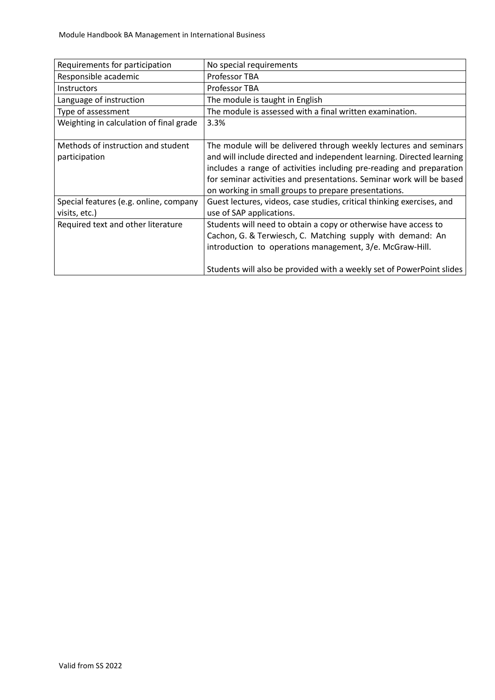| Requirements for participation          | No special requirements                                                |
|-----------------------------------------|------------------------------------------------------------------------|
| Responsible academic                    | Professor TBA                                                          |
| <b>Instructors</b>                      | Professor TBA                                                          |
| Language of instruction                 | The module is taught in English                                        |
| Type of assessment                      | The module is assessed with a final written examination.               |
| Weighting in calculation of final grade | 3.3%                                                                   |
|                                         |                                                                        |
| Methods of instruction and student      | The module will be delivered through weekly lectures and seminars      |
| participation                           | and will include directed and independent learning. Directed learning  |
|                                         | includes a range of activities including pre-reading and preparation   |
|                                         | for seminar activities and presentations. Seminar work will be based   |
|                                         | on working in small groups to prepare presentations.                   |
| Special features (e.g. online, company  | Guest lectures, videos, case studies, critical thinking exercises, and |
| visits, etc.)                           | use of SAP applications.                                               |
| Required text and other literature      | Students will need to obtain a copy or otherwise have access to        |
|                                         | Cachon, G. & Terwiesch, C. Matching supply with demand: An             |
|                                         | introduction to operations management, 3/e. McGraw-Hill.               |
|                                         |                                                                        |
|                                         | Students will also be provided with a weekly set of PowerPoint slides  |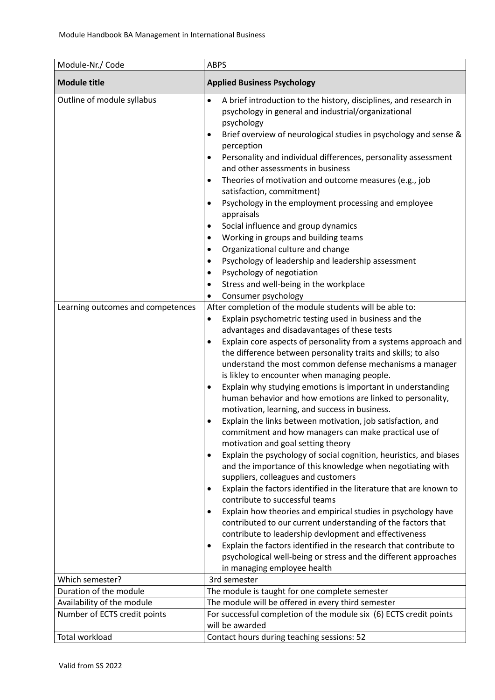| Module-Nr./ Code                                                | <b>ABPS</b>                                                                                                                                                                                                                                                                                                                                                                                                                                                                                                                                                                                                                                                                                                                                                                                                                                                                                                                                                                                                                                                                                                                                                                                                                                                                                                                                                                                                                                                                                                                                                                                                                                                                                                                                                                                                                                                                                                                                                                                                                                                                                                                                                           |
|-----------------------------------------------------------------|-----------------------------------------------------------------------------------------------------------------------------------------------------------------------------------------------------------------------------------------------------------------------------------------------------------------------------------------------------------------------------------------------------------------------------------------------------------------------------------------------------------------------------------------------------------------------------------------------------------------------------------------------------------------------------------------------------------------------------------------------------------------------------------------------------------------------------------------------------------------------------------------------------------------------------------------------------------------------------------------------------------------------------------------------------------------------------------------------------------------------------------------------------------------------------------------------------------------------------------------------------------------------------------------------------------------------------------------------------------------------------------------------------------------------------------------------------------------------------------------------------------------------------------------------------------------------------------------------------------------------------------------------------------------------------------------------------------------------------------------------------------------------------------------------------------------------------------------------------------------------------------------------------------------------------------------------------------------------------------------------------------------------------------------------------------------------------------------------------------------------------------------------------------------------|
| <b>Module title</b>                                             | <b>Applied Business Psychology</b>                                                                                                                                                                                                                                                                                                                                                                                                                                                                                                                                                                                                                                                                                                                                                                                                                                                                                                                                                                                                                                                                                                                                                                                                                                                                                                                                                                                                                                                                                                                                                                                                                                                                                                                                                                                                                                                                                                                                                                                                                                                                                                                                    |
| Outline of module syllabus<br>Learning outcomes and competences | A brief introduction to the history, disciplines, and research in<br>$\bullet$<br>psychology in general and industrial/organizational<br>psychology<br>Brief overview of neurological studies in psychology and sense &<br>$\bullet$<br>perception<br>Personality and individual differences, personality assessment<br>٠<br>and other assessments in business<br>Theories of motivation and outcome measures (e.g., job<br>$\bullet$<br>satisfaction, commitment)<br>Psychology in the employment processing and employee<br>$\bullet$<br>appraisals<br>Social influence and group dynamics<br>$\bullet$<br>Working in groups and building teams<br>$\bullet$<br>Organizational culture and change<br>$\bullet$<br>Psychology of leadership and leadership assessment<br>٠<br>Psychology of negotiation<br>٠<br>Stress and well-being in the workplace<br>٠<br>Consumer psychology<br>٠<br>After completion of the module students will be able to:<br>Explain psychometric testing used in business and the<br>٠<br>advantages and disadavantages of these tests<br>Explain core aspects of personality from a systems approach and<br>the difference between personality traits and skills; to also<br>understand the most common defense mechanisms a manager<br>is likley to encounter when managing people.<br>Explain why studying emotions is important in understanding<br>human behavior and how emotions are linked to personality,<br>motivation, learning, and success in business.<br>Explain the links between motivation, job satisfaction, and<br>commitment and how managers can make practical use of<br>motivation and goal setting theory<br>Explain the psychology of social cognition, heuristics, and biases<br>$\bullet$<br>and the importance of this knowledge when negotiating with<br>suppliers, colleagues and customers<br>Explain the factors identified in the literature that are known to<br>$\bullet$<br>contribute to successful teams<br>Explain how theories and empirical studies in psychology have<br>contributed to our current understanding of the factors that<br>contribute to leadership devlopment and effectiveness |
|                                                                 | Explain the factors identified in the research that contribute to<br>٠<br>psychological well-being or stress and the different approaches                                                                                                                                                                                                                                                                                                                                                                                                                                                                                                                                                                                                                                                                                                                                                                                                                                                                                                                                                                                                                                                                                                                                                                                                                                                                                                                                                                                                                                                                                                                                                                                                                                                                                                                                                                                                                                                                                                                                                                                                                             |
| Which semester?                                                 | in managing employee health                                                                                                                                                                                                                                                                                                                                                                                                                                                                                                                                                                                                                                                                                                                                                                                                                                                                                                                                                                                                                                                                                                                                                                                                                                                                                                                                                                                                                                                                                                                                                                                                                                                                                                                                                                                                                                                                                                                                                                                                                                                                                                                                           |
| Duration of the module                                          | 3rd semester                                                                                                                                                                                                                                                                                                                                                                                                                                                                                                                                                                                                                                                                                                                                                                                                                                                                                                                                                                                                                                                                                                                                                                                                                                                                                                                                                                                                                                                                                                                                                                                                                                                                                                                                                                                                                                                                                                                                                                                                                                                                                                                                                          |
|                                                                 | The module is taught for one complete semester                                                                                                                                                                                                                                                                                                                                                                                                                                                                                                                                                                                                                                                                                                                                                                                                                                                                                                                                                                                                                                                                                                                                                                                                                                                                                                                                                                                                                                                                                                                                                                                                                                                                                                                                                                                                                                                                                                                                                                                                                                                                                                                        |
| Availability of the module                                      | The module will be offered in every third semester                                                                                                                                                                                                                                                                                                                                                                                                                                                                                                                                                                                                                                                                                                                                                                                                                                                                                                                                                                                                                                                                                                                                                                                                                                                                                                                                                                                                                                                                                                                                                                                                                                                                                                                                                                                                                                                                                                                                                                                                                                                                                                                    |
| Number of ECTS credit points                                    | For successful completion of the module six (6) ECTS credit points<br>will be awarded                                                                                                                                                                                                                                                                                                                                                                                                                                                                                                                                                                                                                                                                                                                                                                                                                                                                                                                                                                                                                                                                                                                                                                                                                                                                                                                                                                                                                                                                                                                                                                                                                                                                                                                                                                                                                                                                                                                                                                                                                                                                                 |
|                                                                 |                                                                                                                                                                                                                                                                                                                                                                                                                                                                                                                                                                                                                                                                                                                                                                                                                                                                                                                                                                                                                                                                                                                                                                                                                                                                                                                                                                                                                                                                                                                                                                                                                                                                                                                                                                                                                                                                                                                                                                                                                                                                                                                                                                       |
| Total workload                                                  | Contact hours during teaching sessions: 52                                                                                                                                                                                                                                                                                                                                                                                                                                                                                                                                                                                                                                                                                                                                                                                                                                                                                                                                                                                                                                                                                                                                                                                                                                                                                                                                                                                                                                                                                                                                                                                                                                                                                                                                                                                                                                                                                                                                                                                                                                                                                                                            |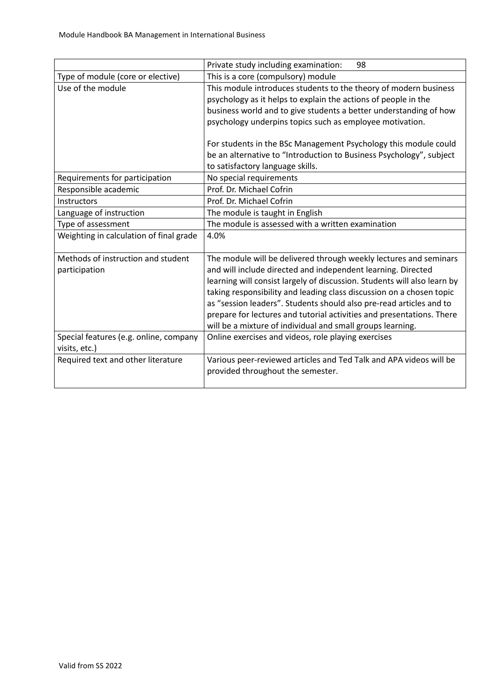|                                                         | Private study including examination:<br>98                                                                                                                                                                                                                                                                                                                                                                                                                                                          |
|---------------------------------------------------------|-----------------------------------------------------------------------------------------------------------------------------------------------------------------------------------------------------------------------------------------------------------------------------------------------------------------------------------------------------------------------------------------------------------------------------------------------------------------------------------------------------|
| Type of module (core or elective)                       | This is a core (compulsory) module                                                                                                                                                                                                                                                                                                                                                                                                                                                                  |
| Use of the module                                       | This module introduces students to the theory of modern business<br>psychology as it helps to explain the actions of people in the<br>business world and to give students a better understanding of how<br>psychology underpins topics such as employee motivation.                                                                                                                                                                                                                                 |
|                                                         | For students in the BSc Management Psychology this module could<br>be an alternative to "Introduction to Business Psychology", subject<br>to satisfactory language skills.                                                                                                                                                                                                                                                                                                                          |
| Requirements for participation                          | No special requirements                                                                                                                                                                                                                                                                                                                                                                                                                                                                             |
| Responsible academic                                    | Prof. Dr. Michael Cofrin                                                                                                                                                                                                                                                                                                                                                                                                                                                                            |
| Instructors                                             | Prof. Dr. Michael Cofrin                                                                                                                                                                                                                                                                                                                                                                                                                                                                            |
| Language of instruction                                 | The module is taught in English                                                                                                                                                                                                                                                                                                                                                                                                                                                                     |
| Type of assessment                                      | The module is assessed with a written examination                                                                                                                                                                                                                                                                                                                                                                                                                                                   |
| Weighting in calculation of final grade                 | 4.0%                                                                                                                                                                                                                                                                                                                                                                                                                                                                                                |
| Methods of instruction and student<br>participation     | The module will be delivered through weekly lectures and seminars<br>and will include directed and independent learning. Directed<br>learning will consist largely of discussion. Students will also learn by<br>taking responsibility and leading class discussion on a chosen topic<br>as "session leaders". Students should also pre-read articles and to<br>prepare for lectures and tutorial activities and presentations. There<br>will be a mixture of individual and small groups learning. |
| Special features (e.g. online, company<br>visits, etc.) | Online exercises and videos, role playing exercises                                                                                                                                                                                                                                                                                                                                                                                                                                                 |
| Required text and other literature                      | Various peer-reviewed articles and Ted Talk and APA videos will be<br>provided throughout the semester.                                                                                                                                                                                                                                                                                                                                                                                             |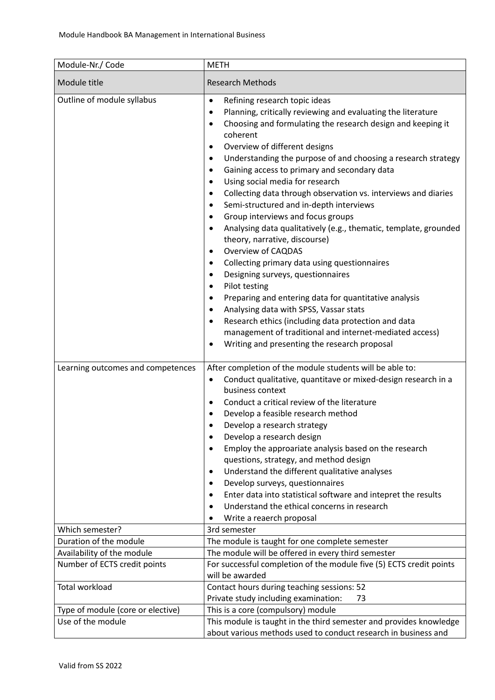| Module-Nr./ Code                  | <b>METH</b>                                                                                                                                                                                                                                                                                                                                                                                                                                                                                                                                                                                                                                                                                                                                                                                                                                                                                                                                                                                                                                                                                                                                                                                                                                                                 |
|-----------------------------------|-----------------------------------------------------------------------------------------------------------------------------------------------------------------------------------------------------------------------------------------------------------------------------------------------------------------------------------------------------------------------------------------------------------------------------------------------------------------------------------------------------------------------------------------------------------------------------------------------------------------------------------------------------------------------------------------------------------------------------------------------------------------------------------------------------------------------------------------------------------------------------------------------------------------------------------------------------------------------------------------------------------------------------------------------------------------------------------------------------------------------------------------------------------------------------------------------------------------------------------------------------------------------------|
| Module title                      | <b>Research Methods</b>                                                                                                                                                                                                                                                                                                                                                                                                                                                                                                                                                                                                                                                                                                                                                                                                                                                                                                                                                                                                                                                                                                                                                                                                                                                     |
| Outline of module syllabus        | Refining research topic ideas<br>$\bullet$<br>Planning, critically reviewing and evaluating the literature<br>$\bullet$<br>Choosing and formulating the research design and keeping it<br>$\bullet$<br>coherent<br>Overview of different designs<br>$\bullet$<br>Understanding the purpose of and choosing a research strategy<br>$\bullet$<br>Gaining access to primary and secondary data<br>٠<br>Using social media for research<br>$\bullet$<br>Collecting data through observation vs. interviews and diaries<br>$\bullet$<br>Semi-structured and in-depth interviews<br>$\bullet$<br>Group interviews and focus groups<br>$\bullet$<br>Analysing data qualitatively (e.g., thematic, template, grounded<br>$\bullet$<br>theory, narrative, discourse)<br><b>Overview of CAQDAS</b><br>$\bullet$<br>Collecting primary data using questionnaires<br>$\bullet$<br>Designing surveys, questionnaires<br>$\bullet$<br>Pilot testing<br>$\bullet$<br>Preparing and entering data for quantitative analysis<br>$\bullet$<br>Analysing data with SPSS, Vassar stats<br>$\bullet$<br>Research ethics (including data protection and data<br>$\bullet$<br>management of traditional and internet-mediated access)<br>Writing and presenting the research proposal<br>$\bullet$ |
| Learning outcomes and competences | After completion of the module students will be able to:<br>Conduct qualitative, quantitave or mixed-design research in a<br>$\bullet$<br>business context<br>Conduct a critical review of the literature<br>$\bullet$<br>Develop a feasible research method<br>$\bullet$<br>Develop a research strategy<br>$\bullet$<br>Develop a research design<br>$\bullet$<br>Employ the approariate analysis based on the research<br>$\bullet$<br>questions, strategy, and method design<br>Understand the different qualitative analyses<br>$\bullet$<br>Develop surveys, questionnaires<br>$\bullet$<br>Enter data into statistical software and intepret the results<br>Understand the ethical concerns in research<br>Write a reaerch proposal                                                                                                                                                                                                                                                                                                                                                                                                                                                                                                                                   |
| Which semester?                   | 3rd semester                                                                                                                                                                                                                                                                                                                                                                                                                                                                                                                                                                                                                                                                                                                                                                                                                                                                                                                                                                                                                                                                                                                                                                                                                                                                |
| Duration of the module            | The module is taught for one complete semester                                                                                                                                                                                                                                                                                                                                                                                                                                                                                                                                                                                                                                                                                                                                                                                                                                                                                                                                                                                                                                                                                                                                                                                                                              |
| Availability of the module        | The module will be offered in every third semester                                                                                                                                                                                                                                                                                                                                                                                                                                                                                                                                                                                                                                                                                                                                                                                                                                                                                                                                                                                                                                                                                                                                                                                                                          |
| Number of ECTS credit points      | For successful completion of the module five (5) ECTS credit points                                                                                                                                                                                                                                                                                                                                                                                                                                                                                                                                                                                                                                                                                                                                                                                                                                                                                                                                                                                                                                                                                                                                                                                                         |
|                                   | will be awarded                                                                                                                                                                                                                                                                                                                                                                                                                                                                                                                                                                                                                                                                                                                                                                                                                                                                                                                                                                                                                                                                                                                                                                                                                                                             |
| <b>Total workload</b>             | Contact hours during teaching sessions: 52                                                                                                                                                                                                                                                                                                                                                                                                                                                                                                                                                                                                                                                                                                                                                                                                                                                                                                                                                                                                                                                                                                                                                                                                                                  |
|                                   | Private study including examination:<br>73                                                                                                                                                                                                                                                                                                                                                                                                                                                                                                                                                                                                                                                                                                                                                                                                                                                                                                                                                                                                                                                                                                                                                                                                                                  |
| Type of module (core or elective) | This is a core (compulsory) module                                                                                                                                                                                                                                                                                                                                                                                                                                                                                                                                                                                                                                                                                                                                                                                                                                                                                                                                                                                                                                                                                                                                                                                                                                          |
| Use of the module                 | This module is taught in the third semester and provides knowledge<br>about various methods used to conduct research in business and                                                                                                                                                                                                                                                                                                                                                                                                                                                                                                                                                                                                                                                                                                                                                                                                                                                                                                                                                                                                                                                                                                                                        |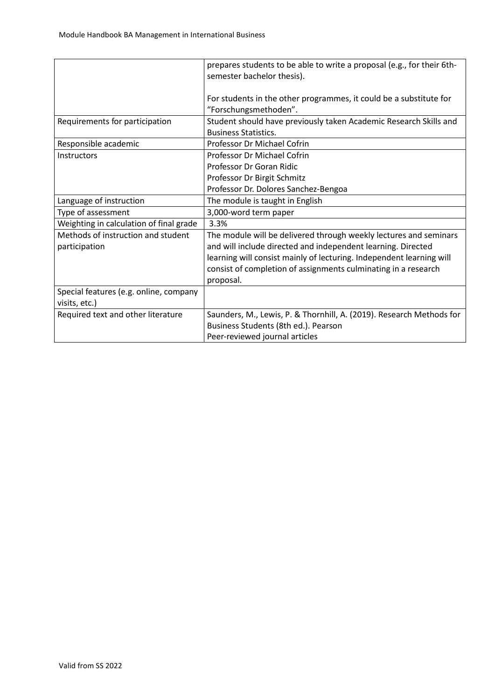|                                                     | prepares students to be able to write a proposal (e.g., for their 6th-<br>semester bachelor thesis).                                                                                                                                                                                     |
|-----------------------------------------------------|------------------------------------------------------------------------------------------------------------------------------------------------------------------------------------------------------------------------------------------------------------------------------------------|
|                                                     | For students in the other programmes, it could be a substitute for<br>"Forschungsmethoden".                                                                                                                                                                                              |
| Requirements for participation                      | Student should have previously taken Academic Research Skills and<br><b>Business Statistics.</b>                                                                                                                                                                                         |
| Responsible academic                                | Professor Dr Michael Cofrin                                                                                                                                                                                                                                                              |
| Instructors                                         | <b>Professor Dr Michael Cofrin</b>                                                                                                                                                                                                                                                       |
|                                                     | Professor Dr Goran Ridic                                                                                                                                                                                                                                                                 |
|                                                     | Professor Dr Birgit Schmitz                                                                                                                                                                                                                                                              |
|                                                     | Professor Dr. Dolores Sanchez-Bengoa                                                                                                                                                                                                                                                     |
| Language of instruction                             | The module is taught in English                                                                                                                                                                                                                                                          |
| Type of assessment                                  | 3,000-word term paper                                                                                                                                                                                                                                                                    |
| Weighting in calculation of final grade             | 3.3%                                                                                                                                                                                                                                                                                     |
| Methods of instruction and student<br>participation | The module will be delivered through weekly lectures and seminars<br>and will include directed and independent learning. Directed<br>learning will consist mainly of lecturing. Independent learning will<br>consist of completion of assignments culminating in a research<br>proposal. |
| Special features (e.g. online, company              |                                                                                                                                                                                                                                                                                          |
| visits, etc.)                                       |                                                                                                                                                                                                                                                                                          |
| Required text and other literature                  | Saunders, M., Lewis, P. & Thornhill, A. (2019). Research Methods for                                                                                                                                                                                                                     |
|                                                     | Business Students (8th ed.). Pearson                                                                                                                                                                                                                                                     |
|                                                     | Peer-reviewed journal articles                                                                                                                                                                                                                                                           |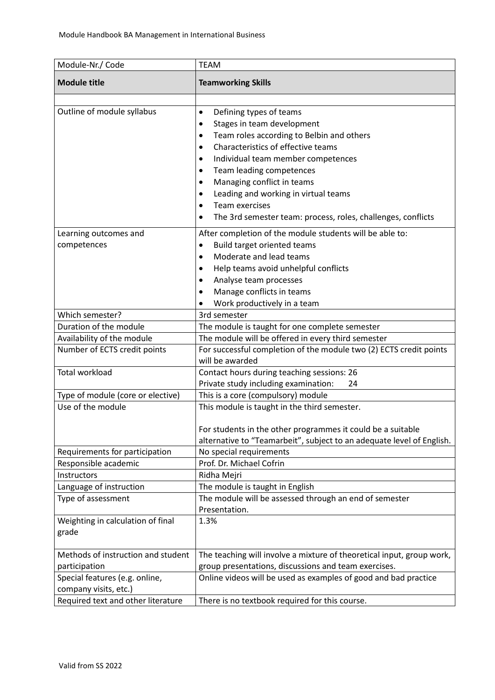| Module-Nr./ Code                   | <b>TEAM</b>                                                           |
|------------------------------------|-----------------------------------------------------------------------|
| <b>Module title</b>                | <b>Teamworking Skills</b>                                             |
|                                    |                                                                       |
| Outline of module syllabus         | Defining types of teams<br>$\bullet$                                  |
|                                    | Stages in team development<br>٠                                       |
|                                    | Team roles according to Belbin and others<br>٠                        |
|                                    | Characteristics of effective teams<br>٠                               |
|                                    | Individual team member competences<br>٠                               |
|                                    | Team leading competences<br>٠                                         |
|                                    | Managing conflict in teams<br>٠                                       |
|                                    | Leading and working in virtual teams<br>٠                             |
|                                    | <b>Team exercises</b><br>$\bullet$                                    |
|                                    | The 3rd semester team: process, roles, challenges, conflicts<br>٠     |
| Learning outcomes and              | After completion of the module students will be able to:              |
| competences                        | Build target oriented teams<br>$\bullet$                              |
|                                    | Moderate and lead teams<br>$\bullet$                                  |
|                                    | Help teams avoid unhelpful conflicts<br>$\bullet$                     |
|                                    | Analyse team processes<br>٠                                           |
|                                    | Manage conflicts in teams<br>$\bullet$                                |
|                                    | Work productively in a team                                           |
| Which semester?                    | 3rd semester                                                          |
| Duration of the module             | The module is taught for one complete semester                        |
| Availability of the module         | The module will be offered in every third semester                    |
| Number of ECTS credit points       | For successful completion of the module two (2) ECTS credit points    |
|                                    | will be awarded                                                       |
| <b>Total workload</b>              | Contact hours during teaching sessions: 26                            |
|                                    | Private study including examination:<br>24                            |
| Type of module (core or elective)  | This is a core (compulsory) module                                    |
| Use of the module                  | This module is taught in the third semester.                          |
|                                    | For students in the other programmes it could be a suitable           |
|                                    | alternative to "Teamarbeit", subject to an adequate level of English. |
| Requirements for participation     | No special requirements                                               |
| Responsible academic               | Prof. Dr. Michael Cofrin                                              |
| Instructors                        | Ridha Mejri                                                           |
| Language of instruction            | The module is taught in English                                       |
| Type of assessment                 | The module will be assessed through an end of semester                |
|                                    | Presentation.                                                         |
| Weighting in calculation of final  | 1.3%                                                                  |
| grade                              |                                                                       |
| Methods of instruction and student | The teaching will involve a mixture of theoretical input, group work, |
| participation                      | group presentations, discussions and team exercises.                  |
| Special features (e.g. online,     | Online videos will be used as examples of good and bad practice       |
| company visits, etc.)              |                                                                       |
| Required text and other literature | There is no textbook required for this course.                        |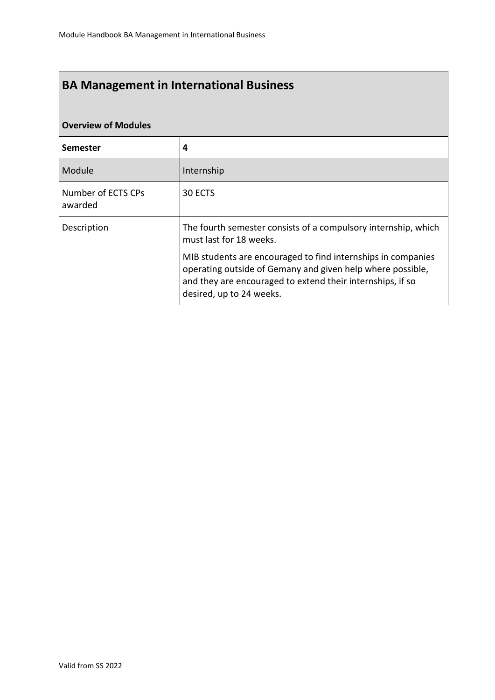# **Overview of Modules**

| <b>Semester</b>               | 4                                                                                                                                                                                                                    |
|-------------------------------|----------------------------------------------------------------------------------------------------------------------------------------------------------------------------------------------------------------------|
| Module                        | Internship                                                                                                                                                                                                           |
| Number of ECTS CPs<br>awarded | 30 ECTS                                                                                                                                                                                                              |
| Description                   | The fourth semester consists of a compulsory internship, which<br>must last for 18 weeks.                                                                                                                            |
|                               | MIB students are encouraged to find internships in companies<br>operating outside of Gemany and given help where possible,<br>and they are encouraged to extend their internships, if so<br>desired, up to 24 weeks. |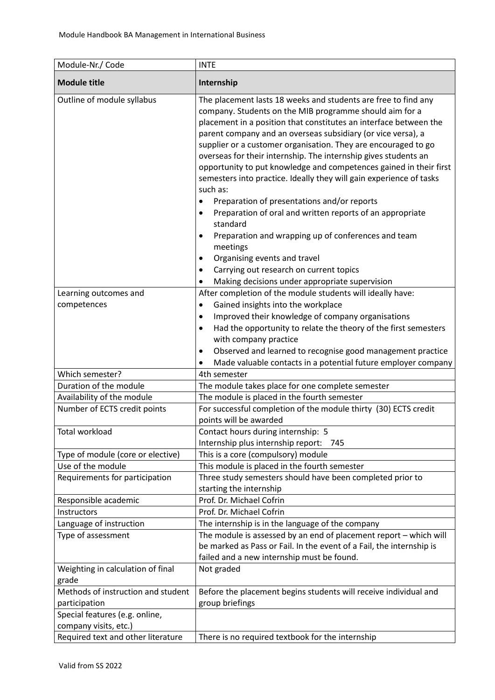| Module-Nr./ Code                                        | <b>INTE</b>                                                                                                                                                                                                                                                                                                                                                                                                                                                                                                                                                                                                                                                                                                                                                                                                                                                                         |
|---------------------------------------------------------|-------------------------------------------------------------------------------------------------------------------------------------------------------------------------------------------------------------------------------------------------------------------------------------------------------------------------------------------------------------------------------------------------------------------------------------------------------------------------------------------------------------------------------------------------------------------------------------------------------------------------------------------------------------------------------------------------------------------------------------------------------------------------------------------------------------------------------------------------------------------------------------|
| <b>Module title</b>                                     | Internship                                                                                                                                                                                                                                                                                                                                                                                                                                                                                                                                                                                                                                                                                                                                                                                                                                                                          |
| Outline of module syllabus                              | The placement lasts 18 weeks and students are free to find any<br>company. Students on the MIB programme should aim for a<br>placement in a position that constitutes an interface between the<br>parent company and an overseas subsidiary (or vice versa), a<br>supplier or a customer organisation. They are encouraged to go<br>overseas for their internship. The internship gives students an<br>opportunity to put knowledge and competences gained in their first<br>semesters into practice. Ideally they will gain experience of tasks<br>such as:<br>Preparation of presentations and/or reports<br>٠<br>Preparation of oral and written reports of an appropriate<br>$\bullet$<br>standard<br>Preparation and wrapping up of conferences and team<br>$\bullet$<br>meetings<br>Organising events and travel<br>٠<br>Carrying out research on current topics<br>$\bullet$ |
|                                                         | Making decisions under appropriate supervision                                                                                                                                                                                                                                                                                                                                                                                                                                                                                                                                                                                                                                                                                                                                                                                                                                      |
| Learning outcomes and<br>competences                    | After completion of the module students will ideally have:<br>Gained insights into the workplace<br>$\bullet$<br>Improved their knowledge of company organisations<br>$\bullet$<br>Had the opportunity to relate the theory of the first semesters<br>$\bullet$<br>with company practice<br>Observed and learned to recognise good management practice<br>٠                                                                                                                                                                                                                                                                                                                                                                                                                                                                                                                         |
| Which semester?                                         | Made valuable contacts in a potential future employer company<br>4th semester                                                                                                                                                                                                                                                                                                                                                                                                                                                                                                                                                                                                                                                                                                                                                                                                       |
| Duration of the module                                  | The module takes place for one complete semester                                                                                                                                                                                                                                                                                                                                                                                                                                                                                                                                                                                                                                                                                                                                                                                                                                    |
| Availability of the module                              | The module is placed in the fourth semester                                                                                                                                                                                                                                                                                                                                                                                                                                                                                                                                                                                                                                                                                                                                                                                                                                         |
| Number of ECTS credit points                            | For successful completion of the module thirty (30) ECTS credit<br>points will be awarded                                                                                                                                                                                                                                                                                                                                                                                                                                                                                                                                                                                                                                                                                                                                                                                           |
| Total workload                                          | Contact hours during internship: 5<br>Internship plus internship report: 745                                                                                                                                                                                                                                                                                                                                                                                                                                                                                                                                                                                                                                                                                                                                                                                                        |
| Type of module (core or elective)                       | This is a core (compulsory) module                                                                                                                                                                                                                                                                                                                                                                                                                                                                                                                                                                                                                                                                                                                                                                                                                                                  |
| Use of the module                                       | This module is placed in the fourth semester                                                                                                                                                                                                                                                                                                                                                                                                                                                                                                                                                                                                                                                                                                                                                                                                                                        |
| Requirements for participation                          | Three study semesters should have been completed prior to<br>starting the internship                                                                                                                                                                                                                                                                                                                                                                                                                                                                                                                                                                                                                                                                                                                                                                                                |
| Responsible academic                                    | Prof. Dr. Michael Cofrin                                                                                                                                                                                                                                                                                                                                                                                                                                                                                                                                                                                                                                                                                                                                                                                                                                                            |
| Instructors                                             | Prof. Dr. Michael Cofrin                                                                                                                                                                                                                                                                                                                                                                                                                                                                                                                                                                                                                                                                                                                                                                                                                                                            |
| Language of instruction                                 | The internship is in the language of the company                                                                                                                                                                                                                                                                                                                                                                                                                                                                                                                                                                                                                                                                                                                                                                                                                                    |
| Type of assessment                                      | The module is assessed by an end of placement report - which will<br>be marked as Pass or Fail. In the event of a Fail, the internship is<br>failed and a new internship must be found.                                                                                                                                                                                                                                                                                                                                                                                                                                                                                                                                                                                                                                                                                             |
| Weighting in calculation of final<br>grade              | Not graded                                                                                                                                                                                                                                                                                                                                                                                                                                                                                                                                                                                                                                                                                                                                                                                                                                                                          |
| Methods of instruction and student                      | Before the placement begins students will receive individual and                                                                                                                                                                                                                                                                                                                                                                                                                                                                                                                                                                                                                                                                                                                                                                                                                    |
| participation                                           | group briefings                                                                                                                                                                                                                                                                                                                                                                                                                                                                                                                                                                                                                                                                                                                                                                                                                                                                     |
| Special features (e.g. online,<br>company visits, etc.) |                                                                                                                                                                                                                                                                                                                                                                                                                                                                                                                                                                                                                                                                                                                                                                                                                                                                                     |
| Required text and other literature                      | There is no required textbook for the internship                                                                                                                                                                                                                                                                                                                                                                                                                                                                                                                                                                                                                                                                                                                                                                                                                                    |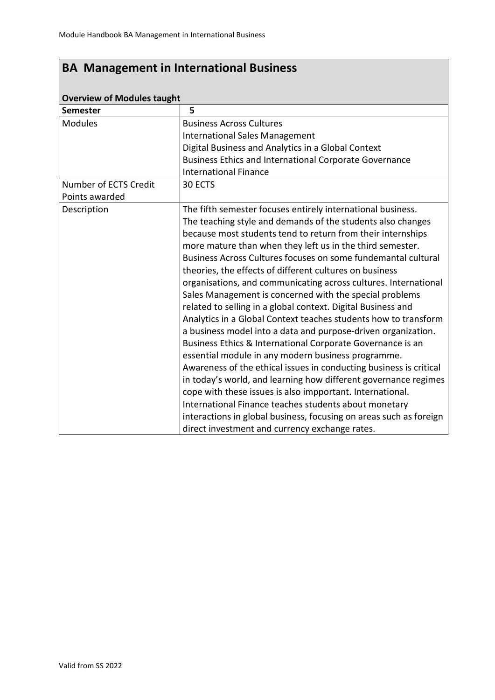| <b>Overview of Modules taught</b> |                                                                    |  |
|-----------------------------------|--------------------------------------------------------------------|--|
| <b>Semester</b>                   | 5                                                                  |  |
| <b>Modules</b>                    | <b>Business Across Cultures</b>                                    |  |
|                                   | <b>International Sales Management</b>                              |  |
|                                   | Digital Business and Analytics in a Global Context                 |  |
|                                   | Business Ethics and International Corporate Governance             |  |
|                                   | <b>International Finance</b>                                       |  |
| Number of ECTS Credit             | 30 ECTS                                                            |  |
| Points awarded                    |                                                                    |  |
| Description                       | The fifth semester focuses entirely international business.        |  |
|                                   | The teaching style and demands of the students also changes        |  |
|                                   | because most students tend to return from their internships        |  |
|                                   | more mature than when they left us in the third semester.          |  |
|                                   | Business Across Cultures focuses on some fundemantal cultural      |  |
|                                   | theories, the effects of different cultures on business            |  |
|                                   | organisations, and communicating across cultures. International    |  |
|                                   | Sales Management is concerned with the special problems            |  |
|                                   | related to selling in a global context. Digital Business and       |  |
|                                   | Analytics in a Global Context teaches students how to transform    |  |
|                                   | a business model into a data and purpose-driven organization.      |  |
|                                   | Business Ethics & International Corporate Governance is an         |  |
|                                   | essential module in any modern business programme.                 |  |
|                                   | Awareness of the ethical issues in conducting business is critical |  |
|                                   | in today's world, and learning how different governance regimes    |  |
|                                   | cope with these issues is also impportant. International.          |  |
|                                   | International Finance teaches students about monetary              |  |
|                                   | interactions in global business, focusing on areas such as foreign |  |
|                                   | direct investment and currency exchange rates.                     |  |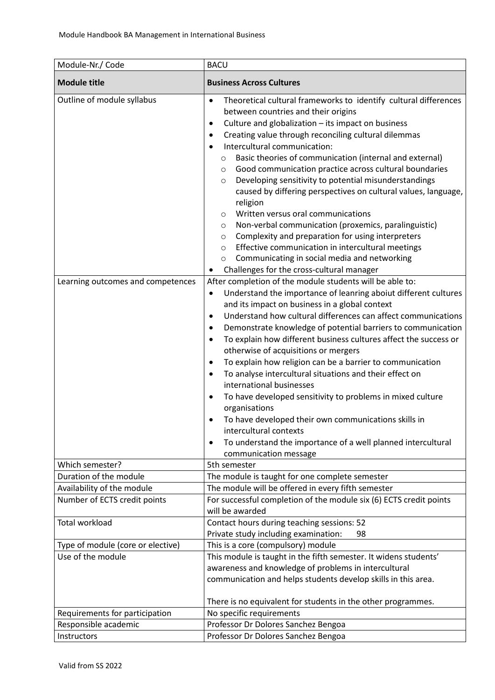| Module-Nr./ Code                                           | <b>BACU</b>                                                                                                                                                                                                                                                                                                                                                                                                                                                                                                                                                                                                                                                                                                                                                                                                                                                                                                                                                 |
|------------------------------------------------------------|-------------------------------------------------------------------------------------------------------------------------------------------------------------------------------------------------------------------------------------------------------------------------------------------------------------------------------------------------------------------------------------------------------------------------------------------------------------------------------------------------------------------------------------------------------------------------------------------------------------------------------------------------------------------------------------------------------------------------------------------------------------------------------------------------------------------------------------------------------------------------------------------------------------------------------------------------------------|
| <b>Module title</b>                                        | <b>Business Across Cultures</b>                                                                                                                                                                                                                                                                                                                                                                                                                                                                                                                                                                                                                                                                                                                                                                                                                                                                                                                             |
| Outline of module syllabus                                 | Theoretical cultural frameworks to identify cultural differences<br>$\bullet$<br>between countries and their origins<br>Culture and globalization - its impact on business<br>٠<br>Creating value through reconciling cultural dilemmas<br>$\bullet$<br>Intercultural communication:<br>$\bullet$<br>Basic theories of communication (internal and external)<br>O<br>Good communication practice across cultural boundaries<br>O<br>Developing sensitivity to potential misunderstandings<br>$\circ$<br>caused by differing perspectives on cultural values, language,<br>religion<br>Written versus oral communications<br>$\circ$<br>Non-verbal communication (proxemics, paralinguistic)<br>$\circ$<br>Complexity and preparation for using interpreters<br>$\circ$<br>Effective communication in intercultural meetings<br>$\circ$<br>Communicating in social media and networking<br>$\circ$<br>Challenges for the cross-cultural manager<br>$\bullet$ |
| Learning outcomes and competences                          | After completion of the module students will be able to:<br>Understand the importance of leanring aboiut different cultures<br>٠<br>and its impact on business in a global context<br>Understand how cultural differences can affect communications<br>$\bullet$<br>Demonstrate knowledge of potential barriers to communication<br>$\bullet$<br>To explain how different business cultures affect the success or<br>$\bullet$<br>otherwise of acquisitions or mergers<br>To explain how religion can be a barrier to communication<br>$\bullet$<br>To analyse intercultural situations and their effect on<br>$\bullet$<br>international businesses<br>To have developed sensitivity to problems in mixed culture<br>٠<br>organisations<br>To have developed their own communications skills in<br>intercultural contexts<br>To understand the importance of a well planned intercultural<br>$\bullet$<br>communication message                            |
| Which semester?                                            | 5th semester                                                                                                                                                                                                                                                                                                                                                                                                                                                                                                                                                                                                                                                                                                                                                                                                                                                                                                                                                |
| Duration of the module                                     | The module is taught for one complete semester                                                                                                                                                                                                                                                                                                                                                                                                                                                                                                                                                                                                                                                                                                                                                                                                                                                                                                              |
| Availability of the module<br>Number of ECTS credit points | The module will be offered in every fifth semester<br>For successful completion of the module six (6) ECTS credit points<br>will be awarded                                                                                                                                                                                                                                                                                                                                                                                                                                                                                                                                                                                                                                                                                                                                                                                                                 |
| <b>Total workload</b>                                      | Contact hours during teaching sessions: 52<br>Private study including examination:<br>98                                                                                                                                                                                                                                                                                                                                                                                                                                                                                                                                                                                                                                                                                                                                                                                                                                                                    |
| Type of module (core or elective)                          | This is a core (compulsory) module                                                                                                                                                                                                                                                                                                                                                                                                                                                                                                                                                                                                                                                                                                                                                                                                                                                                                                                          |
| Use of the module                                          | This module is taught in the fifth semester. It widens students'<br>awareness and knowledge of problems in intercultural<br>communication and helps students develop skills in this area.<br>There is no equivalent for students in the other programmes.                                                                                                                                                                                                                                                                                                                                                                                                                                                                                                                                                                                                                                                                                                   |
| Requirements for participation                             | No specific requirements                                                                                                                                                                                                                                                                                                                                                                                                                                                                                                                                                                                                                                                                                                                                                                                                                                                                                                                                    |
| Responsible academic                                       | Professor Dr Dolores Sanchez Bengoa                                                                                                                                                                                                                                                                                                                                                                                                                                                                                                                                                                                                                                                                                                                                                                                                                                                                                                                         |
| Instructors                                                | Professor Dr Dolores Sanchez Bengoa                                                                                                                                                                                                                                                                                                                                                                                                                                                                                                                                                                                                                                                                                                                                                                                                                                                                                                                         |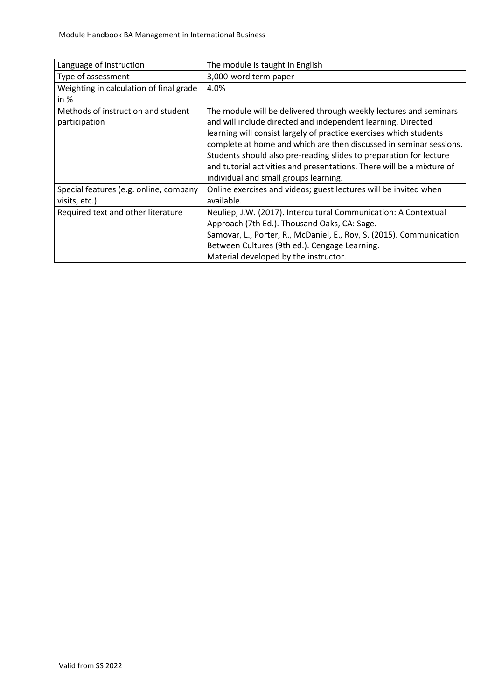| Language of instruction                                 | The module is taught in English                                                                                                                                                                                                                                                                                                                                                                                                                                       |
|---------------------------------------------------------|-----------------------------------------------------------------------------------------------------------------------------------------------------------------------------------------------------------------------------------------------------------------------------------------------------------------------------------------------------------------------------------------------------------------------------------------------------------------------|
| Type of assessment                                      | 3,000-word term paper                                                                                                                                                                                                                                                                                                                                                                                                                                                 |
| Weighting in calculation of final grade<br>in $%$       | 4.0%                                                                                                                                                                                                                                                                                                                                                                                                                                                                  |
| Methods of instruction and student<br>participation     | The module will be delivered through weekly lectures and seminars<br>and will include directed and independent learning. Directed<br>learning will consist largely of practice exercises which students<br>complete at home and which are then discussed in seminar sessions.<br>Students should also pre-reading slides to preparation for lecture<br>and tutorial activities and presentations. There will be a mixture of<br>individual and small groups learning. |
| Special features (e.g. online, company<br>visits, etc.) | Online exercises and videos; guest lectures will be invited when<br>available.                                                                                                                                                                                                                                                                                                                                                                                        |
| Required text and other literature                      | Neuliep, J.W. (2017). Intercultural Communication: A Contextual<br>Approach (7th Ed.). Thousand Oaks, CA: Sage.<br>Samovar, L., Porter, R., McDaniel, E., Roy, S. (2015). Communication<br>Between Cultures (9th ed.). Cengage Learning.<br>Material developed by the instructor.                                                                                                                                                                                     |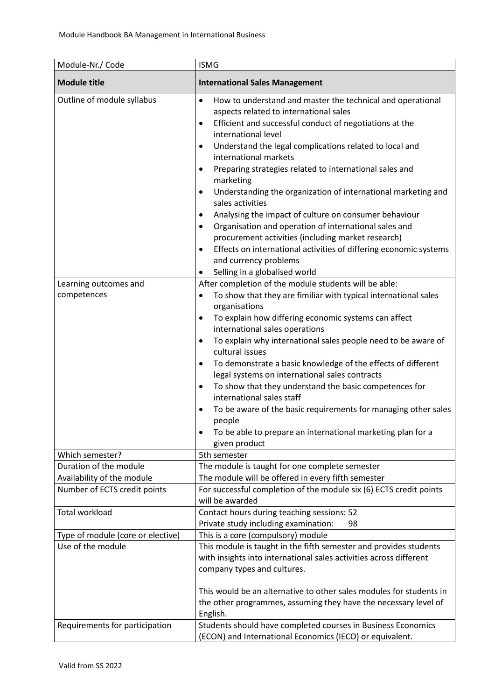| Module-Nr./ Code                                           | <b>ISMG</b>                                                                                                                                                                                                                                                                                                                                                                                                                                                                                                                                                                                                                                                                                                                                                                                                                    |
|------------------------------------------------------------|--------------------------------------------------------------------------------------------------------------------------------------------------------------------------------------------------------------------------------------------------------------------------------------------------------------------------------------------------------------------------------------------------------------------------------------------------------------------------------------------------------------------------------------------------------------------------------------------------------------------------------------------------------------------------------------------------------------------------------------------------------------------------------------------------------------------------------|
| <b>Module title</b>                                        | <b>International Sales Management</b>                                                                                                                                                                                                                                                                                                                                                                                                                                                                                                                                                                                                                                                                                                                                                                                          |
| Outline of module syllabus                                 | How to understand and master the technical and operational<br>$\bullet$<br>aspects related to international sales<br>Efficient and successful conduct of negotiations at the<br>$\bullet$<br>international level<br>Understand the legal complications related to local and<br>٠<br>international markets<br>Preparing strategies related to international sales and<br>$\bullet$<br>marketing<br>Understanding the organization of international marketing and<br>٠<br>sales activities<br>Analysing the impact of culture on consumer behaviour<br>$\bullet$<br>Organisation and operation of international sales and<br>٠<br>procurement activities (including market research)<br>Effects on international activities of differing economic systems<br>$\bullet$<br>and currency problems<br>Selling in a globalised world |
| Learning outcomes and                                      | After completion of the module students will be able:                                                                                                                                                                                                                                                                                                                                                                                                                                                                                                                                                                                                                                                                                                                                                                          |
| competences                                                | To show that they are fimiliar with typical international sales<br>$\bullet$<br>organisations<br>To explain how differing economic systems can affect<br>٠<br>international sales operations<br>To explain why international sales people need to be aware of<br>٠<br>cultural issues<br>To demonstrate a basic knowledge of the effects of different<br>$\bullet$<br>legal systems on international sales contracts<br>To show that they understand the basic competences for<br>٠<br>international sales staff<br>To be aware of the basic requirements for managing other sales<br>٠<br>people<br>To be able to prepare an international marketing plan for a<br>given product                                                                                                                                              |
| Which semester?                                            | 5th semester                                                                                                                                                                                                                                                                                                                                                                                                                                                                                                                                                                                                                                                                                                                                                                                                                   |
| Duration of the module                                     | The module is taught for one complete semester                                                                                                                                                                                                                                                                                                                                                                                                                                                                                                                                                                                                                                                                                                                                                                                 |
| Availability of the module<br>Number of ECTS credit points | The module will be offered in every fifth semester<br>For successful completion of the module six (6) ECTS credit points<br>will be awarded                                                                                                                                                                                                                                                                                                                                                                                                                                                                                                                                                                                                                                                                                    |
| <b>Total workload</b>                                      | Contact hours during teaching sessions: 52<br>Private study including examination:<br>98                                                                                                                                                                                                                                                                                                                                                                                                                                                                                                                                                                                                                                                                                                                                       |
| Type of module (core or elective)                          | This is a core (compulsory) module                                                                                                                                                                                                                                                                                                                                                                                                                                                                                                                                                                                                                                                                                                                                                                                             |
| Use of the module                                          | This module is taught in the fifth semester and provides students<br>with insights into international sales activities across different<br>company types and cultures.<br>This would be an alternative to other sales modules for students in<br>the other programmes, assuming they have the necessary level of<br>English.                                                                                                                                                                                                                                                                                                                                                                                                                                                                                                   |
| Requirements for participation                             | Students should have completed courses in Business Economics<br>(ECON) and International Economics (IECO) or equivalent.                                                                                                                                                                                                                                                                                                                                                                                                                                                                                                                                                                                                                                                                                                       |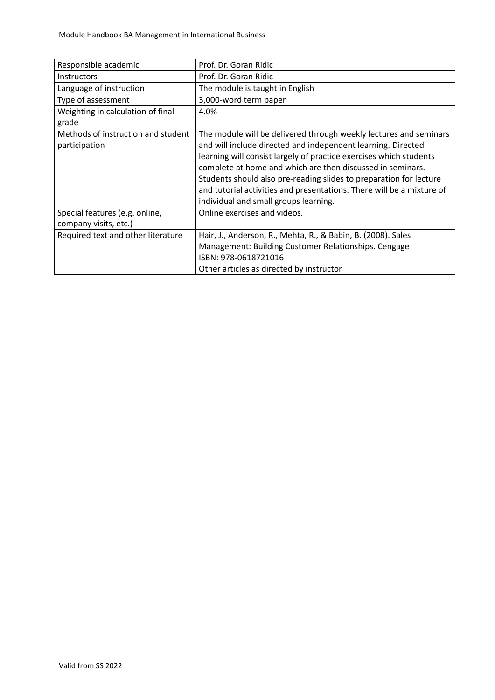| Responsible academic                                    | Prof. Dr. Goran Ridic                                                                                                                                                                                                                                                                                                                                                                                                                                         |
|---------------------------------------------------------|---------------------------------------------------------------------------------------------------------------------------------------------------------------------------------------------------------------------------------------------------------------------------------------------------------------------------------------------------------------------------------------------------------------------------------------------------------------|
| <b>Instructors</b>                                      | Prof. Dr. Goran Ridic                                                                                                                                                                                                                                                                                                                                                                                                                                         |
| Language of instruction                                 | The module is taught in English                                                                                                                                                                                                                                                                                                                                                                                                                               |
| Type of assessment                                      | 3,000-word term paper                                                                                                                                                                                                                                                                                                                                                                                                                                         |
| Weighting in calculation of final<br>grade              | 4.0%                                                                                                                                                                                                                                                                                                                                                                                                                                                          |
| Methods of instruction and student<br>participation     | The module will be delivered through weekly lectures and seminars<br>and will include directed and independent learning. Directed<br>learning will consist largely of practice exercises which students<br>complete at home and which are then discussed in seminars.<br>Students should also pre-reading slides to preparation for lecture<br>and tutorial activities and presentations. There will be a mixture of<br>individual and small groups learning. |
| Special features (e.g. online,<br>company visits, etc.) | Online exercises and videos.                                                                                                                                                                                                                                                                                                                                                                                                                                  |
| Required text and other literature                      | Hair, J., Anderson, R., Mehta, R., & Babin, B. (2008). Sales<br>Management: Building Customer Relationships. Cengage<br>ISBN: 978-0618721016<br>Other articles as directed by instructor                                                                                                                                                                                                                                                                      |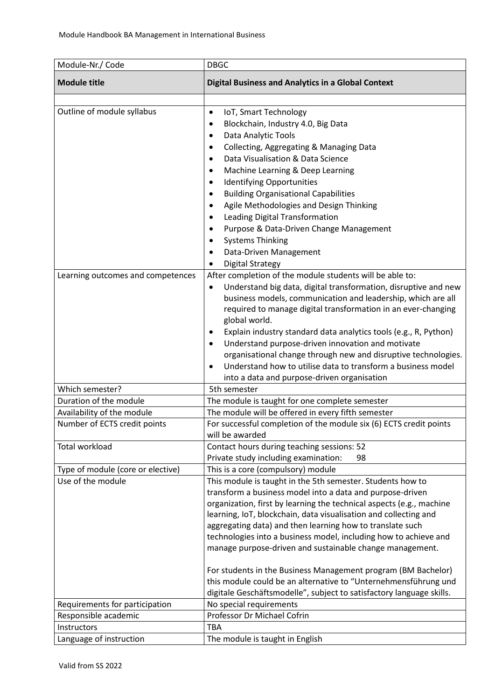| Module-Nr./ Code                  | <b>DBGC</b>                                                                                                                                                                                                                                                                                                                                                                                                                                                                                                                                                                                                                                                                  |
|-----------------------------------|------------------------------------------------------------------------------------------------------------------------------------------------------------------------------------------------------------------------------------------------------------------------------------------------------------------------------------------------------------------------------------------------------------------------------------------------------------------------------------------------------------------------------------------------------------------------------------------------------------------------------------------------------------------------------|
| <b>Module title</b>               | <b>Digital Business and Analytics in a Global Context</b>                                                                                                                                                                                                                                                                                                                                                                                                                                                                                                                                                                                                                    |
| Outline of module syllabus        | IoT, Smart Technology<br>$\bullet$<br>Blockchain, Industry 4.0, Big Data<br>$\bullet$<br>Data Analytic Tools<br>$\bullet$<br>Collecting, Aggregating & Managing Data<br>$\bullet$<br>Data Visualisation & Data Science<br>$\bullet$<br>Machine Learning & Deep Learning<br>$\bullet$<br><b>Identifying Opportunities</b><br>$\bullet$<br><b>Building Organisational Capabilities</b><br>$\bullet$<br>Agile Methodologies and Design Thinking<br>$\bullet$<br>Leading Digital Transformation<br>$\bullet$<br>Purpose & Data-Driven Change Management<br>$\bullet$<br><b>Systems Thinking</b><br>Data-Driven Management<br><b>Digital Strategy</b>                             |
| Learning outcomes and competences | After completion of the module students will be able to:<br>Understand big data, digital transformation, disruptive and new<br>$\bullet$<br>business models, communication and leadership, which are all<br>required to manage digital transformation in an ever-changing<br>global world.<br>Explain industry standard data analytics tools (e.g., R, Python)<br>$\bullet$<br>Understand purpose-driven innovation and motivate<br>$\bullet$<br>organisational change through new and disruptive technologies.<br>Understand how to utilise data to transform a business model<br>$\bullet$<br>into a data and purpose-driven organisation                                  |
| Which semester?                   | 5th semester                                                                                                                                                                                                                                                                                                                                                                                                                                                                                                                                                                                                                                                                 |
| Duration of the module            | The module is taught for one complete semester                                                                                                                                                                                                                                                                                                                                                                                                                                                                                                                                                                                                                               |
| Availability of the module        | The module will be offered in every fifth semester                                                                                                                                                                                                                                                                                                                                                                                                                                                                                                                                                                                                                           |
| Number of ECTS credit points      | For successful completion of the module six (6) ECTS credit points<br>will be awarded                                                                                                                                                                                                                                                                                                                                                                                                                                                                                                                                                                                        |
| Total workload                    | Contact hours during teaching sessions: 52<br>Private study including examination:<br>98                                                                                                                                                                                                                                                                                                                                                                                                                                                                                                                                                                                     |
| Type of module (core or elective) | This is a core (compulsory) module                                                                                                                                                                                                                                                                                                                                                                                                                                                                                                                                                                                                                                           |
| Use of the module                 | This module is taught in the 5th semester. Students how to<br>transform a business model into a data and purpose-driven<br>organization, first by learning the technical aspects (e.g., machine<br>learning, IoT, blockchain, data visualisation and collecting and<br>aggregating data) and then learning how to translate such<br>technologies into a business model, including how to achieve and<br>manage purpose-driven and sustainable change management.<br>For students in the Business Management program (BM Bachelor)<br>this module could be an alternative to "Unternehmensführung und<br>digitale Geschäftsmodelle", subject to satisfactory language skills. |
| Requirements for participation    | No special requirements                                                                                                                                                                                                                                                                                                                                                                                                                                                                                                                                                                                                                                                      |
| Responsible academic              | Professor Dr Michael Cofrin                                                                                                                                                                                                                                                                                                                                                                                                                                                                                                                                                                                                                                                  |
| Instructors                       | <b>TBA</b>                                                                                                                                                                                                                                                                                                                                                                                                                                                                                                                                                                                                                                                                   |
| Language of instruction           | The module is taught in English                                                                                                                                                                                                                                                                                                                                                                                                                                                                                                                                                                                                                                              |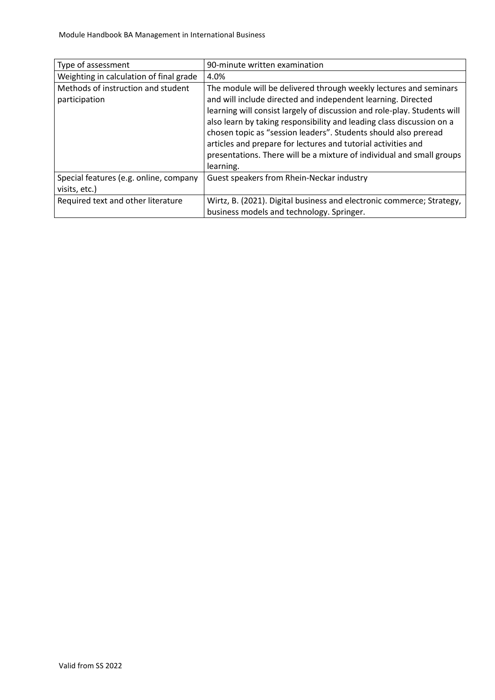| Type of assessment                                      | 90-minute written examination                                                                                                                                                                                                                                                                                                                                                                                                                                                                                    |
|---------------------------------------------------------|------------------------------------------------------------------------------------------------------------------------------------------------------------------------------------------------------------------------------------------------------------------------------------------------------------------------------------------------------------------------------------------------------------------------------------------------------------------------------------------------------------------|
| Weighting in calculation of final grade                 | 4.0%                                                                                                                                                                                                                                                                                                                                                                                                                                                                                                             |
| Methods of instruction and student<br>participation     | The module will be delivered through weekly lectures and seminars<br>and will include directed and independent learning. Directed<br>learning will consist largely of discussion and role-play. Students will<br>also learn by taking responsibility and leading class discussion on a<br>chosen topic as "session leaders". Students should also preread<br>articles and prepare for lectures and tutorial activities and<br>presentations. There will be a mixture of individual and small groups<br>learning. |
| Special features (e.g. online, company<br>visits, etc.) | Guest speakers from Rhein-Neckar industry                                                                                                                                                                                                                                                                                                                                                                                                                                                                        |
| Required text and other literature                      | Wirtz, B. (2021). Digital business and electronic commerce; Strategy,<br>business models and technology. Springer.                                                                                                                                                                                                                                                                                                                                                                                               |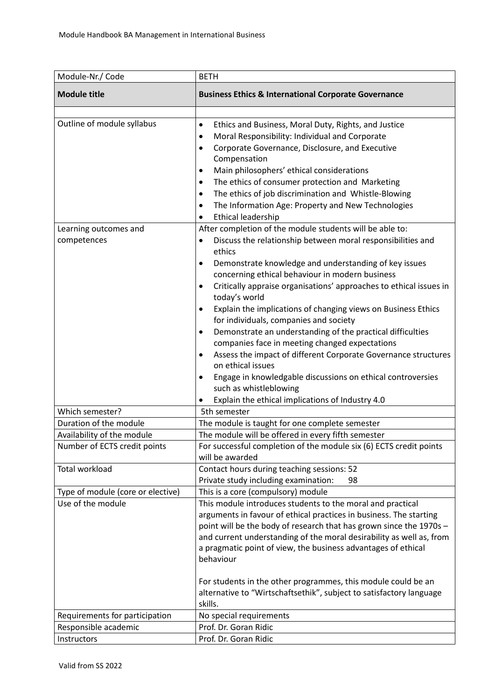| Module-Nr./ Code                                           | <b>BETH</b>                                                                                                                                                                                                                                                                                                                                                                                                                                                                                                                                                                                                                                                                                                                                                                                                                                                    |
|------------------------------------------------------------|----------------------------------------------------------------------------------------------------------------------------------------------------------------------------------------------------------------------------------------------------------------------------------------------------------------------------------------------------------------------------------------------------------------------------------------------------------------------------------------------------------------------------------------------------------------------------------------------------------------------------------------------------------------------------------------------------------------------------------------------------------------------------------------------------------------------------------------------------------------|
| <b>Module title</b>                                        | <b>Business Ethics &amp; International Corporate Governance</b>                                                                                                                                                                                                                                                                                                                                                                                                                                                                                                                                                                                                                                                                                                                                                                                                |
| Outline of module syllabus                                 | Ethics and Business, Moral Duty, Rights, and Justice<br>$\bullet$<br>Moral Responsibility: Individual and Corporate<br>٠<br>Corporate Governance, Disclosure, and Executive<br>٠<br>Compensation<br>Main philosophers' ethical considerations<br>٠<br>The ethics of consumer protection and Marketing<br>٠<br>The ethics of job discrimination and Whistle-Blowing<br>$\bullet$<br>The Information Age: Property and New Technologies<br>٠<br><b>Ethical leadership</b><br>٠                                                                                                                                                                                                                                                                                                                                                                                   |
| Learning outcomes and<br>competences                       | After completion of the module students will be able to:<br>Discuss the relationship between moral responsibilities and<br>$\bullet$<br>ethics<br>Demonstrate knowledge and understanding of key issues<br>$\bullet$<br>concerning ethical behaviour in modern business<br>Critically appraise organisations' approaches to ethical issues in<br>٠<br>today's world<br>Explain the implications of changing views on Business Ethics<br>$\bullet$<br>for individuals, companies and society<br>Demonstrate an understanding of the practical difficulties<br>٠<br>companies face in meeting changed expectations<br>Assess the impact of different Corporate Governance structures<br>٠<br>on ethical issues<br>Engage in knowledgable discussions on ethical controversies<br>٠<br>such as whistleblowing<br>Explain the ethical implications of Industry 4.0 |
| Which semester?                                            | 5th semester                                                                                                                                                                                                                                                                                                                                                                                                                                                                                                                                                                                                                                                                                                                                                                                                                                                   |
| Duration of the module                                     | The module is taught for one complete semester                                                                                                                                                                                                                                                                                                                                                                                                                                                                                                                                                                                                                                                                                                                                                                                                                 |
| Availability of the module<br>Number of ECTS credit points | The module will be offered in every fifth semester<br>For successful completion of the module six (6) ECTS credit points<br>will be awarded                                                                                                                                                                                                                                                                                                                                                                                                                                                                                                                                                                                                                                                                                                                    |
| <b>Total workload</b>                                      | Contact hours during teaching sessions: 52<br>Private study including examination:<br>98                                                                                                                                                                                                                                                                                                                                                                                                                                                                                                                                                                                                                                                                                                                                                                       |
| Type of module (core or elective)<br>Use of the module     | This is a core (compulsory) module<br>This module introduces students to the moral and practical<br>arguments in favour of ethical practices in business. The starting<br>point will be the body of research that has grown since the 1970s -<br>and current understanding of the moral desirability as well as, from<br>a pragmatic point of view, the business advantages of ethical<br>behaviour<br>For students in the other programmes, this module could be an<br>alternative to "Wirtschaftsethik", subject to satisfactory language<br>skills.                                                                                                                                                                                                                                                                                                         |
| Requirements for participation                             | No special requirements                                                                                                                                                                                                                                                                                                                                                                                                                                                                                                                                                                                                                                                                                                                                                                                                                                        |
| Responsible academic                                       | Prof. Dr. Goran Ridic                                                                                                                                                                                                                                                                                                                                                                                                                                                                                                                                                                                                                                                                                                                                                                                                                                          |
| Instructors                                                | Prof. Dr. Goran Ridic                                                                                                                                                                                                                                                                                                                                                                                                                                                                                                                                                                                                                                                                                                                                                                                                                                          |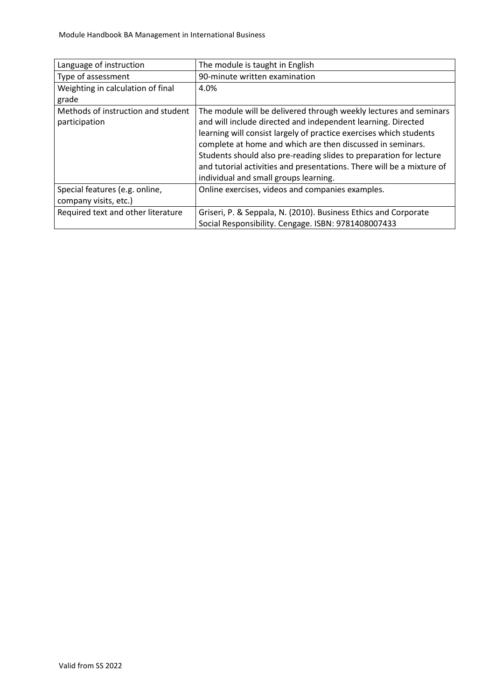| Language of instruction            | The module is taught in English                                       |
|------------------------------------|-----------------------------------------------------------------------|
| Type of assessment                 | 90-minute written examination                                         |
|                                    |                                                                       |
| Weighting in calculation of final  | 4.0%                                                                  |
| grade                              |                                                                       |
| Methods of instruction and student | The module will be delivered through weekly lectures and seminars     |
| participation                      | and will include directed and independent learning. Directed          |
|                                    | learning will consist largely of practice exercises which students    |
|                                    | complete at home and which are then discussed in seminars.            |
|                                    | Students should also pre-reading slides to preparation for lecture    |
|                                    | and tutorial activities and presentations. There will be a mixture of |
|                                    | individual and small groups learning.                                 |
| Special features (e.g. online,     | Online exercises, videos and companies examples.                      |
| company visits, etc.)              |                                                                       |
| Required text and other literature | Griseri, P. & Seppala, N. (2010). Business Ethics and Corporate       |
|                                    | Social Responsibility. Cengage. ISBN: 9781408007433                   |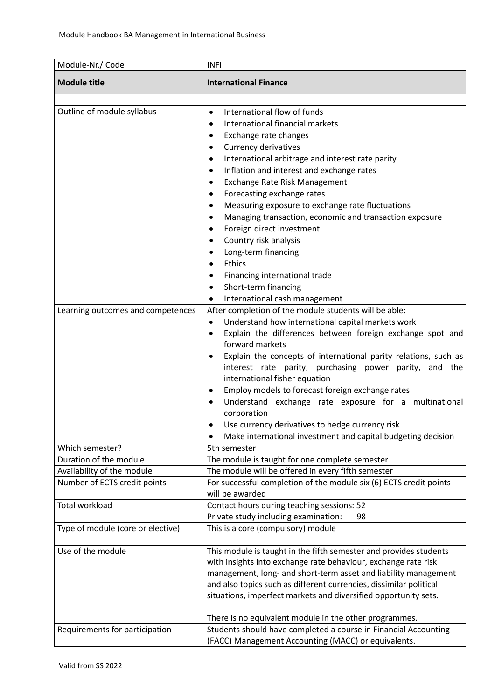| Module-Nr./ Code                                                | <b>INFI</b>                                                                                                                                                                                                                                                                                                                                                                                                                                                                                                                                                                                                                                                                                                                                                                                                                                                                                                                                                                                                                                                                                                                                                                                                                                                                                                                 |
|-----------------------------------------------------------------|-----------------------------------------------------------------------------------------------------------------------------------------------------------------------------------------------------------------------------------------------------------------------------------------------------------------------------------------------------------------------------------------------------------------------------------------------------------------------------------------------------------------------------------------------------------------------------------------------------------------------------------------------------------------------------------------------------------------------------------------------------------------------------------------------------------------------------------------------------------------------------------------------------------------------------------------------------------------------------------------------------------------------------------------------------------------------------------------------------------------------------------------------------------------------------------------------------------------------------------------------------------------------------------------------------------------------------|
| <b>Module title</b>                                             | <b>International Finance</b>                                                                                                                                                                                                                                                                                                                                                                                                                                                                                                                                                                                                                                                                                                                                                                                                                                                                                                                                                                                                                                                                                                                                                                                                                                                                                                |
| Outline of module syllabus<br>Learning outcomes and competences | International flow of funds<br>$\bullet$<br>International financial markets<br>$\bullet$<br>Exchange rate changes<br>٠<br>Currency derivatives<br>$\bullet$<br>International arbitrage and interest rate parity<br>$\bullet$<br>Inflation and interest and exchange rates<br>$\bullet$<br>Exchange Rate Risk Management<br>$\bullet$<br>Forecasting exchange rates<br>$\bullet$<br>Measuring exposure to exchange rate fluctuations<br>$\bullet$<br>Managing transaction, economic and transaction exposure<br>$\bullet$<br>Foreign direct investment<br>$\bullet$<br>Country risk analysis<br>$\bullet$<br>Long-term financing<br>Ethics<br>$\bullet$<br>Financing international trade<br>$\bullet$<br>Short-term financing<br>$\bullet$<br>International cash management<br>٠<br>After completion of the module students will be able:<br>Understand how international capital markets work<br>$\bullet$<br>Explain the differences between foreign exchange spot and<br>$\bullet$<br>forward markets<br>Explain the concepts of international parity relations, such as<br>$\bullet$<br>interest rate parity, purchasing power parity, and the<br>international fisher equation<br>Employ models to forecast foreign exchange rates<br>$\bullet$<br>Understand exchange rate exposure for a multinational<br>corporation |
|                                                                 | Use currency derivatives to hedge currency risk<br>Make international investment and capital budgeting decision                                                                                                                                                                                                                                                                                                                                                                                                                                                                                                                                                                                                                                                                                                                                                                                                                                                                                                                                                                                                                                                                                                                                                                                                             |
| Which semester?                                                 | 5th semester                                                                                                                                                                                                                                                                                                                                                                                                                                                                                                                                                                                                                                                                                                                                                                                                                                                                                                                                                                                                                                                                                                                                                                                                                                                                                                                |
| Duration of the module                                          | The module is taught for one complete semester                                                                                                                                                                                                                                                                                                                                                                                                                                                                                                                                                                                                                                                                                                                                                                                                                                                                                                                                                                                                                                                                                                                                                                                                                                                                              |
| Availability of the module                                      | The module will be offered in every fifth semester                                                                                                                                                                                                                                                                                                                                                                                                                                                                                                                                                                                                                                                                                                                                                                                                                                                                                                                                                                                                                                                                                                                                                                                                                                                                          |
| Number of ECTS credit points                                    | For successful completion of the module six (6) ECTS credit points<br>will be awarded                                                                                                                                                                                                                                                                                                                                                                                                                                                                                                                                                                                                                                                                                                                                                                                                                                                                                                                                                                                                                                                                                                                                                                                                                                       |
| <b>Total workload</b>                                           | Contact hours during teaching sessions: 52<br>Private study including examination:<br>98                                                                                                                                                                                                                                                                                                                                                                                                                                                                                                                                                                                                                                                                                                                                                                                                                                                                                                                                                                                                                                                                                                                                                                                                                                    |
| Type of module (core or elective)                               | This is a core (compulsory) module                                                                                                                                                                                                                                                                                                                                                                                                                                                                                                                                                                                                                                                                                                                                                                                                                                                                                                                                                                                                                                                                                                                                                                                                                                                                                          |
| Use of the module                                               | This module is taught in the fifth semester and provides students<br>with insights into exchange rate behaviour, exchange rate risk<br>management, long- and short-term asset and liability management<br>and also topics such as different currencies, dissimilar political<br>situations, imperfect markets and diversified opportunity sets.<br>There is no equivalent module in the other programmes.                                                                                                                                                                                                                                                                                                                                                                                                                                                                                                                                                                                                                                                                                                                                                                                                                                                                                                                   |
| Requirements for participation                                  | Students should have completed a course in Financial Accounting<br>(FACC) Management Accounting (MACC) or equivalents.                                                                                                                                                                                                                                                                                                                                                                                                                                                                                                                                                                                                                                                                                                                                                                                                                                                                                                                                                                                                                                                                                                                                                                                                      |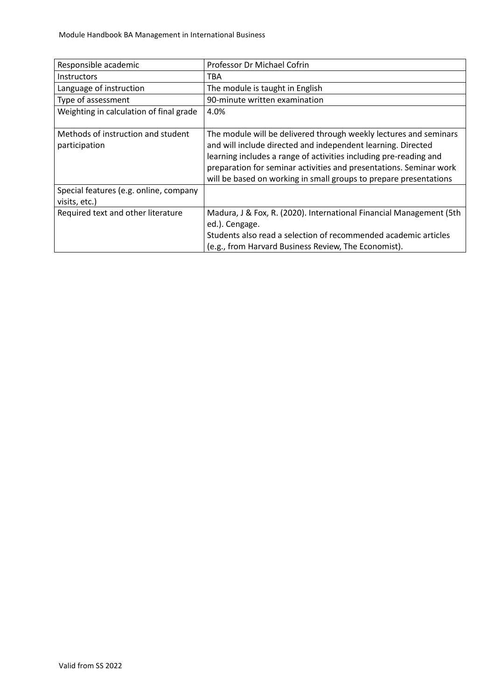| Responsible academic                                    | Professor Dr Michael Cofrin                                                                                                                                                                                                                                                                                                                       |
|---------------------------------------------------------|---------------------------------------------------------------------------------------------------------------------------------------------------------------------------------------------------------------------------------------------------------------------------------------------------------------------------------------------------|
| <b>Instructors</b>                                      | TBA                                                                                                                                                                                                                                                                                                                                               |
| Language of instruction                                 | The module is taught in English                                                                                                                                                                                                                                                                                                                   |
| Type of assessment                                      | 90-minute written examination                                                                                                                                                                                                                                                                                                                     |
| Weighting in calculation of final grade                 | 4.0%                                                                                                                                                                                                                                                                                                                                              |
| Methods of instruction and student<br>participation     | The module will be delivered through weekly lectures and seminars<br>and will include directed and independent learning. Directed<br>learning includes a range of activities including pre-reading and<br>preparation for seminar activities and presentations. Seminar work<br>will be based on working in small groups to prepare presentations |
| Special features (e.g. online, company<br>visits, etc.) |                                                                                                                                                                                                                                                                                                                                                   |
| Required text and other literature                      | Madura, J & Fox, R. (2020). International Financial Management (5th<br>ed.). Cengage.<br>Students also read a selection of recommended academic articles<br>(e.g., from Harvard Business Review, The Economist).                                                                                                                                  |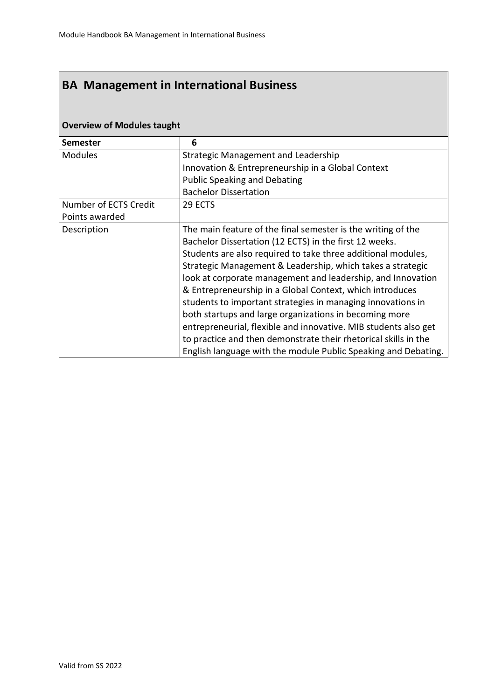| <b>Overview of Modules taught</b> |                                                                 |  |
|-----------------------------------|-----------------------------------------------------------------|--|
| <b>Semester</b>                   | 6                                                               |  |
| <b>Modules</b>                    | Strategic Management and Leadership                             |  |
|                                   | Innovation & Entrepreneurship in a Global Context               |  |
|                                   | <b>Public Speaking and Debating</b>                             |  |
|                                   | <b>Bachelor Dissertation</b>                                    |  |
| Number of ECTS Credit             | 29 ECTS                                                         |  |
| Points awarded                    |                                                                 |  |
| Description                       | The main feature of the final semester is the writing of the    |  |
|                                   | Bachelor Dissertation (12 ECTS) in the first 12 weeks.          |  |
|                                   | Students are also required to take three additional modules,    |  |
|                                   | Strategic Management & Leadership, which takes a strategic      |  |
|                                   | look at corporate management and leadership, and Innovation     |  |
|                                   | & Entrepreneurship in a Global Context, which introduces        |  |
|                                   | students to important strategies in managing innovations in     |  |
|                                   | both startups and large organizations in becoming more          |  |
|                                   | entrepreneurial, flexible and innovative. MIB students also get |  |
|                                   | to practice and then demonstrate their rhetorical skills in the |  |
|                                   | English language with the module Public Speaking and Debating.  |  |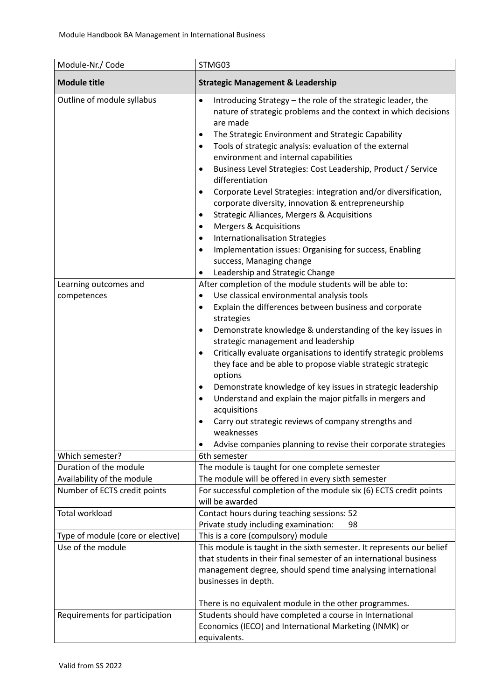| Module-Nr./ Code                          | STMG03                                                                                                                                                                                                                                                                                                                                                                                                                                                                                                                                                                                                                                                                                                                                                                                                                                                                                                  |
|-------------------------------------------|---------------------------------------------------------------------------------------------------------------------------------------------------------------------------------------------------------------------------------------------------------------------------------------------------------------------------------------------------------------------------------------------------------------------------------------------------------------------------------------------------------------------------------------------------------------------------------------------------------------------------------------------------------------------------------------------------------------------------------------------------------------------------------------------------------------------------------------------------------------------------------------------------------|
| <b>Module title</b>                       | <b>Strategic Management &amp; Leadership</b>                                                                                                                                                                                                                                                                                                                                                                                                                                                                                                                                                                                                                                                                                                                                                                                                                                                            |
| Outline of module syllabus                | Introducing Strategy - the role of the strategic leader, the<br>$\bullet$<br>nature of strategic problems and the context in which decisions<br>are made<br>The Strategic Environment and Strategic Capability<br>$\bullet$<br>Tools of strategic analysis: evaluation of the external<br>$\bullet$<br>environment and internal capabilities<br>Business Level Strategies: Cost Leadership, Product / Service<br>$\bullet$<br>differentiation<br>Corporate Level Strategies: integration and/or diversification,<br>$\bullet$<br>corporate diversity, innovation & entrepreneurship<br><b>Strategic Alliances, Mergers &amp; Acquisitions</b><br>$\bullet$<br><b>Mergers &amp; Acquisitions</b><br>$\bullet$<br><b>Internationalisation Strategies</b><br>٠<br>Implementation issues: Organising for success, Enabling<br>$\bullet$<br>success, Managing change<br>Leadership and Strategic Change<br>٠ |
| Learning outcomes and                     | After completion of the module students will be able to:                                                                                                                                                                                                                                                                                                                                                                                                                                                                                                                                                                                                                                                                                                                                                                                                                                                |
| competences                               | Use classical environmental analysis tools<br>٠                                                                                                                                                                                                                                                                                                                                                                                                                                                                                                                                                                                                                                                                                                                                                                                                                                                         |
| Which semester?<br>Duration of the module | Explain the differences between business and corporate<br>$\bullet$<br>strategies<br>Demonstrate knowledge & understanding of the key issues in<br>$\bullet$<br>strategic management and leadership<br>Critically evaluate organisations to identify strategic problems<br>$\bullet$<br>they face and be able to propose viable strategic strategic<br>options<br>Demonstrate knowledge of key issues in strategic leadership<br>٠<br>Understand and explain the major pitfalls in mergers and<br>$\bullet$<br>acquisitions<br>Carry out strategic reviews of company strengths and<br>weaknesses<br>Advise companies planning to revise their corporate strategies<br>6th semester<br>The module is taught for one complete semester                                                                                                                                                                   |
| Availability of the module                | The module will be offered in every sixth semester                                                                                                                                                                                                                                                                                                                                                                                                                                                                                                                                                                                                                                                                                                                                                                                                                                                      |
| Number of ECTS credit points              | For successful completion of the module six (6) ECTS credit points<br>will be awarded                                                                                                                                                                                                                                                                                                                                                                                                                                                                                                                                                                                                                                                                                                                                                                                                                   |
| <b>Total workload</b>                     | Contact hours during teaching sessions: 52<br>Private study including examination:<br>98                                                                                                                                                                                                                                                                                                                                                                                                                                                                                                                                                                                                                                                                                                                                                                                                                |
| Type of module (core or elective)         | This is a core (compulsory) module                                                                                                                                                                                                                                                                                                                                                                                                                                                                                                                                                                                                                                                                                                                                                                                                                                                                      |
| Use of the module                         | This module is taught in the sixth semester. It represents our belief<br>that students in their final semester of an international business<br>management degree, should spend time analysing international<br>businesses in depth.<br>There is no equivalent module in the other programmes.                                                                                                                                                                                                                                                                                                                                                                                                                                                                                                                                                                                                           |
| Requirements for participation            | Students should have completed a course in International<br>Economics (IECO) and International Marketing (INMK) or<br>equivalents.                                                                                                                                                                                                                                                                                                                                                                                                                                                                                                                                                                                                                                                                                                                                                                      |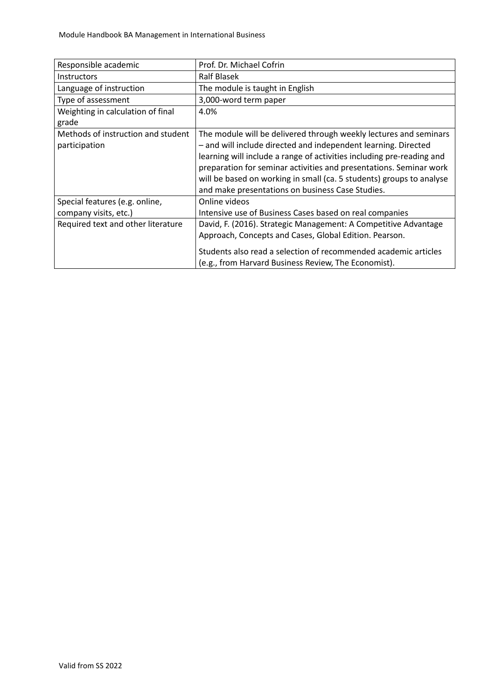| Responsible academic                                | Prof. Dr. Michael Cofrin                                                                                                                                                                                                                                                                                                                                                                                       |
|-----------------------------------------------------|----------------------------------------------------------------------------------------------------------------------------------------------------------------------------------------------------------------------------------------------------------------------------------------------------------------------------------------------------------------------------------------------------------------|
| <b>Instructors</b>                                  | Ralf Blasek                                                                                                                                                                                                                                                                                                                                                                                                    |
| Language of instruction                             | The module is taught in English                                                                                                                                                                                                                                                                                                                                                                                |
| Type of assessment                                  | 3,000-word term paper                                                                                                                                                                                                                                                                                                                                                                                          |
| Weighting in calculation of final<br>grade          | 4.0%                                                                                                                                                                                                                                                                                                                                                                                                           |
| Methods of instruction and student<br>participation | The module will be delivered through weekly lectures and seminars<br>- and will include directed and independent learning. Directed<br>learning will include a range of activities including pre-reading and<br>preparation for seminar activities and presentations. Seminar work<br>will be based on working in small (ca. 5 students) groups to analyse<br>and make presentations on business Case Studies. |
| Special features (e.g. online,                      | Online videos                                                                                                                                                                                                                                                                                                                                                                                                  |
| company visits, etc.)                               | Intensive use of Business Cases based on real companies                                                                                                                                                                                                                                                                                                                                                        |
| Required text and other literature                  | David, F. (2016). Strategic Management: A Competitive Advantage                                                                                                                                                                                                                                                                                                                                                |
|                                                     | Approach, Concepts and Cases, Global Edition. Pearson.                                                                                                                                                                                                                                                                                                                                                         |
|                                                     | Students also read a selection of recommended academic articles                                                                                                                                                                                                                                                                                                                                                |
|                                                     | (e.g., from Harvard Business Review, The Economist).                                                                                                                                                                                                                                                                                                                                                           |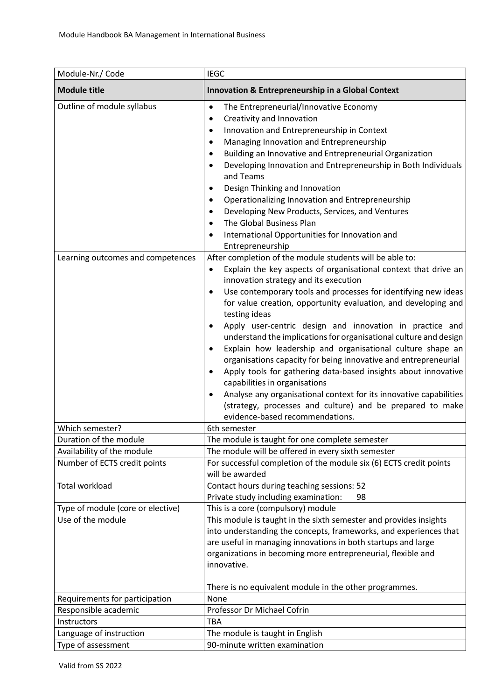| Module-Nr./ Code                                           | <b>IEGC</b>                                                                                                                                                                                                                                                                                                                                                                                                                                                                                                                                                                                                                                                                                                                                                                                                                                                                                                                           |
|------------------------------------------------------------|---------------------------------------------------------------------------------------------------------------------------------------------------------------------------------------------------------------------------------------------------------------------------------------------------------------------------------------------------------------------------------------------------------------------------------------------------------------------------------------------------------------------------------------------------------------------------------------------------------------------------------------------------------------------------------------------------------------------------------------------------------------------------------------------------------------------------------------------------------------------------------------------------------------------------------------|
| <b>Module title</b>                                        | Innovation & Entrepreneurship in a Global Context                                                                                                                                                                                                                                                                                                                                                                                                                                                                                                                                                                                                                                                                                                                                                                                                                                                                                     |
| Outline of module syllabus                                 | The Entrepreneurial/Innovative Economy<br>$\bullet$<br>Creativity and Innovation<br>$\bullet$<br>Innovation and Entrepreneurship in Context<br>$\bullet$<br>Managing Innovation and Entrepreneurship<br>$\bullet$<br>Building an Innovative and Entrepreneurial Organization<br>$\bullet$<br>Developing Innovation and Entrepreneurship in Both Individuals<br>$\bullet$<br>and Teams<br>Design Thinking and Innovation<br>$\bullet$<br>Operationalizing Innovation and Entrepreneurship<br>$\bullet$<br>Developing New Products, Services, and Ventures<br>$\bullet$<br>The Global Business Plan<br>$\bullet$<br>International Opportunities for Innovation and<br>$\bullet$<br>Entrepreneurship                                                                                                                                                                                                                                     |
| Learning outcomes and competences                          | After completion of the module students will be able to:<br>Explain the key aspects of organisational context that drive an<br>$\bullet$<br>innovation strategy and its execution<br>Use contemporary tools and processes for identifying new ideas<br>$\bullet$<br>for value creation, opportunity evaluation, and developing and<br>testing ideas<br>Apply user-centric design and innovation in practice and<br>$\bullet$<br>understand the implications for organisational culture and design<br>Explain how leadership and organisational culture shape an<br>organisations capacity for being innovative and entrepreneurial<br>Apply tools for gathering data-based insights about innovative<br>$\bullet$<br>capabilities in organisations<br>Analyse any organisational context for its innovative capabilities<br>$\bullet$<br>(strategy, processes and culture) and be prepared to make<br>evidence-based recommendations. |
| Which semester?                                            | 6th semester                                                                                                                                                                                                                                                                                                                                                                                                                                                                                                                                                                                                                                                                                                                                                                                                                                                                                                                          |
| Duration of the module                                     | The module is taught for one complete semester                                                                                                                                                                                                                                                                                                                                                                                                                                                                                                                                                                                                                                                                                                                                                                                                                                                                                        |
| Availability of the module<br>Number of ECTS credit points | The module will be offered in every sixth semester<br>For successful completion of the module six (6) ECTS credit points                                                                                                                                                                                                                                                                                                                                                                                                                                                                                                                                                                                                                                                                                                                                                                                                              |
|                                                            | will be awarded                                                                                                                                                                                                                                                                                                                                                                                                                                                                                                                                                                                                                                                                                                                                                                                                                                                                                                                       |
| Total workload                                             | Contact hours during teaching sessions: 52<br>Private study including examination:<br>98                                                                                                                                                                                                                                                                                                                                                                                                                                                                                                                                                                                                                                                                                                                                                                                                                                              |
| Type of module (core or elective)                          | This is a core (compulsory) module                                                                                                                                                                                                                                                                                                                                                                                                                                                                                                                                                                                                                                                                                                                                                                                                                                                                                                    |
| Use of the module                                          | This module is taught in the sixth semester and provides insights<br>into understanding the concepts, frameworks, and experiences that<br>are useful in managing innovations in both startups and large<br>organizations in becoming more entrepreneurial, flexible and<br>innovative.<br>There is no equivalent module in the other programmes.                                                                                                                                                                                                                                                                                                                                                                                                                                                                                                                                                                                      |
| Requirements for participation                             | None                                                                                                                                                                                                                                                                                                                                                                                                                                                                                                                                                                                                                                                                                                                                                                                                                                                                                                                                  |
| Responsible academic                                       | Professor Dr Michael Cofrin                                                                                                                                                                                                                                                                                                                                                                                                                                                                                                                                                                                                                                                                                                                                                                                                                                                                                                           |
| Instructors                                                | <b>TBA</b>                                                                                                                                                                                                                                                                                                                                                                                                                                                                                                                                                                                                                                                                                                                                                                                                                                                                                                                            |
| Language of instruction                                    | The module is taught in English                                                                                                                                                                                                                                                                                                                                                                                                                                                                                                                                                                                                                                                                                                                                                                                                                                                                                                       |
| Type of assessment                                         | 90-minute written examination                                                                                                                                                                                                                                                                                                                                                                                                                                                                                                                                                                                                                                                                                                                                                                                                                                                                                                         |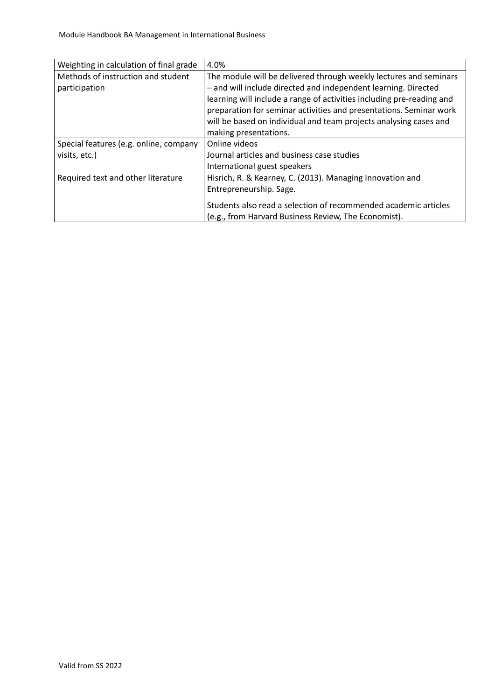| Weighting in calculation of final grade                 | 4.0%                                                                                                                                                                                                                                                                                                                                                                             |
|---------------------------------------------------------|----------------------------------------------------------------------------------------------------------------------------------------------------------------------------------------------------------------------------------------------------------------------------------------------------------------------------------------------------------------------------------|
| Methods of instruction and student<br>participation     | The module will be delivered through weekly lectures and seminars<br>- and will include directed and independent learning. Directed<br>learning will include a range of activities including pre-reading and<br>preparation for seminar activities and presentations. Seminar work<br>will be based on individual and team projects analysing cases and<br>making presentations. |
| Special features (e.g. online, company<br>visits, etc.) | Online videos<br>Journal articles and business case studies<br>International guest speakers                                                                                                                                                                                                                                                                                      |
| Required text and other literature                      | Hisrich, R. & Kearney, C. (2013). Managing Innovation and<br>Entrepreneurship. Sage.<br>Students also read a selection of recommended academic articles<br>(e.g., from Harvard Business Review, The Economist).                                                                                                                                                                  |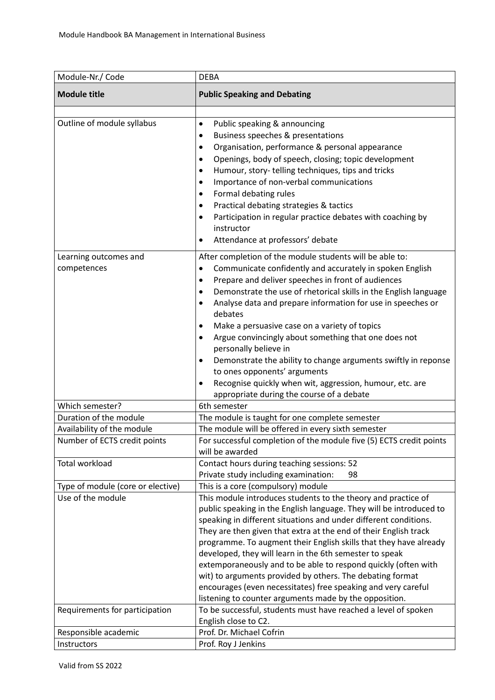| Module-Nr./ Code                     | <b>DEBA</b>                                                                                                                                                                                                                                                                                                                                                                                                                                                                                                                                                                                                                                                                                                                              |
|--------------------------------------|------------------------------------------------------------------------------------------------------------------------------------------------------------------------------------------------------------------------------------------------------------------------------------------------------------------------------------------------------------------------------------------------------------------------------------------------------------------------------------------------------------------------------------------------------------------------------------------------------------------------------------------------------------------------------------------------------------------------------------------|
| <b>Module title</b>                  | <b>Public Speaking and Debating</b>                                                                                                                                                                                                                                                                                                                                                                                                                                                                                                                                                                                                                                                                                                      |
| Outline of module syllabus           | Public speaking & announcing<br>$\bullet$<br>Business speeches & presentations<br>٠<br>Organisation, performance & personal appearance<br>٠<br>Openings, body of speech, closing; topic development<br>$\bullet$<br>Humour, story-telling techniques, tips and tricks<br>٠<br>Importance of non-verbal communications<br>٠<br>Formal debating rules<br>٠<br>Practical debating strategies & tactics<br>٠<br>Participation in regular practice debates with coaching by<br>٠<br>instructor<br>Attendance at professors' debate<br>٠                                                                                                                                                                                                       |
| Learning outcomes and<br>competences | After completion of the module students will be able to:<br>Communicate confidently and accurately in spoken English<br>$\bullet$<br>Prepare and deliver speeches in front of audiences<br>٠<br>Demonstrate the use of rhetorical skills in the English language<br>٠<br>Analyse data and prepare information for use in speeches or<br>$\bullet$<br>debates<br>Make a persuasive case on a variety of topics<br>Argue convincingly about something that one does not<br>٠<br>personally believe in<br>Demonstrate the ability to change arguments swiftly in reponse<br>$\bullet$<br>to ones opponents' arguments<br>Recognise quickly when wit, aggression, humour, etc. are<br>$\bullet$<br>appropriate during the course of a debate |
| Which semester?                      | 6th semester                                                                                                                                                                                                                                                                                                                                                                                                                                                                                                                                                                                                                                                                                                                             |
| Duration of the module               | The module is taught for one complete semester                                                                                                                                                                                                                                                                                                                                                                                                                                                                                                                                                                                                                                                                                           |
| Availability of the module           | The module will be offered in every sixth semester                                                                                                                                                                                                                                                                                                                                                                                                                                                                                                                                                                                                                                                                                       |
| Number of ECTS credit points         | For successful completion of the module five (5) ECTS credit points<br>will be awarded                                                                                                                                                                                                                                                                                                                                                                                                                                                                                                                                                                                                                                                   |
| Total workload                       | Contact hours during teaching sessions: 52<br>Private study including examination:<br>98                                                                                                                                                                                                                                                                                                                                                                                                                                                                                                                                                                                                                                                 |
| Type of module (core or elective)    | This is a core (compulsory) module                                                                                                                                                                                                                                                                                                                                                                                                                                                                                                                                                                                                                                                                                                       |
| Use of the module                    | This module introduces students to the theory and practice of<br>public speaking in the English language. They will be introduced to<br>speaking in different situations and under different conditions.<br>They are then given that extra at the end of their English track<br>programme. To augment their English skills that they have already<br>developed, they will learn in the 6th semester to speak<br>extemporaneously and to be able to respond quickly (often with<br>wit) to arguments provided by others. The debating format<br>encourages (even necessitates) free speaking and very careful<br>listening to counter arguments made by the opposition.                                                                   |
| Requirements for participation       | To be successful, students must have reached a level of spoken<br>English close to C2.                                                                                                                                                                                                                                                                                                                                                                                                                                                                                                                                                                                                                                                   |
| Responsible academic                 | Prof. Dr. Michael Cofrin                                                                                                                                                                                                                                                                                                                                                                                                                                                                                                                                                                                                                                                                                                                 |
| Instructors                          | Prof. Roy J Jenkins                                                                                                                                                                                                                                                                                                                                                                                                                                                                                                                                                                                                                                                                                                                      |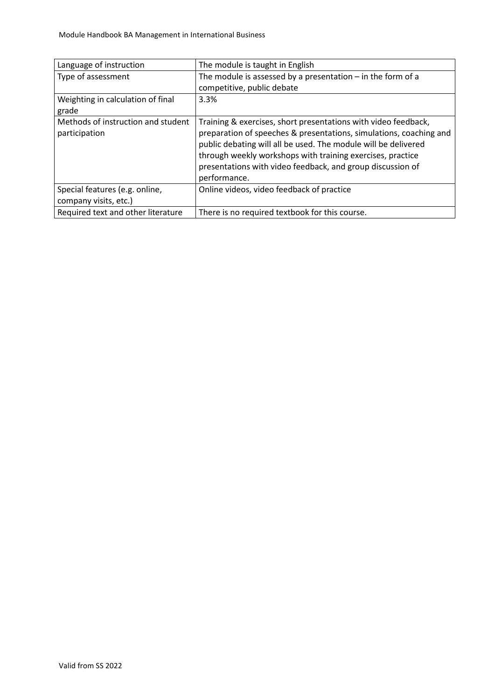| Language of instruction            | The module is taught in English                                    |
|------------------------------------|--------------------------------------------------------------------|
| Type of assessment                 | The module is assessed by a presentation $-$ in the form of a      |
|                                    | competitive, public debate                                         |
| Weighting in calculation of final  | 3.3%                                                               |
| grade                              |                                                                    |
| Methods of instruction and student | Training & exercises, short presentations with video feedback,     |
| participation                      | preparation of speeches & presentations, simulations, coaching and |
|                                    | public debating will all be used. The module will be delivered     |
|                                    | through weekly workshops with training exercises, practice         |
|                                    | presentations with video feedback, and group discussion of         |
|                                    | performance.                                                       |
| Special features (e.g. online,     | Online videos, video feedback of practice                          |
| company visits, etc.)              |                                                                    |
| Required text and other literature | There is no required textbook for this course.                     |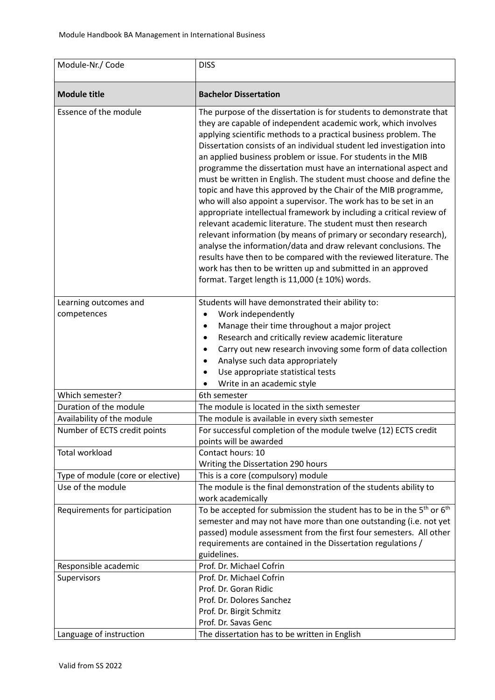| Module-Nr./ Code                     | <b>DISS</b>                                                                                                                                                                                                                                                                                                                                                                                                                                                                                                                                                                                                                                                                                                                                                                                                                                                                                                                                                                                                                                                                                                |
|--------------------------------------|------------------------------------------------------------------------------------------------------------------------------------------------------------------------------------------------------------------------------------------------------------------------------------------------------------------------------------------------------------------------------------------------------------------------------------------------------------------------------------------------------------------------------------------------------------------------------------------------------------------------------------------------------------------------------------------------------------------------------------------------------------------------------------------------------------------------------------------------------------------------------------------------------------------------------------------------------------------------------------------------------------------------------------------------------------------------------------------------------------|
| <b>Module title</b>                  | <b>Bachelor Dissertation</b>                                                                                                                                                                                                                                                                                                                                                                                                                                                                                                                                                                                                                                                                                                                                                                                                                                                                                                                                                                                                                                                                               |
| Essence of the module                | The purpose of the dissertation is for students to demonstrate that<br>they are capable of independent academic work, which involves<br>applying scientific methods to a practical business problem. The<br>Dissertation consists of an individual student led investigation into<br>an applied business problem or issue. For students in the MIB<br>programme the dissertation must have an international aspect and<br>must be written in English. The student must choose and define the<br>topic and have this approved by the Chair of the MIB programme,<br>who will also appoint a supervisor. The work has to be set in an<br>appropriate intellectual framework by including a critical review of<br>relevant academic literature. The student must then research<br>relevant information (by means of primary or secondary research),<br>analyse the information/data and draw relevant conclusions. The<br>results have then to be compared with the reviewed literature. The<br>work has then to be written up and submitted in an approved<br>format. Target length is 11,000 (± 10%) words. |
| Learning outcomes and<br>competences | Students will have demonstrated their ability to:<br>Work independently<br>$\bullet$<br>Manage their time throughout a major project<br>$\bullet$<br>Research and critically review academic literature<br>$\bullet$<br>Carry out new research invoving some form of data collection<br>$\bullet$<br>Analyse such data appropriately<br>Use appropriate statistical tests<br>Write in an academic style                                                                                                                                                                                                                                                                                                                                                                                                                                                                                                                                                                                                                                                                                                    |
| Which semester?                      | 6th semester                                                                                                                                                                                                                                                                                                                                                                                                                                                                                                                                                                                                                                                                                                                                                                                                                                                                                                                                                                                                                                                                                               |
| Duration of the module               | The module is located in the sixth semester                                                                                                                                                                                                                                                                                                                                                                                                                                                                                                                                                                                                                                                                                                                                                                                                                                                                                                                                                                                                                                                                |
| Availability of the module           | The module is available in every sixth semester                                                                                                                                                                                                                                                                                                                                                                                                                                                                                                                                                                                                                                                                                                                                                                                                                                                                                                                                                                                                                                                            |
| Number of ECTS credit points         | For successful completion of the module twelve (12) ECTS credit<br>points will be awarded                                                                                                                                                                                                                                                                                                                                                                                                                                                                                                                                                                                                                                                                                                                                                                                                                                                                                                                                                                                                                  |
| <b>Total workload</b>                | Contact hours: 10<br>Writing the Dissertation 290 hours                                                                                                                                                                                                                                                                                                                                                                                                                                                                                                                                                                                                                                                                                                                                                                                                                                                                                                                                                                                                                                                    |
| Type of module (core or elective)    | This is a core (compulsory) module                                                                                                                                                                                                                                                                                                                                                                                                                                                                                                                                                                                                                                                                                                                                                                                                                                                                                                                                                                                                                                                                         |
| Use of the module                    | The module is the final demonstration of the students ability to                                                                                                                                                                                                                                                                                                                                                                                                                                                                                                                                                                                                                                                                                                                                                                                                                                                                                                                                                                                                                                           |
| Requirements for participation       | work academically<br>To be accepted for submission the student has to be in the $5th$ or $6th$<br>semester and may not have more than one outstanding (i.e. not yet<br>passed) module assessment from the first four semesters. All other<br>requirements are contained in the Dissertation regulations /<br>guidelines.                                                                                                                                                                                                                                                                                                                                                                                                                                                                                                                                                                                                                                                                                                                                                                                   |
| Responsible academic                 | Prof. Dr. Michael Cofrin                                                                                                                                                                                                                                                                                                                                                                                                                                                                                                                                                                                                                                                                                                                                                                                                                                                                                                                                                                                                                                                                                   |
| Supervisors                          | Prof. Dr. Michael Cofrin<br>Prof. Dr. Goran Ridic<br>Prof. Dr. Dolores Sanchez<br>Prof. Dr. Birgit Schmitz<br>Prof. Dr. Savas Genc                                                                                                                                                                                                                                                                                                                                                                                                                                                                                                                                                                                                                                                                                                                                                                                                                                                                                                                                                                         |
| Language of instruction              | The dissertation has to be written in English                                                                                                                                                                                                                                                                                                                                                                                                                                                                                                                                                                                                                                                                                                                                                                                                                                                                                                                                                                                                                                                              |